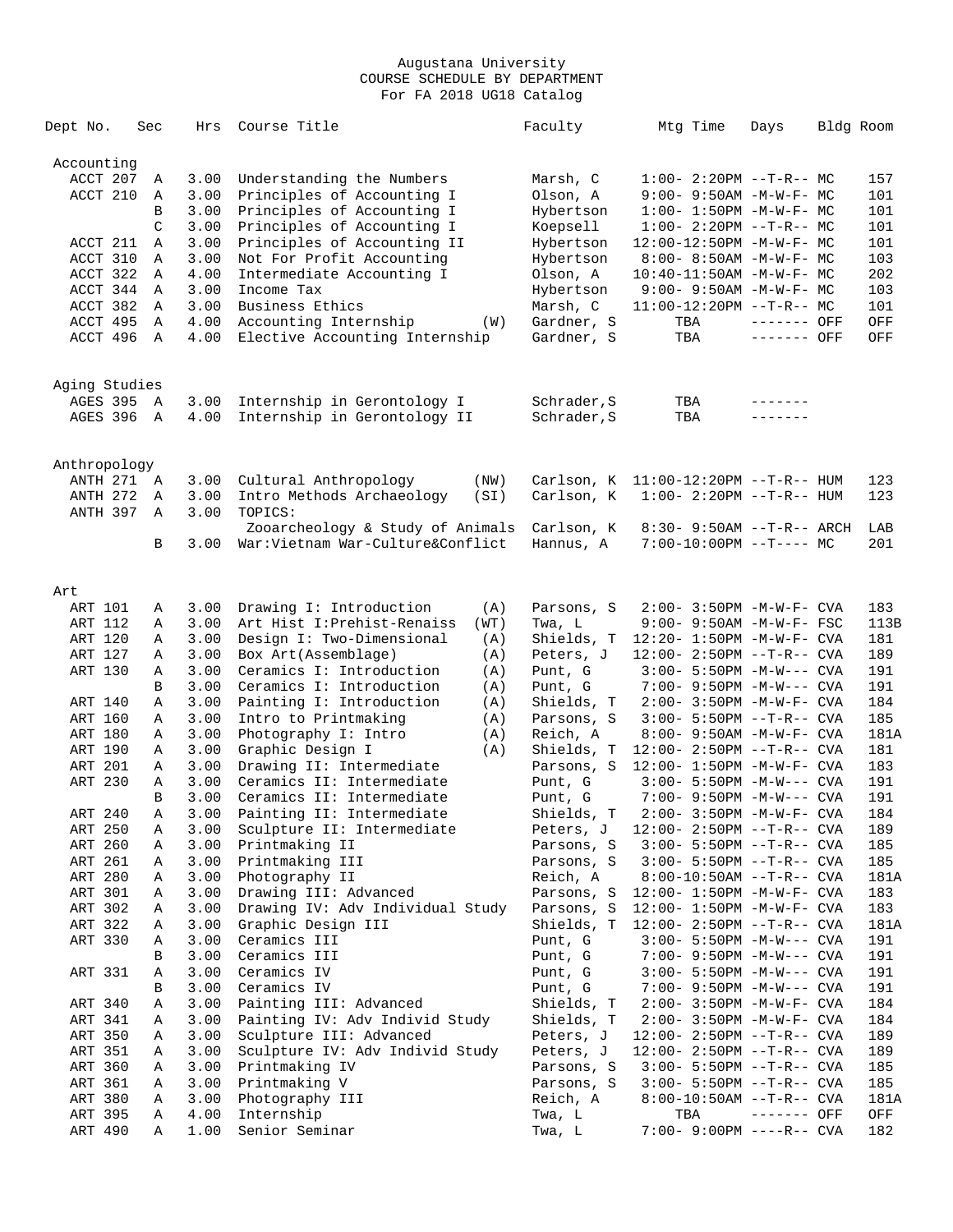| Dept No.      | Sec    | Hrs          | Course Title                                                | Faculty               | Mtg Time                                             | Days        | Bldg Room |            |
|---------------|--------|--------------|-------------------------------------------------------------|-----------------------|------------------------------------------------------|-------------|-----------|------------|
| Accounting    |        |              |                                                             |                       |                                                      |             |           |            |
| ACCT 207      | Α      | 3.00         | Understanding the Numbers                                   | Marsh, C              | $1:00-2:20PM -T-R--MC$                               |             |           | 157        |
| ACCT 210      | Α      | 3.00         | Principles of Accounting I                                  | Olson, A              | 9:00- 9:50AM -M-W-F- MC                              |             |           | 101        |
|               | B      | 3.00         | Principles of Accounting I                                  | Hybertson             | $1:00 - 1:50PM - M - W - F - MC$                     |             |           | 101        |
|               | C      | 3.00         | Principles of Accounting I                                  | Koepsell              | $1:00-2:20PM -T-R--MC$                               |             |           | 101        |
| ACCT 211      | Α      | 3.00         | Principles of Accounting II                                 | Hybertson             | 12:00-12:50PM -M-W-F- MC                             |             |           | 101        |
| ACCT 310      | Α      | 3.00         | Not For Profit Accounting                                   | Hybertson             | $8:00 - 8:50AM - M - W - F - MC$                     |             |           | 103        |
| ACCT 322      | Α      | 4.00         | Intermediate Accounting I                                   | Olson, A              | $10:40 - 11:50AM$ -M-W-F- MC                         |             |           | 202        |
| ACCT 344      | Α      | 3.00         | Income Tax                                                  | Hybertson             | 9:00- 9:50AM -M-W-F- MC                              |             |           | 103        |
| ACCT 382      | Α      | 3.00         | Business Ethics                                             | Marsh, C              | $11:00-12:20PM$ --T-R-- MC                           |             |           | 101        |
| ACCT 495      | Α      | 4.00         | Accounting Internship<br>(W)                                | Gardner, S            | TBA                                                  | ------- OFF |           | OFF        |
| ACCT 496      | Α      | 4.00         | Elective Accounting Internship                              | Gardner, S            | TBA                                                  | ------- OFF |           | OFF        |
| Aging Studies |        |              |                                                             |                       |                                                      |             |           |            |
| AGES 395      | A      | 3.00         | Internship in Gerontology I                                 | Schrader, S           | TBA                                                  | -------     |           |            |
| AGES 396      | A      | 4.00         | Internship in Gerontology II                                | Schrader, S           | TBA                                                  | -------     |           |            |
| Anthropology  |        |              |                                                             |                       |                                                      |             |           |            |
| ANTH 271 A    |        | 3.00         | Cultural Anthropology<br>(NW)                               | Carlson, K            | $11:00-12:20PM$ --T-R-- HUM                          |             |           | 123        |
| ANTH 272      | Α      | 3.00         | Intro Methods Archaeology<br>(SI)                           | Carlson, K            | $1:00 - 2:20PM -T-R--HUM$                            |             |           | 123        |
| ANTH 397      | Α      | 3.00         | TOPICS:                                                     |                       |                                                      |             |           |            |
|               |        |              | Zooarcheology & Study of Animals                            | Carlson, K            | 8:30- 9:50AM --T-R-- ARCH                            |             |           | LAB        |
|               | B      | 3.00         | War:Vietnam War-Culture&Conflict                            | Hannus, A             | $7:00-10:00PM$ --T---- MC                            |             |           | 201        |
|               |        |              |                                                             |                       |                                                      |             |           |            |
| Art           |        |              |                                                             |                       |                                                      |             |           |            |
| ART 101       | Α      | 3.00         | Drawing I: Introduction<br>(A)                              | Parsons, S            | 2:00- 3:50PM -M-W-F- CVA                             |             |           | 183        |
| ART 112       | Α      | 3.00         | Art Hist I: Prehist-Renaiss<br>(WT)                         | Twa, L                | $9:00 - 9:50AM - M-W-F - FSC$                        |             |           | 113B       |
| ART 120       | Α      | 3.00         | Design I: Two-Dimensional<br>(A)                            | Shields, T            | $12:20 - 1:50PM - M - W - F - CVA$                   |             |           | 181        |
| ART 127       | Α      | 3.00         | Box Art (Assemblage)<br>(A)                                 | Peters, J             | $12:00 - 2:50PM -T-R--CVA$                           |             |           | 189        |
| ART 130       | Α<br>B | 3.00<br>3.00 | Ceramics I: Introduction<br>(A)<br>Ceramics I: Introduction | Punt, G               | $3:00 - 5:50PM -M-W---$ CVA                          |             |           | 191<br>191 |
| ART 140       | Α      | 3.00         | (A)<br>Painting I: Introduction<br>(A)                      | Punt, G<br>Shields, T | 7:00- 9:50PM -M-W--- CVA<br>$2:00-3:50PM -M-W-F-CVA$ |             |           | 184        |
| ART 160       | Α      | 3.00         | Intro to Printmaking<br>(A)                                 | Parsons, S            | $3:00 - 5:50PM -T-R--CVA$                            |             |           | 185        |
| ART 180       | Α      | 3.00         | Photography I: Intro<br>(A)                                 | Reich, A              | 8:00- 9:50AM -M-W-F- CVA                             |             |           | 181A       |
| ART 190       | Α      | 3.00         | Graphic Design I<br>(A)                                     | Shields, T            | $12:00 - 2:50PM -T-R--CVA$                           |             |           | 181        |
| ART 201       | Α      | 3.00         | Drawing II: Intermediate                                    | Parsons, S            | $12:00 - 1:50PM - M - W - F - CVA$                   |             |           | 183        |
| ART 230       | Α      | 3.00         | Ceramics II: Intermediate                                   | Punt, G               | $3:00 - 5:50PM -M-W---$ CVA                          |             |           | 191        |
|               | B      | 3.00         | Ceramics II: Intermediate                                   | Punt, G               | 7:00- 9:50PM -M-W--- CVA                             |             |           | 191        |
| ART 240       | Α      | 3.00         | Painting II: Intermediate                                   | Shields, T            | 2:00- 3:50PM -M-W-F- CVA                             |             |           | 184        |
| ART 250       | Α      | 3.00         | Sculpture II: Intermediate                                  | Peters, J             | $12:00 - 2:50PM -T-R--CVA$                           |             |           | 189        |
| ART 260       | Α      | 3.00         | Printmaking II                                              | Parsons, S            | $3:00 - 5:50PM -T-R--CVA$                            |             |           | 185        |
| ART 261       | Α      | 3.00         | Printmaking III                                             | Parsons, S            | $3:00 - 5:50PM -T-R--CVA$                            |             |           | 185        |
| ART 280       | Α      | 3.00         | Photography II                                              | Reich, A              | $8:00-10:50AM$ --T-R-- CVA                           |             |           | 181A       |
| ART 301       | Α      | 3.00         | Drawing III: Advanced                                       | Parsons, S            | $12:00 - 1:50PM - M - W - F - CVA$                   |             |           | 183        |
| ART 302       | Α      | 3.00         | Drawing IV: Adv Individual Study                            | Parsons, S            | $12:00 - 1:50PM - M - W - F - CVA$                   |             |           | 183        |
| ART 322       | Α      | 3.00         | Graphic Design III                                          | Shields, T            | $12:00 - 2:50PM -T-R--CVA$                           |             |           | 181A       |
| ART 330       | Α      | 3.00         | Ceramics III                                                | Punt, G               | $3:00 - 5:50PM -M-W---$ CVA                          |             |           | 191        |
|               | В      | 3.00         | Ceramics III                                                | Punt, G               | 7:00- 9:50PM -M-W--- CVA                             |             |           | 191        |
| ART 331       | Α      | 3.00         | Ceramics IV                                                 | Punt, G               | 3:00- 5:50PM -M-W--- CVA                             |             |           | 191        |
|               | В      | 3.00         | Ceramics IV                                                 | Punt, G               | 7:00- 9:50PM -M-W--- CVA                             |             |           | 191        |
| ART 340       | Α      | 3.00         | Painting III: Advanced                                      | Shields, T            | 2:00- 3:50PM -M-W-F- CVA                             |             |           | 184        |
| ART 341       | Α      | 3.00         | Painting IV: Adv Individ Study                              | Shields, T            | $2:00 - 3:50PM - M - W - F - CVA$                    |             |           | 184        |
| ART 350       | Α      | 3.00         | Sculpture III: Advanced                                     | Peters, J             | $12:00 - 2:50PM -T-R--CVA$                           |             |           | 189        |
| ART 351       | Α      | 3.00         | Sculpture IV: Adv Individ Study                             | Peters, J             | 12:00- 2:50PM --T-R-- CVA                            |             |           | 189        |
| ART 360       | Α      | 3.00         | Printmaking IV                                              | Parsons, S            | $3:00 - 5:50PM -T-R--CVA$                            |             |           | 185        |
| ART 361       | Α      | 3.00         | Printmaking V                                               | Parsons, S            | $3:00 - 5:50PM -T-R--CVA$                            |             |           | 185        |
| ART 380       | Α      | 3.00         | Photography III                                             | Reich, A              | 8:00-10:50AM --T-R-- CVA                             |             |           | 181A       |
| ART 395       | Α      | 4.00         | Internship                                                  | Twa, L                | TBA                                                  | ------- OFF |           | OFF        |
| ART 490       | Α      | 1.00         | Senior Seminar                                              | Twa, L                | 7:00- 9:00PM ----R-- CVA                             |             |           | 182        |
|               |        |              |                                                             |                       |                                                      |             |           |            |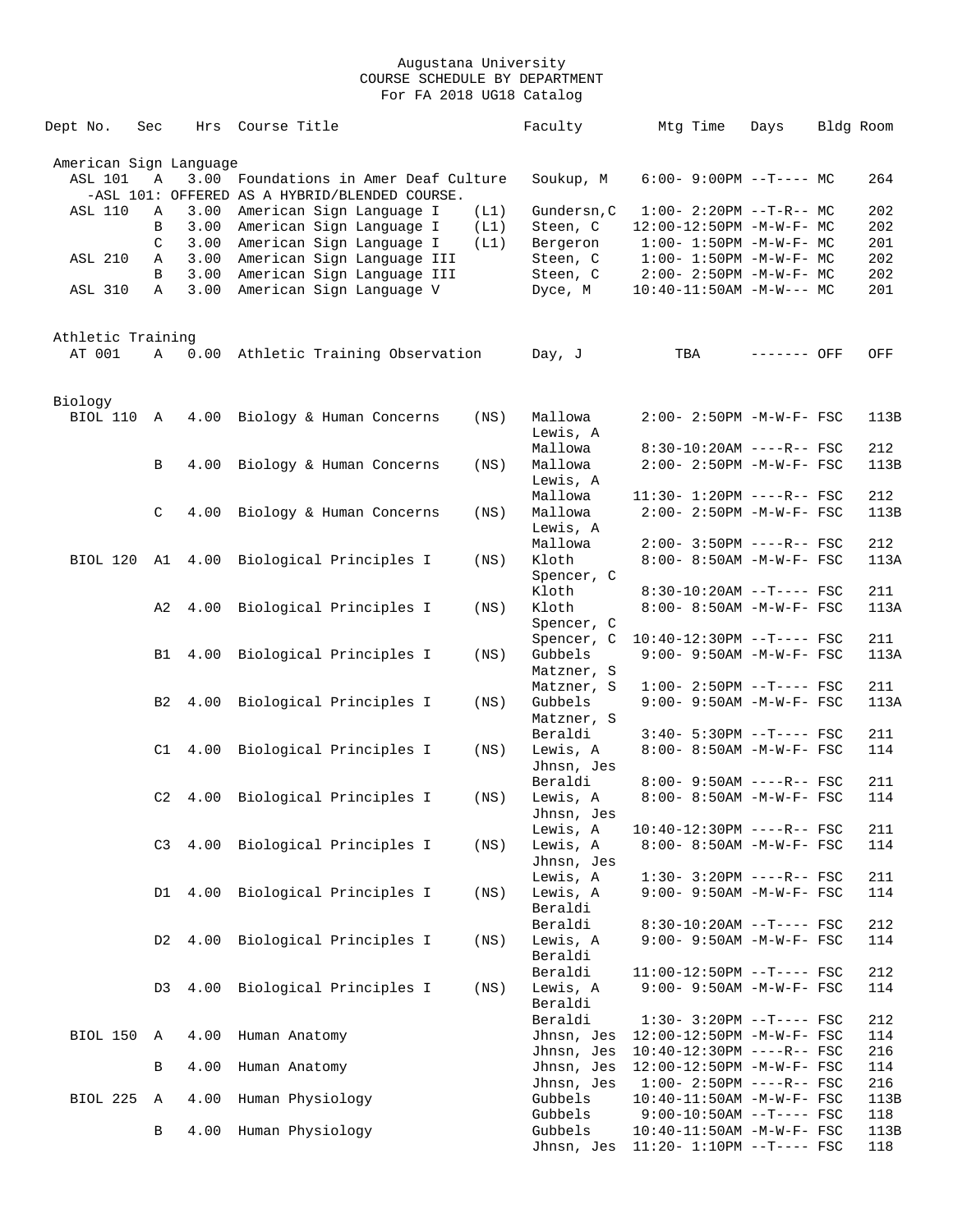| Dept No.               | Sec | Hrs  | Course Title                                                                      |      | Faculty               | Mtg Time                          | Days        | Bldg Room  |
|------------------------|-----|------|-----------------------------------------------------------------------------------|------|-----------------------|-----------------------------------|-------------|------------|
| American Sign Language |     |      |                                                                                   |      |                       |                                   |             |            |
| ASL 101                | Α   | 3.00 | Foundations in Amer Deaf Culture<br>-ASL 101: OFFERED AS A HYBRID/BLENDED COURSE. |      | Soukup, M             | $6:00-9:00PM$ --T---- MC          |             | 264        |
| <b>ASL 110</b>         | Α   | 3.00 | American Sign Language I                                                          | (L1) | Gundersn, C           | $1:00-2:20PM -T-R--MC$            |             | 202        |
|                        | B   | 3.00 | American Sign Language I                                                          | (L1) | Steen, C              | 12:00-12:50PM -M-W-F- MC          |             | 202        |
|                        | C   | 3.00 | American Sign Language I                                                          | (L1) | Bergeron              | $1:00 - 1:50PM - M - W - F - MC$  |             | 201        |
| <b>ASL 210</b>         | Α   | 3.00 | American Sign Language III                                                        |      | Steen, C              | $1:00 - 1:50PM - M - W - F - MC$  |             | 202        |
|                        | В   | 3.00 | American Sign Language III                                                        |      | Steen, C              | $2:00 - 2:50PM -M-W-F - MC$       |             | 202        |
| ASL 310                | Α   | 3.00 | American Sign Language V                                                          |      | Dyce, M               | $10:40-11:50AM$ -M-W--- MC        |             | 201        |
| Athletic Training      |     |      |                                                                                   |      |                       |                                   |             |            |
| AT 001                 | Α   | 0.00 | Athletic Training Observation                                                     |      | Day, J                | TBA                               | ------- OFF | OFF        |
| Biology                |     |      |                                                                                   |      |                       |                                   |             |            |
| BIOL 110               | A   | 4.00 | Biology & Human Concerns                                                          | (NS) | Mallowa<br>Lewis, A   | 2:00- 2:50PM -M-W-F- FSC          |             | 113B       |
|                        |     |      |                                                                                   |      | Mallowa               | 8:30-10:20AM ----R-- FSC          |             | 212        |
|                        | В   | 4.00 | Biology & Human Concerns                                                          | (NS) | Mallowa               | 2:00- 2:50PM -M-W-F- FSC          |             | 113B       |
|                        |     |      |                                                                                   |      | Lewis, A              |                                   |             |            |
|                        |     |      |                                                                                   |      | Mallowa               | 11:30- 1:20PM ----R-- FSC         |             | 212        |
|                        | C   | 4.00 | Biology & Human Concerns                                                          | (NS) | Mallowa               | $2:00 - 2:50PM - M - W - F - FSC$ |             | 113B       |
|                        |     |      |                                                                                   |      | Lewis, A              |                                   |             |            |
|                        |     |      |                                                                                   |      | Mallowa               | $2:00-3:50PM$ ----R-- FSC         |             | 212        |
| BIOL 120 A1 4.00       |     |      | Biological Principles I                                                           | (NS) | Kloth                 | 8:00- 8:50AM -M-W-F- FSC          |             | 113A       |
|                        |     |      |                                                                                   |      | Spencer, C            |                                   |             |            |
|                        |     |      |                                                                                   |      | Kloth                 | $8:30-10:20AM$ --T---- FSC        |             | 211        |
|                        | A2  | 4.00 | Biological Principles I                                                           | (NS) | Kloth                 | 8:00- 8:50AM -M-W-F- FSC          |             | 113A       |
|                        |     |      |                                                                                   |      | Spencer, C            |                                   |             |            |
|                        |     |      |                                                                                   |      | Spencer, C            | $10:40-12:30PM$ --T---- FSC       |             | 211        |
|                        | B1  | 4.00 | Biological Principles I                                                           | (NS) | Gubbels               | $9:00 - 9:50AM - M - W - F - FSC$ |             | 113A       |
|                        |     |      |                                                                                   |      | Matzner, S            |                                   |             |            |
|                        |     |      |                                                                                   |      | Matzner, S            | $1:00-2:50PM$ --T---- FSC         |             | 211        |
|                        | B2  | 4.00 | Biological Principles I                                                           | (NS) | Gubbels               | 9:00- 9:50AM -M-W-F- FSC          |             | 113A       |
|                        |     |      |                                                                                   |      | Matzner, S<br>Beraldi | $3:40-5:30PM$ --T---- FSC         |             |            |
|                        | C1  | 4.00 | Biological Principles I                                                           | (NS) | Lewis, A              | 8:00- 8:50AM -M-W-F- FSC          |             | 211<br>114 |
|                        |     |      |                                                                                   |      | Jhnsn, Jes            |                                   |             |            |
|                        |     |      |                                                                                   |      | Beraldi               | $8:00 - 9:50AM$ ----R-- FSC       |             | 211        |
|                        | C2  | 4.00 | Biological Principles I                                                           | (NS) | Lewis, A              | 8:00- 8:50AM -M-W-F- FSC          |             | 114        |
|                        |     |      |                                                                                   |      | Jhnsn, Jes            |                                   |             |            |
|                        |     |      |                                                                                   |      | Lewis, A              | 10:40-12:30PM ----R-- FSC         |             | 211        |
|                        | C3  |      | 4.00 Biological Principles I                                                      | (NS) | Lewis, A              | $8:00 - 8:50AM$ -M-W-F- FSC       |             | 114        |
|                        |     |      |                                                                                   |      | Jhnsn, Jes            |                                   |             |            |
|                        |     |      |                                                                                   |      | Lewis, A              | $1:30 - 3:20PM$ ----R-- FSC       |             | 211        |
|                        | D1  | 4.00 | Biological Principles I                                                           | (NS) | Lewis, A              | 9:00- 9:50AM -M-W-F- FSC          |             | 114        |
|                        |     |      |                                                                                   |      | Beraldi               |                                   |             |            |
|                        |     |      |                                                                                   |      | Beraldi               | $8:30-10:20AM$ --T---- FSC        |             | 212        |
|                        | D2  | 4.00 | Biological Principles I                                                           | (NS) | Lewis, A              | $9:00 - 9:50AM - M-W-F - FSC$     |             | 114        |
|                        |     |      |                                                                                   |      | Beraldi               |                                   |             |            |
|                        |     |      |                                                                                   |      | Beraldi               | $11:00-12:50PM$ --T---- FSC       |             | 212        |
|                        | D3  | 4.00 | Biological Principles I                                                           | (NS) | Lewis, A              | $9:00 - 9:50AM - M - W - F - FSC$ |             | 114        |
|                        |     |      |                                                                                   |      | Beraldi               |                                   |             |            |
|                        |     |      |                                                                                   |      | Beraldi               | $1:30-3:20PM -T---FSC$            |             | 212        |
| BIOL 150               | Α   | 4.00 | Human Anatomy                                                                     |      | Jhnsn, Jes            | 12:00-12:50PM -M-W-F- FSC         |             | 114        |
|                        |     |      |                                                                                   |      | Jhnsn, Jes            | $10:40-12:30PM$ ----R-- FSC       |             | 216        |
|                        | В   | 4.00 | Human Anatomy                                                                     |      | Jhnsn, Jes            | 12:00-12:50PM -M-W-F- FSC         |             | 114        |
|                        |     |      |                                                                                   |      | Jhnsn, Jes            | $1:00-2:50PM$ ----R-- FSC         |             | 216        |
| BIOL 225               | Α   | 4.00 | Human Physiology                                                                  |      | Gubbels               | $10:40-11:50AM$ -M-W-F- FSC       |             | 113B       |
|                        |     |      |                                                                                   |      | Gubbels               | $9:00-10:50AM$ --T---- FSC        |             | 118        |
|                        | B   | 4.00 | Human Physiology                                                                  |      | Gubbels               | $10:40-11:50AM$ -M-W-F- FSC       |             | 113B       |
|                        |     |      |                                                                                   |      | Jhnsn, Jes            | $11:20 - 1:10PM -T--- FSC$        |             | 118        |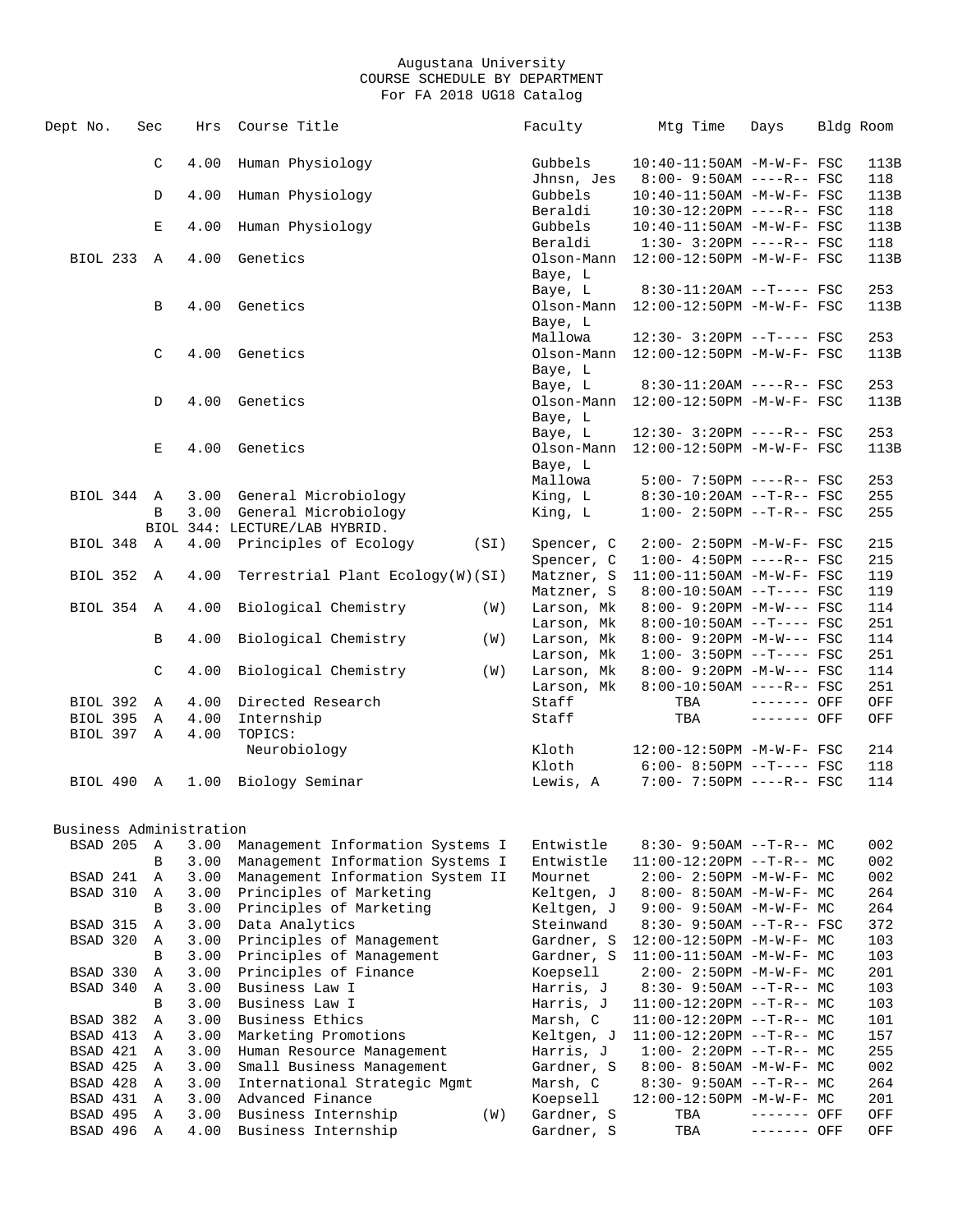| Dept No.                | Sec |              | Hrs  | Course Title                     | Faculty    | Mtg Time                         | Days        | Bldg Room |
|-------------------------|-----|--------------|------|----------------------------------|------------|----------------------------------|-------------|-----------|
|                         |     | C            | 4.00 | Human Physiology                 | Gubbels    | 10:40-11:50AM -M-W-F- FSC        |             | 113B      |
|                         |     |              |      |                                  | Jhnsn, Jes | $8:00 - 9:50AM$ ----R-- FSC      |             | 118       |
|                         |     | D            | 4.00 | Human Physiology                 | Gubbels    | $10:40 - 11:50$ AM $-M-W-F-$ FSC |             | 113B      |
|                         |     |              |      |                                  | Beraldi    | 10:30-12:20PM ----R-- FSC        |             | 118       |
|                         |     | $\mathbf E$  | 4.00 | Human Physiology                 | Gubbels    | 10:40-11:50AM -M-W-F- FSC        |             | 113B      |
|                         |     |              |      |                                  | Beraldi    | $1:30 - 3:20PM$ ----R-- FSC      |             | 118       |
| <b>BIOL 233</b>         |     | A            | 4.00 | Genetics                         | Olson-Mann | 12:00-12:50PM -M-W-F- FSC        |             | 113B      |
|                         |     |              |      |                                  | Baye, L    |                                  |             |           |
|                         |     |              |      |                                  | Baye, L    | $8:30-11:20AM$ --T---- FSC       |             | 253       |
|                         |     | В            |      | 4.00 Genetics                    | Olson-Mann | 12:00-12:50PM -M-W-F- FSC        |             | 113B      |
|                         |     |              |      |                                  | Baye, L    |                                  |             |           |
|                         |     |              |      |                                  | Mallowa    | $12:30 - 3:20PM -T--- FSC$       |             | 253       |
|                         |     | C            | 4.00 | Genetics                         | Olson-Mann | 12:00-12:50PM -M-W-F- FSC        |             | 113B      |
|                         |     |              |      |                                  |            |                                  |             |           |
|                         |     |              |      |                                  | Baye, L    |                                  |             |           |
|                         |     |              |      |                                  | Baye, L    | $8:30-11:20AM$ ----R-- FSC       |             | 253       |
|                         |     | D            | 4.00 | Genetics                         | Olson-Mann | 12:00-12:50PM -M-W-F- FSC        |             | 113B      |
|                         |     |              |      |                                  | Baye, L    |                                  |             |           |
|                         |     |              |      |                                  | Baye, L    | 12:30- 3:20PM ----R-- FSC        |             | 253       |
|                         |     | Е            | 4.00 | Genetics                         | Olson-Mann | 12:00-12:50PM -M-W-F- FSC        |             | 113B      |
|                         |     |              |      |                                  | Baye, L    |                                  |             |           |
|                         |     |              |      |                                  | Mallowa    | $5:00 - 7:50PM$ ----R-- FSC      |             | 253       |
| BIOL 344                |     | A            | 3.00 | General Microbiology             | King, L    | $8:30-10:20AM$ --T-R-- FSC       |             | 255       |
|                         |     | B            |      | 3.00 General Microbiology        | King, L    | $1:00 - 2:50PM -T-R--FSC$        |             | 255       |
|                         |     |              |      | BIOL 344: LECTURE/LAB HYBRID.    |            |                                  |             |           |
| BIOL 348                |     | A            | 4.00 | Principles of Ecology<br>(SI)    | Spencer, C | 2:00- 2:50PM -M-W-F- FSC         |             | 215       |
|                         |     |              |      |                                  | Spencer, C | $1:00-4:50PM$ ----R-- FSC        |             | 215       |
| BIOL 352                |     | A            | 4.00 | Terrestrial Plant Ecology(W)(SI) | Matzner, S | 11:00-11:50AM -M-W-F- FSC        |             | 119       |
|                         |     |              |      |                                  |            |                                  |             |           |
|                         |     |              |      |                                  | Matzner, S | $8:00-10:50AM$ --T---- FSC       |             | 119       |
| BIOL 354                |     | A            | 4.00 | Biological Chemistry<br>(W)      | Larson, Mk | $8:00 - 9:20PM -M-W--- FSC$      |             | 114       |
|                         |     |              |      |                                  | Larson, Mk | $8:00-10:50AM$ --T---- FSC       |             | 251       |
|                         |     | В            | 4.00 | Biological Chemistry<br>(W)      | Larson, Mk | 8:00- 9:20PM -M-W--- FSC         |             | 114       |
|                         |     |              |      |                                  | Larson, Mk | $1:00-3:50PM --T---FSC$          |             | 251       |
|                         |     | $\mathsf{C}$ | 4.00 | Biological Chemistry<br>(W)      | Larson, Mk | 8:00- 9:20PM -M-W--- FSC         |             | 114       |
|                         |     |              |      |                                  | Larson, Mk | $8:00-10:50AM$ ----R-- FSC       |             | 251       |
| BIOL 392                |     | $\mathbb{A}$ | 4.00 | Directed Research                | Staff      | TBA                              | ------- OFF | OFF       |
| BIOL 395                |     | A            | 4.00 | Internship                       | Staff      | TBA                              | $-----$ OFF | OFF       |
| BIOL 397 A              |     |              | 4.00 | TOPICS:                          |            |                                  |             |           |
|                         |     |              |      | Neurobiology                     | Kloth      | 12:00-12:50PM -M-W-F- FSC        |             | 214       |
|                         |     |              |      |                                  | Kloth      | $6:00 - 8:50PM -T--- FSC$        |             | 118       |
|                         |     |              | 1.00 | Biology Seminar                  | Lewis, A   | 7:00- 7:50PM ----R-- FSC         |             | 114       |
| BIOL 490 A              |     |              |      |                                  |            |                                  |             |           |
| Business Administration |     |              |      |                                  |            |                                  |             |           |
| BSAD 205                |     | A            | 3.00 | Management Information Systems I | Entwistle  | $8:30 - 9:50AM -T-R--MC$         |             | 002       |
|                         |     | B            | 3.00 | Management Information Systems I | Entwistle  | $11:00-12:20PM$ --T-R-- MC       |             | 002       |
| BSAD 241                |     | A            | 3.00 |                                  |            |                                  |             | 002       |
|                         |     |              |      | Management Information System II | Mournet    | 2:00- 2:50PM -M-W-F- MC          |             |           |
| BSAD 310                |     | Α            | 3.00 | Principles of Marketing          | Keltgen, J | $8:00 - 8:50AM - M - W - F - MC$ |             | 264       |
|                         |     | B            | 3.00 | Principles of Marketing          | Keltgen, J | 9:00- 9:50AM -M-W-F- MC          |             | 264       |
| BSAD 315                |     | Α            | 3.00 | Data Analytics                   | Steinwand  | $8:30 - 9:50AM -T-R--FSC$        |             | 372       |
| BSAD 320                |     | $\mathbb{A}$ | 3.00 | Principles of Management         | Gardner, S | 12:00-12:50PM -M-W-F- MC         |             | 103       |
|                         |     | B            | 3.00 | Principles of Management         | Gardner, S | $11:00-11:50AM$ -M-W-F- MC       |             | 103       |
| BSAD 330                |     | Α            | 3.00 | Principles of Finance            | Koepsell   | $2:00-2:50PM -M-W-F-MC$          |             | 201       |
| BSAD 340                |     | Α            | 3.00 | Business Law I                   | Harris, J  | $8:30-9:50AM -T-R--MC$           |             | 103       |
|                         |     | B            | 3.00 | Business Law I                   | Harris, J  | $11:00-12:20PM$ --T-R-- MC       |             | 103       |
| BSAD 382                |     | Α            | 3.00 | Business Ethics                  | Marsh, C   | $11:00-12:20PM$ --T-R-- MC       |             | 101       |
| BSAD 413                |     | Α            | 3.00 | Marketing Promotions             | Keltgen, J | $11:00-12:20PM -T-R-- MC$        |             | 157       |
| BSAD 421                |     | Α            | 3.00 | Human Resource Management        | Harris, J  |                                  |             | 255       |
|                         |     |              |      |                                  |            | $1:00-2:20PM -T-R--MC$           |             |           |
| BSAD 425                |     | Α            | 3.00 | Small Business Management        | Gardner, S | $8:00 - 8:50AM$ -M-W-F- MC       |             | 002       |
| BSAD 428                |     | Α            | 3.00 | International Strategic Mgmt     | Marsh, C   | 8:30- 9:50AM --T-R-- MC          |             | 264       |
| BSAD 431                |     | Α            | 3.00 | Advanced Finance                 | Koepsell   | 12:00-12:50PM -M-W-F- MC         |             | 201       |
| BSAD 495                |     | Α            | 3.00 | Business Internship<br>(W)       | Gardner, S | TBA                              | ------- OFF | OFF       |
| BSAD 496                |     | Α            | 4.00 | Business Internship              | Gardner, S | TBA                              | ------- OFF | OFF       |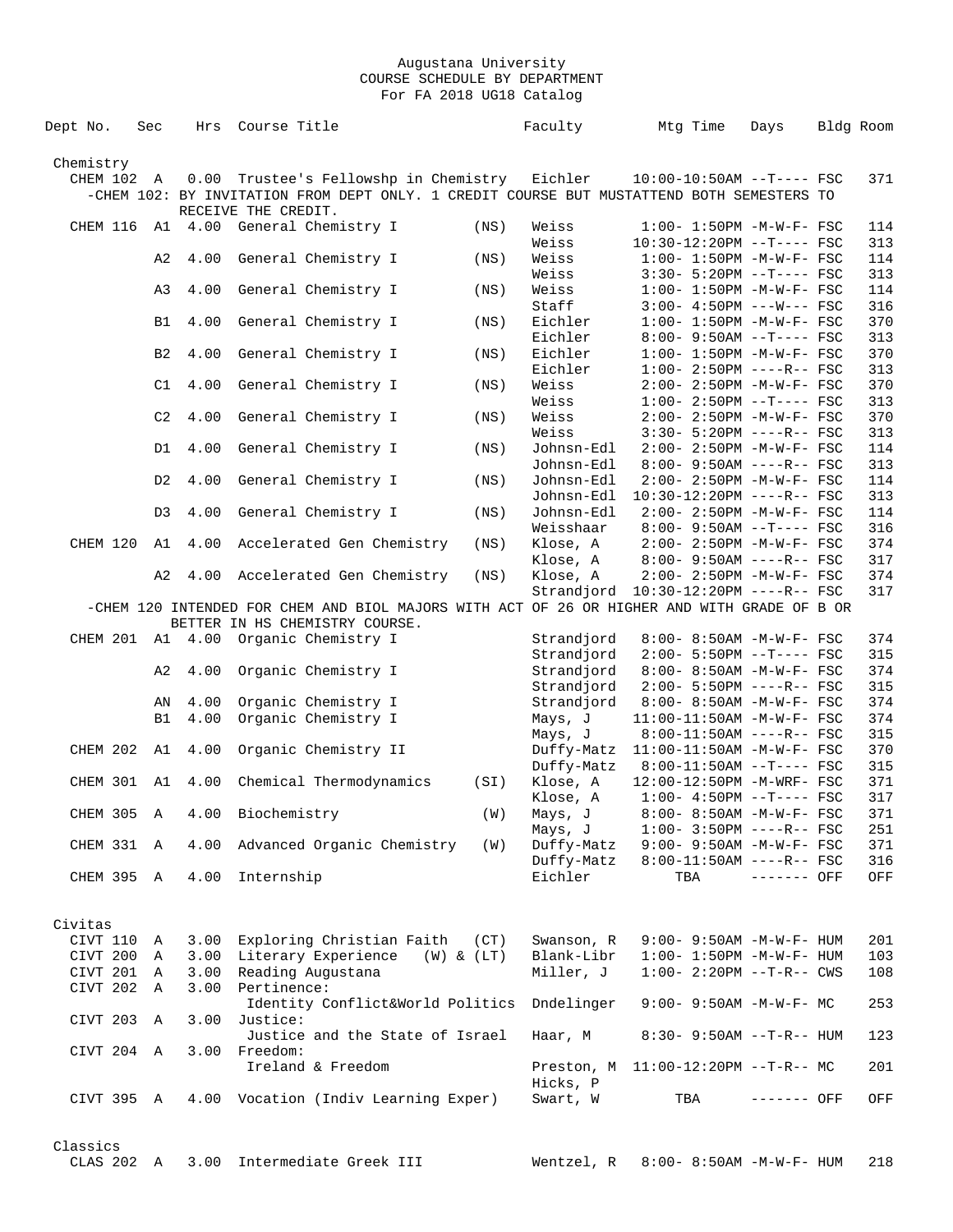| Dept No.   | Sec            | Hrs  | Course Title                 |                                      |                                                                                             | Faculty               |                                       | Mtg Time | Days                                                     | Bldg Room  |
|------------|----------------|------|------------------------------|--------------------------------------|---------------------------------------------------------------------------------------------|-----------------------|---------------------------------------|----------|----------------------------------------------------------|------------|
| Chemistry  |                |      |                              |                                      |                                                                                             |                       |                                       |          |                                                          |            |
| CHEM 102 A |                | 0.00 |                              |                                      | Trustee's Fellowshp in Chemistry Eichler                                                    |                       |                                       |          | $10:00-10:50AM$ --T---- FSC                              | 371        |
|            |                |      |                              |                                      | -CHEM 102: BY INVITATION FROM DEPT ONLY. 1 CREDIT COURSE BUT MUSTATTEND BOTH SEMESTERS TO   |                       |                                       |          |                                                          |            |
|            |                |      | RECEIVE THE CREDIT.          |                                      |                                                                                             |                       |                                       |          |                                                          |            |
| CHEM 116   |                |      |                              | Al 4.00 General Chemistry I          | (NS)                                                                                        | Weiss                 |                                       |          | $1:00 - 1:50PM - M - W - F - FSC$                        | 114        |
|            |                |      |                              |                                      |                                                                                             | Weiss                 |                                       |          | 10:30-12:20PM --T---- FSC                                | 313        |
|            | A2             | 4.00 |                              | General Chemistry I                  | (NS)                                                                                        | Weiss                 |                                       |          | $1:00 - 1:50PM - M - W - F - FSC$                        | 114        |
|            |                |      |                              |                                      |                                                                                             | Weiss                 |                                       |          | $3:30 - 5:20PM -T--- FSC$                                | 313        |
|            | A3             | 4.00 |                              | General Chemistry I                  | (NS)                                                                                        | Weiss                 |                                       |          | $1:00 - 1:50PM - M - W - F - FSC$                        | 114        |
|            |                |      |                              |                                      |                                                                                             | Staff                 |                                       |          | $3:00 - 4:50PM$ ---W--- FSC                              | 316        |
|            | B1             | 4.00 |                              | General Chemistry I                  | (NS)                                                                                        | Eichler               |                                       |          | $1:00 - 1:50PM - M - W - F - FSC$                        | 370        |
|            | B <sub>2</sub> | 4.00 |                              |                                      |                                                                                             | Eichler<br>Eichler    |                                       |          | $8:00 - 9:50AM -T--- FSC$<br>$1:00 - 1:50PM -M-W-F-$ FSC | 313<br>370 |
|            |                |      |                              | General Chemistry I                  | (NS)                                                                                        | Eichler               |                                       |          | $1:00 - 2:50PM$ ----R-- FSC                              | 313        |
|            | C1             | 4.00 |                              | General Chemistry I                  | (NS)                                                                                        | Weiss                 |                                       |          | 2:00- 2:50PM -M-W-F- FSC                                 | 370        |
|            |                |      |                              |                                      |                                                                                             | Weiss                 |                                       |          | $1:00-2:50PM -T---FSC$                                   | 313        |
|            | C <sub>2</sub> | 4.00 |                              | General Chemistry I                  | (NS)                                                                                        | Weiss                 |                                       |          | 2:00- 2:50PM -M-W-F- FSC                                 | 370        |
|            |                |      |                              |                                      |                                                                                             | Weiss                 |                                       |          | $3:30 - 5:20PM$ ----R-- FSC                              | 313        |
|            | D1             | 4.00 |                              | General Chemistry I                  | (NS)                                                                                        | Johnsn-Edl            |                                       |          | $2:00 - 2:50PM - M - W - F - FSC$                        | 114        |
|            |                |      |                              |                                      |                                                                                             | Johnsn-Edl            |                                       |          | $8:00 - 9:50AM$ ----R-- FSC                              | 313        |
|            | D2             | 4.00 |                              | General Chemistry I                  | (NS)                                                                                        | Johnsn-Edl            |                                       |          | 2:00- 2:50PM -M-W-F- FSC                                 | 114        |
|            |                |      |                              |                                      |                                                                                             | Johnsn-Edl            |                                       |          | 10:30-12:20PM ----R-- FSC                                | 313        |
|            | D3             | 4.00 |                              | General Chemistry I                  | (NS)                                                                                        | Johnsn-Edl            |                                       |          | $2:00 - 2:50PM -M-W-F - FSC$                             | 114        |
|            |                |      |                              |                                      |                                                                                             | Weisshaar             |                                       |          | $8:00 - 9:50AM -T--- FSC$                                | 316        |
| CHEM 120   | A1             | 4.00 |                              | Accelerated Gen Chemistry            | (NS)                                                                                        | Klose, A              |                                       |          | $2:00 - 2:50PM - M - W - F - FSC$                        | 374        |
|            |                |      |                              |                                      |                                                                                             | Klose, A              |                                       |          | $8:00 - 9:50AM$ ----R-- FSC                              | 317        |
|            | A <sub>2</sub> | 4.00 |                              | Accelerated Gen Chemistry            | (NS)                                                                                        | Klose, A              |                                       |          | 2:00- 2:50PM -M-W-F- FSC                                 | 374        |
|            |                |      |                              |                                      |                                                                                             |                       | Strandjord  10:30-12:20PM ----R-- FSC |          |                                                          | 317        |
|            |                |      |                              | BETTER IN HS CHEMISTRY COURSE.       | -CHEM 120 INTENDED FOR CHEM AND BIOL MAJORS WITH ACT OF 26 OR HIGHER AND WITH GRADE OF B OR |                       |                                       |          |                                                          |            |
|            |                |      |                              | CHEM 201 A1 4.00 Organic Chemistry I |                                                                                             | Strandjord            |                                       |          | $8:00 - 8:50AM - M - W - F - FSC$                        | 374        |
|            |                |      |                              |                                      |                                                                                             | Strandjord            |                                       |          | $2:00 - 5:50PM -T--- FSC$                                | 315        |
|            | A2             | 4.00 |                              | Organic Chemistry I                  |                                                                                             | Strandjord            |                                       |          | 8:00- 8:50AM -M-W-F- FSC                                 | 374        |
|            |                |      |                              |                                      |                                                                                             | Strandjord            |                                       |          | $2:00-5:50PM$ ----R-- FSC                                | 315        |
|            | ΑN             | 4.00 |                              | Organic Chemistry I                  |                                                                                             | Strandjord            |                                       |          | 8:00- 8:50AM -M-W-F- FSC                                 | 374        |
|            | <b>B1</b>      | 4.00 |                              | Organic Chemistry I                  |                                                                                             | Mays, J               |                                       |          | 11:00-11:50AM -M-W-F- FSC                                | 374        |
|            |                |      |                              |                                      |                                                                                             | Mays, J               |                                       |          | $8:00-11:50AM$ ----R-- FSC                               | 315        |
| CHEM 202   | A1             | 4.00 |                              | Organic Chemistry II                 |                                                                                             | Duffy-Matz            |                                       |          | 11:00-11:50AM -M-W-F- FSC                                | 370        |
|            |                |      |                              |                                      |                                                                                             | Duffy-Matz            |                                       |          | 8:00-11:50AM --T---- FSC                                 | 315        |
| CHEM 301   | A1             | 4.00 |                              | Chemical Thermodynamics              | (SI)                                                                                        | Klose, A              |                                       |          | 12:00-12:50PM -M-WRF- FSC                                | 371        |
|            |                |      |                              |                                      |                                                                                             | Klose, A              |                                       |          | $1:00-4:50PM --T---FSC$                                  | 317        |
|            |                |      | CHEM 305 A 4.00 Biochemistry |                                      | (W)                                                                                         | Mays, J               |                                       |          | 8:00- 8:50AM -M-W-F- FSC                                 | 371        |
|            |                |      |                              | Advanced Organic Chemistry           | (W)                                                                                         | Mays, J<br>Duffy-Matz |                                       |          | $1:00-3:50PM$ ----R-- FSC<br>9:00- 9:50AM -M-W-F- FSC    | 251        |
| CHEM 331 A |                | 4.00 |                              |                                      |                                                                                             | Duffy-Matz            |                                       |          | $8:00-11:50AM$ ----R-- FSC                               | 371<br>316 |
| CHEM 395 A |                | 4.00 | Internship                   |                                      |                                                                                             | Eichler               |                                       | TBA      | ------- OFF                                              | OFF        |
|            |                |      |                              |                                      |                                                                                             |                       |                                       |          |                                                          |            |
|            |                |      |                              |                                      |                                                                                             |                       |                                       |          |                                                          |            |
| Civitas    |                |      |                              |                                      |                                                                                             |                       |                                       |          |                                                          |            |
| CIVT 110   | Α              |      |                              | 3.00 Exploring Christian Faith (CT)  |                                                                                             | Swanson, R            |                                       |          | $9:00 - 9:50AM - M - W - F - HUM$                        | 201        |
| CIVT 200   | A              |      |                              | 3.00 Literary Experience (W) & (LT)  |                                                                                             | Blank-Libr            |                                       |          | $1:00 - 1:50PM -M-W-F - HUM$                             | 103        |
| CIVT 201 A |                | 3.00 |                              | Reading Augustana                    |                                                                                             | Miller, J             |                                       |          | $1:00 - 2:20PM -T-R--CWS$                                | 108        |
| CIVT 202   | A              | 3.00 | Pertinence:                  |                                      |                                                                                             |                       |                                       |          |                                                          |            |
|            |                |      |                              | Identity Conflict&World Politics     |                                                                                             | Dndelinger            |                                       |          | $9:00 - 9:50AM - M-W-F - MC$                             | 253        |
| CIVT 203 A |                | 3.00 | Justice:                     |                                      |                                                                                             |                       |                                       |          |                                                          |            |
|            |                |      |                              | Justice and the State of Israel      |                                                                                             | Haar, M               |                                       |          | 8:30- 9:50AM --T-R-- HUM                                 | 123        |
| CIVT 204 A |                | 3.00 | Freedom:                     | Ireland & Freedom                    |                                                                                             |                       | Preston, M 11:00-12:20PM --T-R-- MC   |          |                                                          | 201        |
|            |                |      |                              |                                      |                                                                                             | Hicks, P              |                                       |          |                                                          |            |
| CIVT 395 A |                |      |                              | 4.00 Vocation (Indiv Learning Exper) |                                                                                             | Swart, W              |                                       | TBA      | ------- OFF                                              | OFF        |
|            |                |      |                              |                                      |                                                                                             |                       |                                       |          |                                                          |            |
|            |                |      |                              |                                      |                                                                                             |                       |                                       |          |                                                          |            |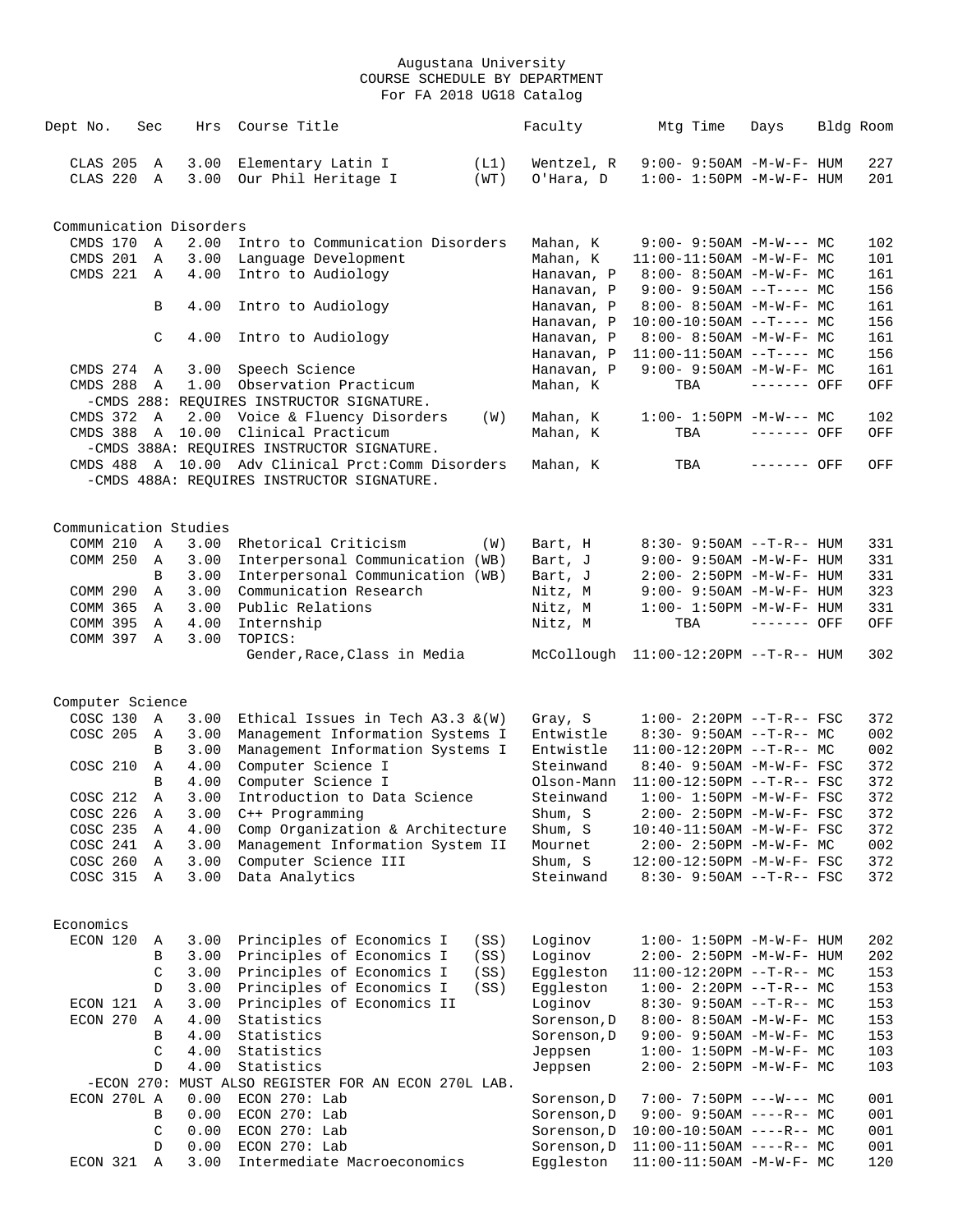| Dept No.                      | Sec           | Hrs                     | Course Title                                                         |      | Faculty                                |     | Mtg Time | Days                                                          | Bldg Room  |
|-------------------------------|---------------|-------------------------|----------------------------------------------------------------------|------|----------------------------------------|-----|----------|---------------------------------------------------------------|------------|
|                               |               |                         |                                                                      |      |                                        |     |          |                                                               |            |
| CLAS 205                      | $\mathbb A$   | 3.00                    | Elementary Latin I                                                   | (L1) | Wentzel, R                             |     |          | 9:00- 9:50AM -M-W-F- HUM                                      | 227        |
| CLAS 220                      | Α             | 3.00                    | Our Phil Heritage I                                                  | (WT) | O'Hara, D                              |     |          | $1:00 - 1:50PM -M-W-F - HUM$                                  | 201        |
|                               |               |                         |                                                                      |      |                                        |     |          |                                                               |            |
|                               |               | Communication Disorders |                                                                      |      |                                        |     |          |                                                               |            |
| CMDS 170                      | $\mathbf{A}$  | 2.00                    | Intro to Communication Disorders                                     |      | Mahan, K                               |     |          | $9:00 - 9:50AM - M-W--- MC$                                   | 102        |
| CMDS 201 A                    |               | 3.00                    | Language Development                                                 |      | Mahan, K                               |     |          | $11:00-11:50AM$ -M-W-F- MC                                    | 101        |
| CMDS 221                      | A             | 4.00                    | Intro to Audiology                                                   |      | Hanavan, P                             |     |          | 8:00- 8:50AM -M-W-F- MC                                       | 161        |
|                               |               |                         |                                                                      |      | Hanavan, P                             |     |          | $9:00 - 9:50AM -T--- MC$                                      | 156        |
|                               | B             | 4.00                    | Intro to Audiology                                                   |      | Hanavan, P                             |     |          | $8:00-8:50AM$ -M-W-F- MC                                      | 161        |
|                               |               |                         |                                                                      |      | Hanavan, P                             |     |          | $10:00-10:50AM$ --T---- MC                                    | 156        |
|                               | C             | 4.00                    | Intro to Audiology                                                   |      | Hanavan, P                             |     |          | $8:00 - 8:50AM - M - W - F - MC$                              | 161        |
|                               |               | 3.00                    | Speech Science                                                       |      | Hanavan, P                             |     |          | $11:00-11:50AM$ --T---- MC                                    | 156<br>161 |
| CMDS 274 A<br><b>CMDS 288</b> | A             | 1.00                    | Observation Practicum                                                |      | Hanavan, P<br>Mahan, K                 | TBA |          | $9:00 - 9:50AM - M - W - F - MC$<br>------- OFF               | OFF        |
|                               |               |                         | -CMDS 288: REQUIRES INSTRUCTOR SIGNATURE.                            |      |                                        |     |          |                                                               |            |
| CMDS 372 A                    |               | 2.00                    | Voice & Fluency Disorders                                            | (W)  | Mahan, K                               |     |          | $1:00-1:50PM -M-W--- MC$                                      | 102        |
|                               |               | CMDS 388 A 10.00        | Clinical Practicum                                                   |      | Mahan, K                               | TBA |          | ------- OFF                                                   | OFF        |
|                               |               |                         | -CMDS 388A: REQUIRES INSTRUCTOR SIGNATURE.                           |      |                                        |     |          |                                                               |            |
|                               |               |                         | CMDS 488 A 10.00 Adv Clinical Prct: Comm Disorders                   |      | Mahan, K                               | TBA |          | ------- OFF                                                   | OFF        |
|                               |               |                         | -CMDS 488A: REQUIRES INSTRUCTOR SIGNATURE.                           |      |                                        |     |          |                                                               |            |
|                               |               |                         |                                                                      |      |                                        |     |          |                                                               |            |
|                               |               |                         |                                                                      |      |                                        |     |          |                                                               |            |
| COMM 210                      |               | Communication Studies   |                                                                      |      |                                        |     |          |                                                               |            |
| COMM 250                      | Α             | 3.00<br>3.00            | Rhetorical Criticism                                                 | (W)  | Bart, H<br>Bart, J                     |     |          | $8:30 - 9:50AM -T-R-- HUM$                                    | 331<br>331 |
|                               | A<br>B        | 3.00                    | Interpersonal Communication (WB)<br>Interpersonal Communication (WB) |      | Bart, J                                |     |          | 9:00- 9:50AM -M-W-F- HUM                                      | 331        |
| COMM 290                      | A             | 3.00                    | Communication Research                                               |      | Nitz, M                                |     |          | 2:00- 2:50PM -M-W-F- HUM<br>$9:00 - 9:50AM - M - W - F - HUM$ | 323        |
| COMM 365                      | A             | 3.00                    | Public Relations                                                     |      | Nitz, M                                |     |          | $1:00 - 1:50PM - M - W - F - HUM$                             | 331        |
| COMM 395                      | A             | 4.00                    | Internship                                                           |      | Nitz, M                                | TBA |          | ------- OFF                                                   | OFF        |
| COMM 397 A                    |               | 3.00                    | TOPICS:                                                              |      |                                        |     |          |                                                               |            |
|                               |               |                         | Gender, Race, Class in Media                                         |      | $McCollough 11:00-12:20PM --T-R-- HUM$ |     |          |                                                               | 302        |
|                               |               |                         |                                                                      |      |                                        |     |          |                                                               |            |
| Computer Science              |               |                         |                                                                      |      |                                        |     |          |                                                               |            |
| COSC 130                      | A             | 3.00                    | Ethical Issues in Tech $A3.3 \& (W)$                                 |      | Gray, S                                |     |          | $1:00 - 2:20PM -T-R--FSC$                                     | 372        |
| COSC 205                      | A             | 3.00                    | Management Information Systems I                                     |      | Entwistle                              |     |          | $8:30 - 9:50AM -T-R--MC$                                      | 002        |
|                               | B             | 3.00                    | Management Information Systems I                                     |      | Entwistle                              |     |          | $11:00-12:20PM --T-R--MC$                                     | 002        |
| COSC 210                      | Α             | 4.00                    | Computer Science I                                                   |      | Steinwand                              |     |          | 8:40- 9:50AM -M-W-F- FSC                                      | 372        |
|                               | B             | 4.00                    | Computer Science I                                                   |      | Olson-Mann                             |     |          | $11:00-12:50PM$ --T-R-- FSC                                   | 372        |
| COSC 212                      | A             | 3.00                    | Introduction to Data Science                                         |      | Steinwand                              |     |          | $1:00 - 1:50PM - M - W - F - FSC$                             | 372        |
| COSC 226                      | Α             | 3.00                    | C++ Programming                                                      |      | Shum, S                                |     |          | 2:00- 2:50PM -M-W-F- FSC                                      | 372        |
| COSC 235                      | Α             | 4.00                    | Comp Organization & Architecture                                     |      | Shum, S                                |     |          | 10:40-11:50AM -M-W-F- FSC                                     | 372        |
| COSC 241                      | Α             | 3.00                    | Management Information System II                                     |      | Mournet                                |     |          | $2:00-2:50PM -M-W-F-MC$                                       | 002        |
| COSC 260                      | Α             | 3.00                    | Computer Science III                                                 |      | Shum, S                                |     |          | 12:00-12:50PM -M-W-F- FSC                                     | 372        |
| COSC 315                      | Α             | 3.00                    | Data Analytics                                                       |      | Steinwand                              |     |          | $8:30 - 9:50AM -T-R--FSC$                                     | 372        |
|                               |               |                         |                                                                      |      |                                        |     |          |                                                               |            |
| Economics                     |               |                         |                                                                      |      |                                        |     |          |                                                               |            |
| ECON 120                      | Α             | 3.00                    | Principles of Economics I                                            | (SS) | Loginov                                |     |          | $1:00 - 1:50PM - M - W - F - HUM$                             | 202        |
|                               | В             | 3.00                    | Principles of Economics I                                            | (SS) | Loginov                                |     |          | 2:00- 2:50PM -M-W-F- HUM                                      | 202        |
|                               | $\mathcal{C}$ | 3.00                    | Principles of Economics I                                            | (SS) | Eggleston                              |     |          | $11:00-12:20PM$ --T-R-- MC                                    | 153        |
|                               | D             | 3.00                    | Principles of Economics I                                            | (SS) | Eqqleston                              |     |          | $1:00-2:20PM -T-R--MC$                                        | 153        |
| ECON 121                      | Α             | 3.00                    | Principles of Economics II                                           |      | Loginov                                |     |          | $8:30 - 9:50AM -T-R-- MC$                                     | 153        |
| ECON 270                      | Α             | 4.00                    | Statistics                                                           |      | Sorenson, D                            |     |          | 8:00- 8:50AM -M-W-F- MC                                       | 153        |
|                               | B             | 4.00                    | Statistics                                                           |      | Sorenson, D                            |     |          | $9:00 - 9:50AM - M - W - F - MC$                              | 153        |
|                               | C             | 4.00                    | Statistics                                                           |      | Jeppsen                                |     |          | $1:00 - 1:50PM - M - W - F - MC$                              | 103        |
|                               | D             | 4.00                    | Statistics                                                           |      | Jeppsen                                |     |          | 2:00- 2:50PM -M-W-F- MC                                       | 103        |
| ECON 270L A                   |               | 0.00                    | -ECON 270: MUST ALSO REGISTER FOR AN ECON 270L LAB.<br>ECON 270: Lab |      |                                        |     |          | $7:00-7:50PM$ ---W--- MC                                      |            |
|                               | B             | 0.00                    | $ECON$ 270: Lab                                                      |      | Sorenson, D<br>Sorenson, D             |     |          | $9:00-9:50AM$ ----R-- MC                                      | 001<br>001 |
|                               | C             | 0.00                    | $ECON$ 270: Lab                                                      |      | Sorenson, D                            |     |          | $10:00-10:50AM$ ----R-- MC                                    | 001        |
|                               | D             | 0.00                    | ECON 270: Lab                                                        |      | Sorenson, D                            |     |          | $11:00-11:50AM$ ----R-- MC                                    | 001        |
| ECON 321                      | Α             | 3.00                    | Intermediate Macroeconomics                                          |      | Eggleston                              |     |          | 11:00-11:50AM -M-W-F- MC                                      | 120        |
|                               |               |                         |                                                                      |      |                                        |     |          |                                                               |            |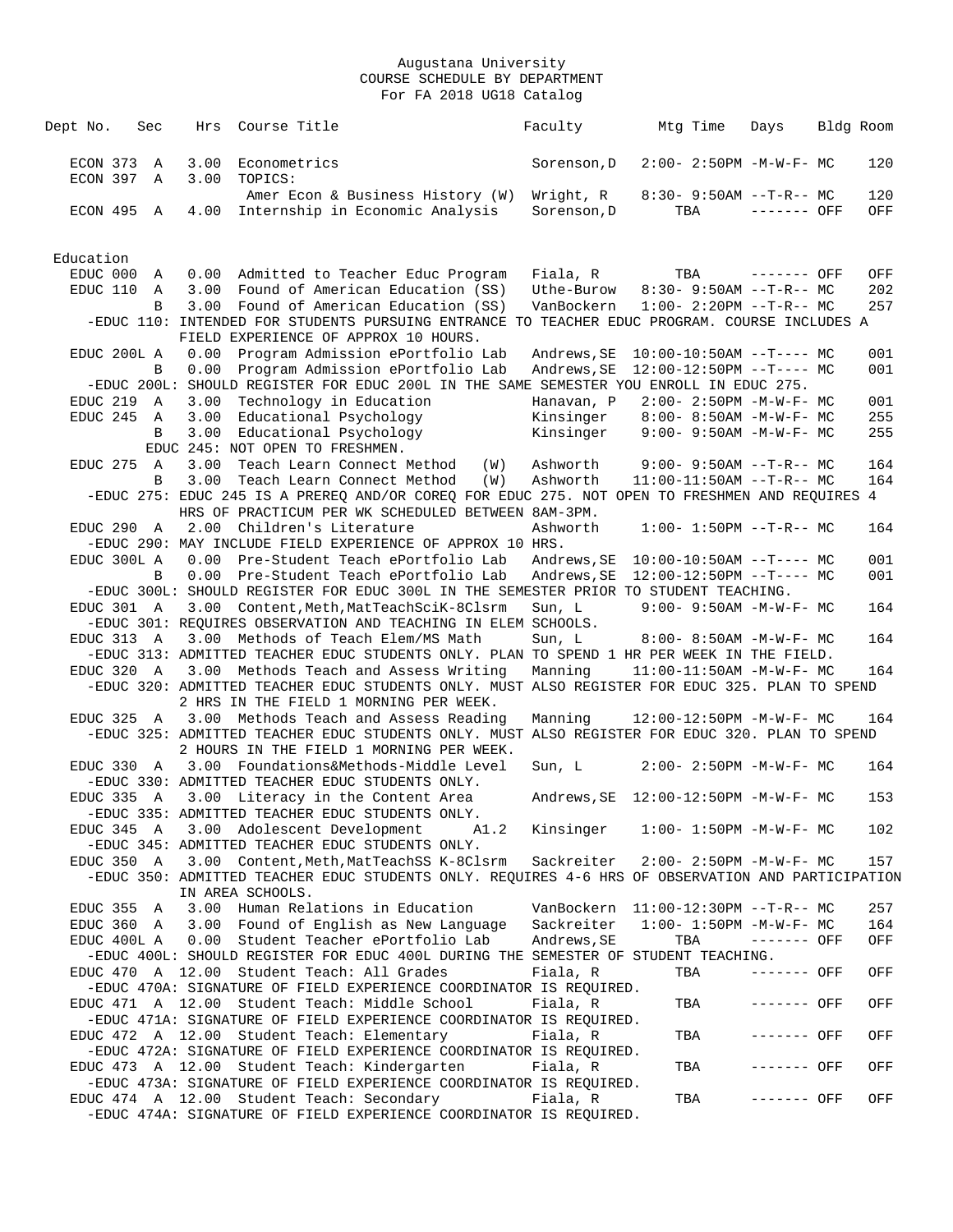| Dept No.  |                      | Sec              | Hrs          | Course Title                                                                                                                                                              |     | Faculty                               | Mtg Time | Days                             | Bldg Room |
|-----------|----------------------|------------------|--------------|---------------------------------------------------------------------------------------------------------------------------------------------------------------------------|-----|---------------------------------------|----------|----------------------------------|-----------|
|           | ECON 373<br>ECON 397 | $\mathbb A$<br>Α | 3.00<br>3.00 | Econometrics<br>TOPICS:                                                                                                                                                   |     | Sorenson, D                           |          | $2:00 - 2:50PM -M-W-F-MC$        | 120       |
|           |                      |                  |              | Amer Econ & Business History (W)                                                                                                                                          |     | Wright, R                             |          | $8:30 - 9:50AM -T-R-- MC$        | 120       |
|           | ECON 495 A           |                  | 4.00         | Internship in Economic Analysis                                                                                                                                           |     | Sorenson, D                           | TBA      | $-----$ OFF                      | OFF       |
| Education |                      |                  |              |                                                                                                                                                                           |     |                                       |          |                                  |           |
|           | EDUC 000             | Α                |              | 0.00 Admitted to Teacher Educ Program                                                                                                                                     |     | Fiala, R                              | TBA      | $------$ OFF                     | OFF       |
|           | EDUC 110             | Α                | 3.00         | Found of American Education (SS)                                                                                                                                          |     | Uthe-Burow                            |          | $8:30-9:50AM --T-R--MC$          | 202       |
|           |                      | B                | 3.00         | Found of American Education (SS)<br>-EDUC 110: INTENDED FOR STUDENTS PURSUING ENTRANCE TO TEACHER EDUC PROGRAM. COURSE INCLUDES A<br>FIELD EXPERIENCE OF APPROX 10 HOURS. |     | VanBockern                            |          | $1:00-2:20PM -T-R--MC$           | 257       |
|           | EDUC 200L A          |                  | 0.00         | Program Admission ePortfolio Lab                                                                                                                                          |     | Andrews, SE                           |          | $10:00-10:50AM$ --T---- MC       | 001       |
|           |                      | B                | 0.00         | Program Admission ePortfolio Lab                                                                                                                                          |     | Andrews, SE                           |          | $12:00-12:50PM$ --T---- MC       | 001       |
|           |                      |                  |              | -EDUC 200L: SHOULD REGISTER FOR EDUC 200L IN THE SAME SEMESTER YOU ENROLL IN EDUC 275.                                                                                    |     |                                       |          |                                  |           |
|           | EDUC 219             | A                | 3.00         | Technology in Education                                                                                                                                                   |     | Hanavan, P                            |          | $2:00 - 2:50PM -M-W-F - MC$      | 001       |
|           | EDUC 245 A           |                  | 3.00         | Educational Psychology                                                                                                                                                    |     | Kinsinger                             |          | $8:00 - 8:50AM - M - W - F - MC$ | 255       |
|           |                      | B                | 3.00         | Educational Psychology<br>EDUC 245: NOT OPEN TO FRESHMEN.                                                                                                                 |     | Kinsinger                             |          | $9:00 - 9:50AM - M - W - F - MC$ | 255       |
|           | EDUC 275 A           |                  | 3.00         | Teach Learn Connect Method                                                                                                                                                | (W) | Ashworth                              |          | $9:00 - 9:50AM$ --T-R-- MC       | 164       |
|           |                      | B                | 3.00         | Teach Learn Connect Method                                                                                                                                                | (W) | Ashworth                              |          | $11:00-11:50AM$ --T-R-- MC       | 164       |
|           |                      |                  |              | -EDUC 275: EDUC 245 IS A PREREO AND/OR COREO FOR EDUC 275. NOT OPEN TO FRESHMEN AND REOUIRES 4                                                                            |     |                                       |          |                                  |           |
|           |                      |                  |              | HRS OF PRACTICUM PER WK SCHEDULED BETWEEN 8AM-3PM.                                                                                                                        |     |                                       |          |                                  |           |
|           | EDUC 290 A           |                  |              | 2.00 Children's Literature                                                                                                                                                |     | Ashworth                              |          | $1:00 - 1:50PM -T-R--MC$         | 164       |
|           |                      |                  |              | -EDUC 290: MAY INCLUDE FIELD EXPERIENCE OF APPROX 10 HRS.                                                                                                                 |     |                                       |          |                                  |           |
|           | EDUC 300L A          | B                | 0.00<br>0.00 | Pre-Student Teach ePortfolio Lab                                                                                                                                          |     | Andrews,SE                            |          | $10:00-10:50AM$ --T---- MC       | 001       |
|           |                      |                  |              | Pre-Student Teach ePortfolio Lab<br>-EDUC 300L: SHOULD REGISTER FOR EDUC 300L IN THE SEMESTER PRIOR TO STUDENT TEACHING.                                                  |     | Andrews, SE                           |          | $12:00-12:50PM$ --T---- MC       | 001       |
|           | EDUC 301 A           |                  |              | 3.00 Content, Meth, MatTeachSciK-8Clsrm                                                                                                                                   |     | Sun, L                                |          | $9:00 - 9:50AM - M - W - F - MC$ | 164       |
|           |                      |                  |              | -EDUC 301: REQUIRES OBSERVATION AND TEACHING IN ELEM SCHOOLS.                                                                                                             |     |                                       |          |                                  |           |
|           | EDUC 313 A           |                  |              | 3.00 Methods of Teach Elem/MS Math                                                                                                                                        |     | Sun, L                                |          | $8:00 - 8:50AM - M - W - F - MC$ | 164       |
|           |                      |                  |              | -EDUC 313: ADMITTED TEACHER EDUC STUDENTS ONLY. PLAN TO SPEND 1 HR PER WEEK IN THE FIELD.                                                                                 |     |                                       |          |                                  |           |
|           | EDUC 320 A           |                  | 3.00         | Methods Teach and Assess Writing                                                                                                                                          |     | Manning                               |          | 11:00-11:50AM -M-W-F- MC         | 164       |
|           |                      |                  |              | -EDUC 320: ADMITTED TEACHER EDUC STUDENTS ONLY. MUST ALSO REGISTER FOR EDUC 325. PLAN TO SPEND<br>2 HRS IN THE FIELD 1 MORNING PER WEEK.                                  |     |                                       |          |                                  |           |
|           | EDUC 325 A           |                  |              | 3.00 Methods Teach and Assess Reading                                                                                                                                     |     | Manning                               |          | 12:00-12:50PM -M-W-F- MC         | 164       |
|           |                      |                  |              | -EDUC 325: ADMITTED TEACHER EDUC STUDENTS ONLY. MUST ALSO REGISTER FOR EDUC 320. PLAN TO SPEND<br>2 HOURS IN THE FIELD 1 MORNING PER WEEK.                                |     |                                       |          |                                  |           |
|           | EDUC 330 A           |                  |              | 3.00 Foundations&Methods-Middle Level<br>-EDUC 330: ADMITTED TEACHER EDUC STUDENTS ONLY.                                                                                  |     | Sun, L                                |          | $2:00 - 2:50PM -M-W-F-MC$        | 164       |
|           | EDUC 335 A           |                  |              | 3.00 Literacy in the Content Area<br>-EDUC 335: ADMITTED TEACHER EDUC STUDENTS ONLY.                                                                                      |     |                                       |          |                                  | 153       |
|           |                      |                  |              | EDUC 345 A 3.00 Adolescent Development A1.2<br>-EDUC 345: ADMITTED TEACHER EDUC STUDENTS ONLY.                                                                            |     | Kinsinger                             |          | $1:00 - 1:50PM - M - W - F - MC$ | 102       |
|           | EDUC 350 A           |                  |              | 3.00 Content, Meth, MatTeachSS K-8Clsrm                                                                                                                                   |     | Sackreiter                            |          | $2:00 - 2:50PM -M-W-F - MC$      | 157       |
|           |                      |                  |              | EDUC 350: ADMITTED TEACHER EDUC STUDENTS ONLY. REQUIRES 4-6 HRS OF OBSERVATION AND PARTICIPATION-<br>IN AREA SCHOOLS.                                                     |     |                                       |          |                                  |           |
|           | EDUC 355 A           |                  |              | 3.00 Human Relations in Education                                                                                                                                         |     | VanBockern $11:00-12:30PM$ --T-R-- MC |          |                                  | 257       |
|           | EDUC 360 A           |                  |              | 3.00 Found of English as New Language                                                                                                                                     |     | Sackreiter                            |          | $1:00 - 1:50PM - M - W - F - MC$ | 164       |
|           | EDUC 400L A          |                  |              | 0.00 Student Teacher ePortfolio Lab                                                                                                                                       |     | Andrews, SE                           | TBA      | ------- OFF                      | OFF       |
|           |                      |                  |              | -EDUC 400L: SHOULD REGISTER FOR EDUC 400L DURING THE SEMESTER OF STUDENT TEACHING.<br>EDUC 470 A 12.00 Student Teach: All Grades                                          |     | Fiala, R                              | TBA      | ------- OFF                      |           |
|           |                      |                  |              | -EDUC 470A: SIGNATURE OF FIELD EXPERIENCE COORDINATOR IS REQUIRED.                                                                                                        |     |                                       |          |                                  | OFF       |
|           |                      |                  |              | EDUC 471 A 12.00 Student Teach: Middle School<br>-EDUC 471A: SIGNATURE OF FIELD EXPERIENCE COORDINATOR IS REQUIRED.                                                       |     | Fiala, R                              | TBA      | ------- OFF                      | OFF       |
|           |                      |                  |              | EDUC 472 A 12.00 Student Teach: Elementary                                                                                                                                |     | Fiala, R                              | TBA      | ------- OFF                      | OFF       |
|           |                      |                  |              | -EDUC 472A: SIGNATURE OF FIELD EXPERIENCE COORDINATOR IS REQUIRED.<br>EDUC 473 A 12.00 Student Teach: Kindergarten                                                        |     | Fiala, R                              | TBA      | ------- OFF                      | OFF       |
|           |                      |                  |              | -EDUC 473A: SIGNATURE OF FIELD EXPERIENCE COORDINATOR IS REQUIRED.                                                                                                        |     |                                       |          |                                  |           |
|           |                      |                  |              | EDUC 474 A 12.00 Student Teach: Secondary<br>-EDUC 474A: SIGNATURE OF FIELD EXPERIENCE COORDINATOR IS REQUIRED.                                                           |     | Fiala, R                              | TBA      | ------- OFF                      | OFF       |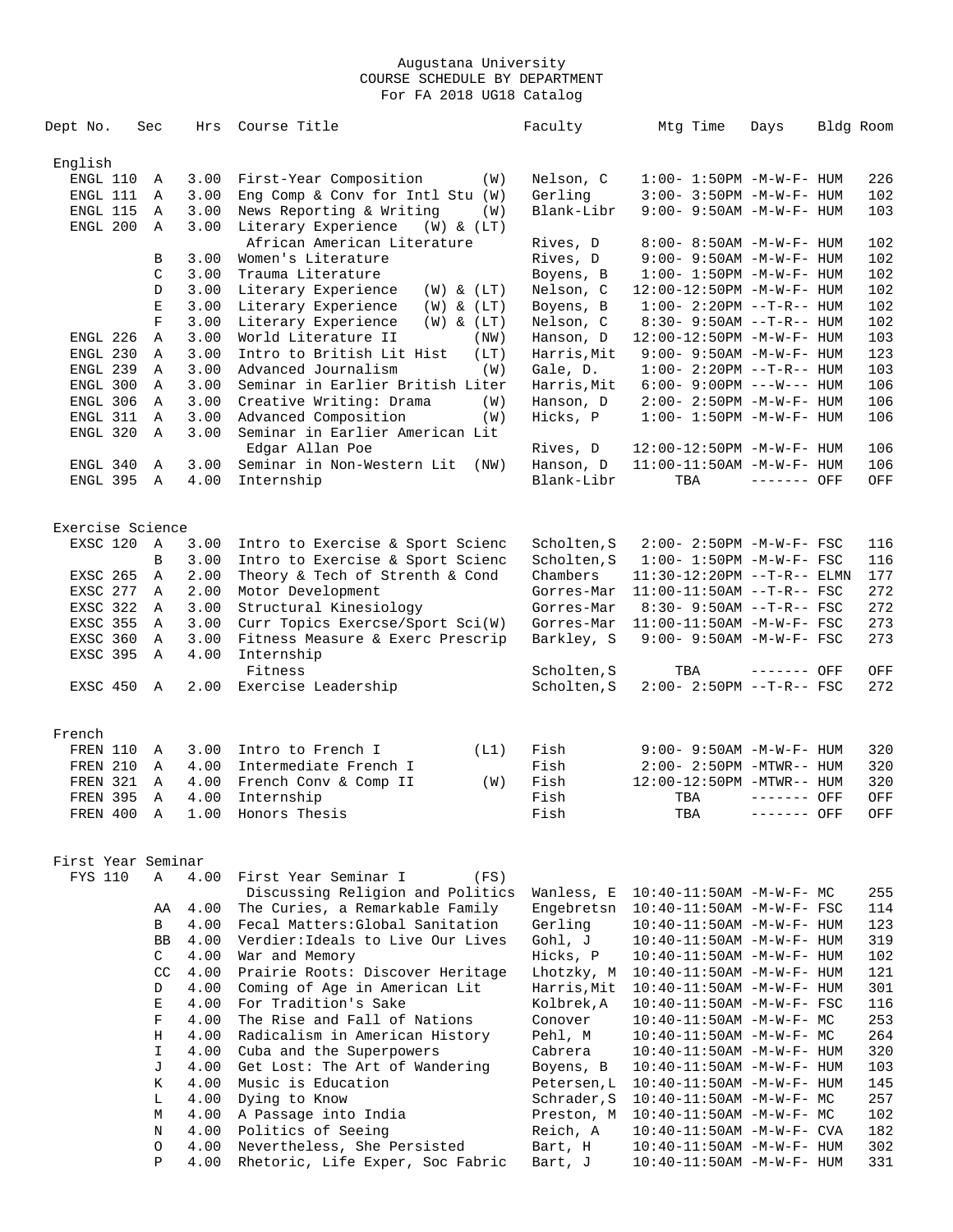| Dept No.           | Sec                  | Hrs  | Course Title                                                         | Faculty     | Mtg Time                          | Days        | Bldg Room |
|--------------------|----------------------|------|----------------------------------------------------------------------|-------------|-----------------------------------|-------------|-----------|
| English            |                      |      |                                                                      |             |                                   |             |           |
| ENGL 110           |                      |      |                                                                      |             |                                   |             |           |
|                    | Α                    | 3.00 | First-Year Composition<br>(W)                                        | Nelson, C   | $1:00 - 1:50PM - M - W - F - HUM$ |             | 226       |
| ENGL 111           | Α                    | 3.00 | Eng Comp & Conv for Intl Stu $(W)$                                   | Gerling     | 3:00- 3:50PM -M-W-F- HUM          |             | 102       |
| ENGL 115           | Α                    | 3.00 | News Reporting & Writing<br>(W)                                      | Blank-Libr  | 9:00- 9:50AM -M-W-F- HUM          |             | 103       |
| ENGL 200           | Α                    | 3.00 | Literary Experience<br>$(W)$ & $(LT)$<br>African American Literature | Rives, D    | 8:00- 8:50AM -M-W-F- HUM          |             | 102       |
|                    | B                    | 3.00 | Women's Literature                                                   | Rives, D    | $9:00 - 9:50AM - M - W - F - HUM$ |             | 102       |
|                    |                      |      |                                                                      |             |                                   |             |           |
|                    | C                    | 3.00 | Trauma Literature                                                    | Boyens, B   | $1:00 - 1:50PM - M - W - F - HUM$ |             | 102       |
|                    | D                    | 3.00 | Literary Experience<br>$(W)$ & $(LT)$                                | Nelson, C   | 12:00-12:50PM -M-W-F- HUM         |             | 102       |
|                    | $\mathbf E$          | 3.00 | Literary Experience<br>$(W)$ & $(LT)$                                | Boyens, B   | $1:00 - 2:20PM -T-R--HUM$         |             | 102       |
|                    | $\mathbf F$          | 3.00 | Literary Experience<br>$(W)$ & $(LT)$                                | Nelson, C   | $8:30 - 9:50AM -T-R-- HUM$        |             | 102       |
| ENGL 226           | Α                    | 3.00 | World Literature II<br>(NW)                                          | Hanson, D   | 12:00-12:50PM -M-W-F- HUM         |             | 103       |
| ENGL 230           | Α                    | 3.00 | Intro to British Lit Hist<br>(LT)                                    | Harris, Mit | $9:00 - 9:50AM - M - W - F - HUM$ |             | 123       |
| ENGL 239           | A                    | 3.00 | Advanced Journalism<br>(W)                                           | Gale, D.    | $1:00 - 2:20PM -T-R--HUM$         |             | 103       |
| ENGL 300           | Α                    | 3.00 | Seminar in Earlier British Liter                                     | Harris, Mit | $6:00 - 9:00PM$ ---W--- HUM       |             | 106       |
| ENGL 306           | Α                    | 3.00 | Creative Writing: Drama<br>(W)                                       | Hanson, D   | $2:00 - 2:50PM -M-W-F - HUM$      |             | 106       |
| ENGL 311           | A                    | 3.00 | Advanced Composition<br>(W)                                          | Hicks, P    | $1:00 - 1:50PM - M - W - F - HUM$ |             | 106       |
| ENGL 320           | Α                    | 3.00 | Seminar in Earlier American Lit                                      |             |                                   |             |           |
|                    |                      |      | Edgar Allan Poe                                                      | Rives, D    | 12:00-12:50PM -M-W-F- HUM         |             | 106       |
| ENGL 340           | A                    | 3.00 | Seminar in Non-Western Lit (NW)                                      | Hanson, D   | 11:00-11:50AM -M-W-F- HUM         |             | 106       |
| ENGL 395 A         |                      | 4.00 | Internship                                                           | Blank-Libr  | TBA                               | ------- OFF | OFF       |
|                    |                      |      |                                                                      |             |                                   |             |           |
| Exercise Science   |                      |      |                                                                      |             |                                   |             |           |
| EXSC 120           | A                    | 3.00 | Intro to Exercise & Sport Scienc                                     | Scholten, S | 2:00- 2:50PM -M-W-F- FSC          |             | 116       |
|                    | B                    | 3.00 | Intro to Exercise & Sport Scienc                                     | Scholten, S | $1:00 - 1:50PM - M - W - F - FSC$ |             | 116       |
| EXSC 265           | Α                    | 2.00 | Theory & Tech of Strenth & Cond                                      | Chambers    |                                   |             | 177       |
|                    |                      |      |                                                                      |             | $11:30-12:20PM --T-R--ELMN$       |             | 272       |
| EXSC 277           | Α                    | 2.00 | Motor Development                                                    | Gorres-Mar  | $11:00-11:50AM$ --T-R-- FSC       |             |           |
| EXSC 322           | Α                    | 3.00 | Structural Kinesiology                                               | Gorres-Mar  | $8:30 - 9:50AM -T-R--FSC$         |             | 272       |
| EXSC 355           | A                    | 3.00 | Curr Topics Exercse/Sport Sci(W)                                     | Gorres-Mar  | $11:00-11:50AM$ -M-W-F- FSC       |             | 273       |
| EXSC 360           | A                    | 3.00 | Fitness Measure & Exerc Prescrip                                     | Barkley, S  | 9:00- 9:50AM -M-W-F- FSC          |             | 273       |
| EXSC 395           | Α                    | 4.00 | Internship                                                           |             |                                   |             |           |
|                    |                      |      | Fitness                                                              | Scholten, S | TBA                               | ------- OFF | OFF       |
| EXSC 450           | A                    | 2.00 | Exercise Leadership                                                  | Scholten, S | 2:00- 2:50PM --T-R-- FSC          |             | 272       |
|                    |                      |      |                                                                      |             |                                   |             |           |
| French             |                      |      |                                                                      |             |                                   |             |           |
| FREN 110           | Α                    | 3.00 | Intro to French I<br>(L1)                                            | Fish        | 9:00- 9:50AM -M-W-F- HUM          |             | 320       |
| FREN 210           | Α                    | 4.00 | Intermediate French I                                                | Fish        | $2:00 - 2:50PM - MTWR - - HUM$    |             | 320       |
| FREN 321           | A                    | 4.00 | French Conv & Comp II<br>(W)                                         | Fish        | 12:00-12:50PM -MTWR-- HUM         |             | 320       |
| <b>FREN 395</b>    | Α                    | 4.00 | Internship                                                           | Fish        | TBA                               | ------- OFF | OFF       |
| FREN 400           | Α                    | 1.00 | Honors Thesis                                                        | Fish        | TBA                               | ------- OFF | OFF       |
|                    |                      |      |                                                                      |             |                                   |             |           |
| First Year Seminar |                      |      |                                                                      |             |                                   |             |           |
| <b>FYS 110</b>     | Α                    | 4.00 | First Year Seminar I<br>(FS)                                         |             |                                   |             |           |
|                    |                      |      | Discussing Religion and Politics                                     | Wanless, E  | $10:40-11:50AM$ -M-W-F- MC        |             | 255       |
|                    | AA                   | 4.00 | The Curies, a Remarkable Family                                      | Engebretsn  | 10:40-11:50AM -M-W-F- FSC         |             | 114       |
|                    | B                    | 4.00 | Fecal Matters: Global Sanitation                                     | Gerling     | 10:40-11:50AM -M-W-F- HUM         |             | 123       |
|                    | <b>BB</b>            | 4.00 | Verdier: Ideals to Live Our Lives                                    | Gohl, J     | 10:40-11:50AM -M-W-F- HUM         |             | 319       |
|                    |                      |      |                                                                      |             |                                   |             |           |
|                    | $\mathsf{C}^-$<br>CC | 4.00 | War and Memory                                                       | Hicks, P    | 10:40-11:50AM -M-W-F- HUM         |             | 102       |
|                    |                      | 4.00 | Prairie Roots: Discover Heritage                                     | Lhotzky, M  | $10:40 - 11:50$ AM $-M-W-F-$ HUM  |             | 121       |
|                    | D                    | 4.00 | Coming of Age in American Lit                                        | Harris, Mit | 10:40-11:50AM -M-W-F- HUM         |             | 301       |
|                    | E                    | 4.00 | For Tradition's Sake                                                 | Kolbrek, A  | 10:40-11:50AM -M-W-F- FSC         |             | 116       |
|                    | F                    | 4.00 | The Rise and Fall of Nations                                         | Conover     | $10:40-11:50AM$ -M-W-F- MC        |             | 253       |
|                    | H                    | 4.00 | Radicalism in American History                                       | Pehl, M     | 10:40-11:50AM -M-W-F- MC          |             | 264       |
|                    | $\mathbf{I}$         | 4.00 | Cuba and the Superpowers                                             | Cabrera     | $10:40 - 11:50$ AM $-M-W-F-$ HUM  |             | 320       |
|                    | J                    | 4.00 | Get Lost: The Art of Wandering                                       | Boyens, B   | 10:40-11:50AM -M-W-F- HUM         |             | 103       |
|                    | K                    | 4.00 | Music is Education                                                   | Petersen, L | $10:40 - 11:50AM$ -M-W-F- HUM     |             | 145       |
|                    | L                    | 4.00 | Dying to Know                                                        | Schrader, S | $10:40-11:50AM$ -M-W-F- MC        |             | 257       |
|                    | М                    | 4.00 | A Passage into India                                                 | Preston, M  | $10:40-11:50AM$ -M-W-F- MC        |             | 102       |
|                    | N                    | 4.00 | Politics of Seeing                                                   | Reich, A    | $10:40 - 11:50$ AM $-M-W-F-$ CVA  |             | 182       |
|                    | $\circ$              | 4.00 | Nevertheless, She Persisted                                          | Bart, H     | 10:40-11:50AM -M-W-F- HUM         |             | 302       |
|                    | $\mathbf{P}$         | 4.00 | Rhetoric, Life Exper, Soc Fabric                                     | Bart, J     | 10:40-11:50AM -M-W-F- HUM         |             | 331       |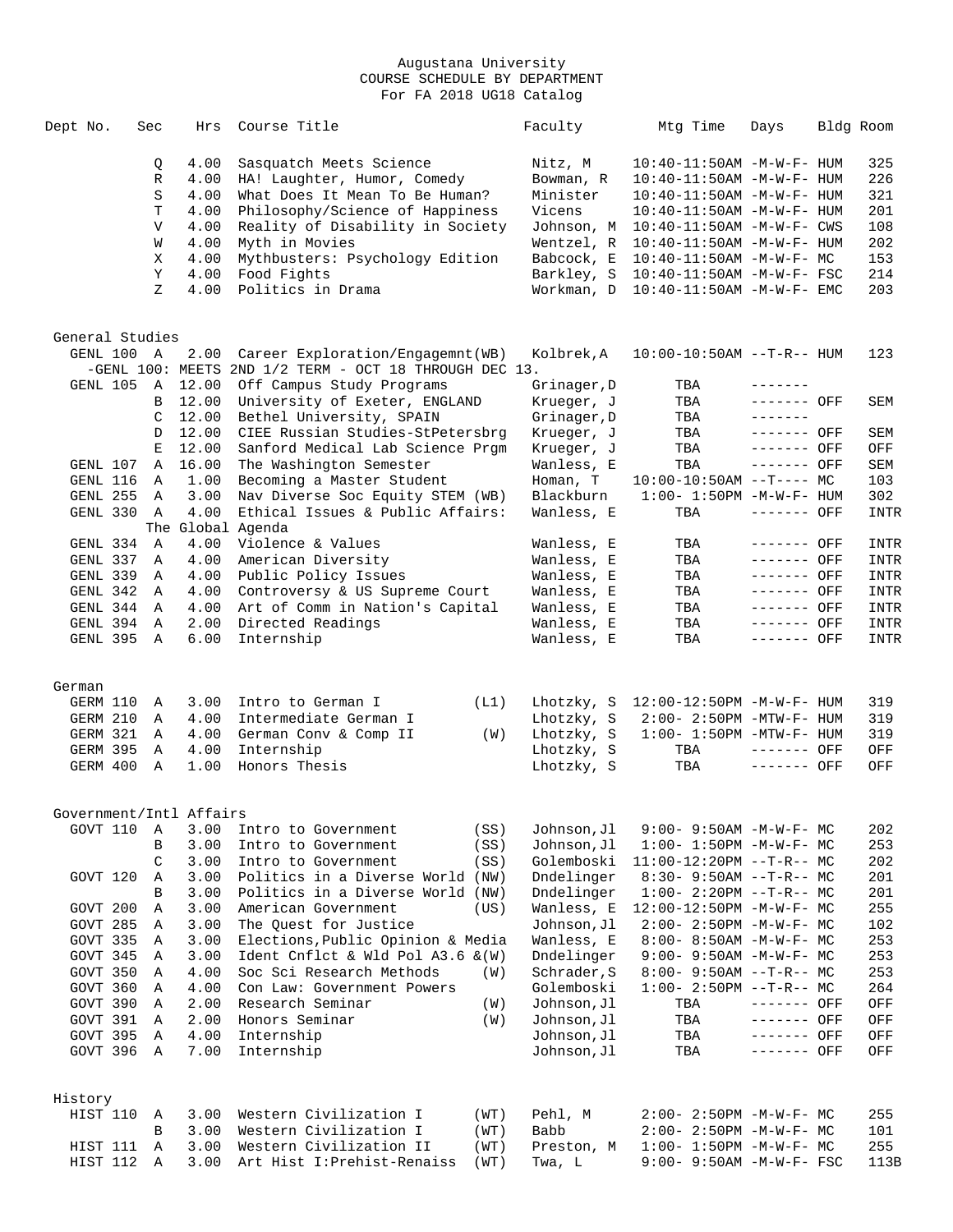| Dept No.                    | Sec            | Hrs            | Course Title                                                  |      | Faculty                | Mtg Time                          | Days                             | Bldg Room   |
|-----------------------------|----------------|----------------|---------------------------------------------------------------|------|------------------------|-----------------------------------|----------------------------------|-------------|
|                             | Q              | 4.00           | Sasquatch Meets Science                                       |      | Nitz, M                | $10:40 - 11:50AM$ $-M-W-F-$ HUM   |                                  | 325         |
|                             | R              | 4.00           | HA! Laughter, Humor, Comedy                                   |      | Bowman, R              | $10:40 - 11:50AM$ -M-W-F- HUM     |                                  | 226         |
|                             | S              | 4.00           | What Does It Mean To Be Human?                                |      | Minister               | $10:40 - 11:50AM$ -M-W-F- HUM     |                                  | 321         |
|                             | T              | 4.00           | Philosophy/Science of Happiness                               |      | Vicens                 | $10:40 - 11:50AM$ -M-W-F- HUM     |                                  | 201         |
|                             | $\mathbf v$    | 4.00           | Reality of Disability in Society                              |      | Johnson, M             | $10:40 - 11:50AM$ -M-W-F- CWS     |                                  | 108         |
|                             | W              | 4.00           | Myth in Movies                                                |      | Wentzel, R             | $10:40 - 11:50AM$ -M-W-F- HUM     |                                  | 202         |
|                             | Χ              | 4.00           | Mythbusters: Psychology Edition                               |      | Babcock, E             | $10:40-11:50AM$ -M-W-F- MC        |                                  | 153         |
|                             | Y              | 4.00           | Food Fights                                                   |      | Barkley, S             | $10:40 - 11:50AM$ -M-W-F- FSC     |                                  | 214         |
|                             | Ζ              | 4.00           | Politics in Drama                                             |      | Workman, D             | $10:40 - 11:50AM$ -M-W-F- EMC     |                                  | 203         |
|                             |                |                |                                                               |      |                        |                                   |                                  |             |
| General Studies<br>GENL 100 | A              | 2.00           | Career Exploration/Engagemnt(WB)                              |      | Kolbrek,A              | $10:00-10:50AM$ --T-R-- HUM       |                                  | 123         |
|                             |                |                | -GENL $100$ : MEETS 2ND $1/2$ TERM - OCT 18 THROUGH DEC 13.   |      |                        |                                   |                                  |             |
| GENL 105                    | $\mathbb A$    | 12.00          | Off Campus Study Programs                                     |      | Grinager, D            | TBA                               | -------                          |             |
|                             |                | 12.00          | University of Exeter, ENGLAND                                 |      |                        | TBA                               |                                  |             |
|                             | B              |                |                                                               |      | Krueger, J             |                                   | ------- OFF<br>$- - - - - - - -$ | SEM         |
|                             | C              | 12.00          | Bethel University, SPAIN                                      |      | Grinager, D            | TBA                               |                                  |             |
|                             | D              | 12.00          | CIEE Russian Studies-StPetersbrg                              |      | Krueger, J             | TBA                               | ------- OFF                      | SEM         |
|                             | Ε              | 12.00<br>16.00 | Sanford Medical Lab Science Prgm<br>The Washington Semester   |      | Krueger, J             | TBA                               | ------- OFF<br>------- OFF       | OFF         |
| GENL 107                    | Α              | 1.00           |                                                               |      | Wanless, E<br>Homan, T | TBA                               |                                  | SEM         |
| GENL 116<br>GENL 255        | Α              | 3.00           | Becoming a Master Student<br>Nav Diverse Soc Equity STEM (WB) |      | Blackburn              | $10:00-10:50AM$ --T---- MC        |                                  | 103<br>302  |
| GENL 330                    | A<br>Α         | 4.00           | Ethical Issues & Public Affairs:                              |      | Wanless, E             | $1:00 - 1:50PM - M - W - F - HUM$ | ------- OFF                      |             |
|                             |                |                | The Global Agenda                                             |      |                        | TBA                               |                                  | INTR        |
| GENL 334                    | $\overline{A}$ | 4.00           | Violence & Values                                             |      | Wanless, E             | TBA                               | ------- OFF                      | INTR        |
| GENL 337                    | Α              | 4.00           | American Diversity                                            |      | Wanless, E             | TBA                               | ------- OFF                      | INTR        |
| GENL 339                    | Α              | 4.00           | Public Policy Issues                                          |      | Wanless, E             | TBA                               | $------$ OFF                     | INTR        |
| GENL 342                    | Α              | 4.00           | Controversy & US Supreme Court                                |      | Wanless, E             | TBA                               | $-----$ OFF                      | INTR        |
| GENL 344                    | Α              | 4.00           | Art of Comm in Nation's Capital                               |      | Wanless, E             | TBA                               | ------- OFF                      | <b>INTR</b> |
| GENL 394                    | A              | 2.00           | Directed Readings                                             |      | Wanless, E             | TBA                               | $-----$ OFF                      | INTR        |
| GENL 395                    | A              | 6.00           | Internship                                                    |      | Wanless, E             | TBA                               | ------- OFF                      | INTR        |
|                             |                |                |                                                               |      |                        |                                   |                                  |             |
| German<br>GERM 110          | A              | 3.00           | Intro to German I                                             | (L1) | Lhotzky, S             | 12:00-12:50PM -M-W-F- HUM         |                                  | 319         |
| GERM 210                    | Α              | 4.00           | Intermediate German I                                         |      | Lhotzky, S             | $2:00 - 2:50PM - MTW - F - HUM$   |                                  | 319         |
| GERM 321                    | A              | 4.00           | German Conv & Comp II                                         | (W)  | Lhotzky, S             | $1:00-1:50PM -MTW-F-HUM$          |                                  | 319         |
| <b>GERM 395</b>             | Α              | 4.00           | Internship                                                    |      | Lhotzky, S             | TBA                               | $------$ OFF                     | OFF         |
| GERM 400                    | Α              | 1.00           | Honors Thesis                                                 |      | Lhotzky, S             | TBA                               | ------- OFF                      | OFF         |
| Government/Intl Affairs     |                |                |                                                               |      |                        |                                   |                                  |             |
| GOVT 110                    | Α              | 3.00           | Intro to Government                                           | (SS) | Johnson, Jl            | $9:00 - 9:50AM - M - W - F - MC$  |                                  | 202         |
|                             | B              | 3.00           | Intro to Government                                           | (SS) | Johnson, Jl            | $1:00 - 1:50PM - M - W - F - MC$  |                                  | 253         |
|                             | C              | 3.00           | Intro to Government                                           | (SS) | Golemboski             | $11:00-12:20PM$ --T-R-- MC        |                                  | 202         |
| GOVT 120                    | Α              | 3.00           | Politics in a Diverse World (NW)                              |      | Dndelinger             | $8:30 - 9:50AM -T-R--MC$          |                                  | 201         |
|                             | B              | 3.00           | Politics in a Diverse World (NW)                              |      | Dndelinger             | $1:00-2:20PM -T-R--MC$            |                                  | 201         |
| GOVT 200                    | Α              | 3.00           | American Government                                           | (US) | Wanless, E             | 12:00-12:50PM -M-W-F- MC          |                                  | 255         |
| GOVT 285                    | Α              | 3.00           | The Quest for Justice                                         |      | Johnson, Jl            | $2:00 - 2:50PM -M-W-F - MC$       |                                  | 102         |
| GOVT 335                    | Α              | 3.00           | Elections, Public Opinion & Media                             |      | Wanless, E             | $8:00 - 8:50AM - M - W - F - MC$  |                                  | 253         |
| GOVT 345                    | Α              | 3.00           | Ident Cnflct & Wld Pol A3.6 & (W)                             |      | Dndelinger             | $9:00 - 9:50AM - M - W - F - MC$  |                                  | 253         |
| GOVT 350                    | Α              | 4.00           | Soc Sci Research Methods                                      | (W)  | Schrader, S            | $8:00 - 9:50AM -T-R-- MC$         |                                  | 253         |
| GOVT 360                    | Α              | 4.00           | Con Law: Government Powers                                    |      | Golemboski             | $1:00-2:50PM -T-R--MC$            |                                  | 264         |
| GOVT 390                    | Α              | 2.00           | Research Seminar                                              | (W)  | Johnson, Jl            | TBA                               | ------- OFF                      | OFF         |
| GOVT 391                    | A              | 2.00           | Honors Seminar                                                | (W)  | Johnson, Jl            | TBA                               | ------- OFF                      | OFF         |
| GOVT 395                    | Α              | 4.00           | Internship                                                    |      | Johnson, Jl            | TBA                               | ------- OFF                      | OFF         |
| GOVT 396                    | Α              | 7.00           | Internship                                                    |      | Johnson, Jl            | TBA                               | ------- OFF                      | OFF         |
|                             |                |                |                                                               |      |                        |                                   |                                  |             |
| History                     |                |                |                                                               |      |                        |                                   |                                  |             |
| HIST 110                    | Α              | 3.00           | Western Civilization I                                        | (WT) | Pehl, M                | $2:00-2:50PM -M-W-F-MC$           |                                  | 255         |
|                             | B              | 3.00<br>3.00   | Western Civilization I<br>Western Civilization II             | (WT) | Babb                   | $2:00-2:50PM -M-W-F-MC$           |                                  | 101         |
| HIST 111                    | Α<br>Α         |                | Art Hist I: Prehist-Renaiss                                   | (WT) | Preston, M             | $1:00 - 1:50PM - M - W - F - MC$  |                                  | 255         |
| HIST 112                    |                | 3.00           |                                                               | (WT) | Twa, L                 | 9:00- 9:50AM -M-W-F- FSC          |                                  | 113B        |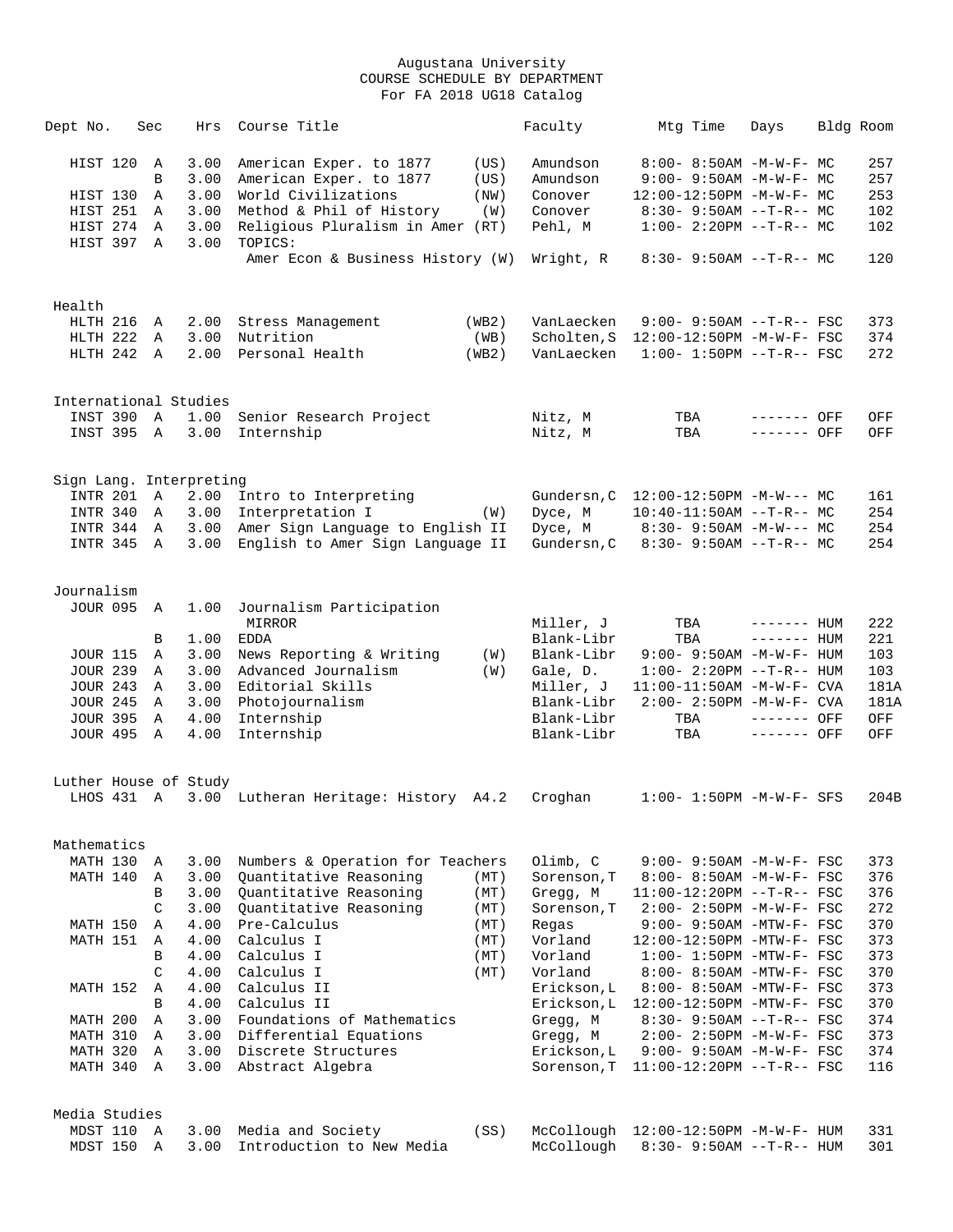| Dept No.             | Sec           | Hrs                     | Course Title                                                         |              | Faculty                | Mtg Time                                                          | Days         | Bldg Room  |
|----------------------|---------------|-------------------------|----------------------------------------------------------------------|--------------|------------------------|-------------------------------------------------------------------|--------------|------------|
| HIST 120             | Α             | 3.00                    | American Exper. to 1877                                              | (US)         | Amundson               | 8:00- 8:50AM -M-W-F- MC                                           |              | 257        |
|                      | B             | 3.00                    | American Exper. to 1877                                              | (US)         | Amundson               | 9:00- 9:50AM -M-W-F- MC                                           |              | 257        |
| HIST 130             | Α             | 3.00                    | World Civilizations                                                  | (NW)         | Conover                | 12:00-12:50PM -M-W-F- MC                                          |              | 253        |
| HIST 251             | Α             | 3.00                    | Method & Phil of History                                             | (W)          | Conover                | $8:30 - 9:50AM -T-R-- MC$                                         |              | 102        |
| HIST 274             | Α             | 3.00                    | Religious Pluralism in Amer (RT)                                     |              | Pehl, M                | $1:00-2:20PM -T-R--MC$                                            |              | 102        |
| HIST 397             | Α             | 3.00                    | TOPICS:                                                              |              |                        |                                                                   |              |            |
|                      |               |                         | Amer Econ & Business History (W)                                     |              | Wright, R              | $8:30-9:50AM --T-R--MC$                                           |              | 120        |
|                      |               |                         |                                                                      |              |                        |                                                                   |              |            |
| Health               |               |                         |                                                                      |              |                        |                                                                   |              |            |
| HLTH 216             | Α             | 2.00                    | Stress Management                                                    | (WB2)        | VanLaecken             | $9:00 - 9:50AM -T-R--FSC$                                         |              | 373        |
| HLTH 222             | Α             | 3.00                    | Nutrition                                                            | (WB)         | Scholten, S            | 12:00-12:50PM -M-W-F- FSC                                         |              | 374        |
| HLTH 242 A           |               | 2.00                    | Personal Health                                                      | (WB2)        | VanLaecken             | $1:00-1:50PM -T-R--FSC$                                           |              | 272        |
|                      |               | International Studies   |                                                                      |              |                        |                                                                   |              |            |
| INST 390 A           |               |                         | 1.00 Senior Research Project                                         |              | Nitz, M                | TBA                                                               | ------- OFF  | OFF        |
| INST 395 A           |               | 3.00                    | Internship                                                           |              | Nitz, M                | TBA                                                               | ------- OFF  | OFF        |
|                      |               |                         |                                                                      |              |                        |                                                                   |              |            |
|                      |               | Sign Lang. Interpreting |                                                                      |              |                        |                                                                   |              |            |
| <b>INTR 201</b>      | Α             | 2.00                    | Intro to Interpreting                                                |              | Gundersn, C            | $12:00-12:50PM -M-W--- MC$                                        |              | 161        |
| INTR 340<br>INTR 344 | A<br>A        | 3.00<br>3.00            | Interpretation I                                                     | (W)          | Dyce, M                | $10:40-11:50AM$ --T-R-- MC                                        |              | 254<br>254 |
| INTR 345 A           |               | 3.00                    | Amer Sign Language to English II<br>English to Amer Sign Language II |              | Dyce, M<br>Gundersn, C | $8:30 - 9:50AM - M-W--- MC$<br>$8:30-9:50AM --T-R--MC$            |              | 254        |
|                      |               |                         |                                                                      |              |                        |                                                                   |              |            |
| Journalism           |               |                         |                                                                      |              |                        |                                                                   |              |            |
| <b>JOUR 095</b>      | A             | 1.00                    | Journalism Participation                                             |              |                        |                                                                   |              |            |
|                      |               |                         | MIRROR                                                               |              | Miller, J              | TBA                                                               | $------$ HUM | 222        |
|                      | В             | 1.00                    | <b>EDDA</b>                                                          |              | Blank-Libr             | TBA                                                               | $------$ HUM | 221        |
| <b>JOUR 115</b>      | Α             | 3.00                    | News Reporting & Writing                                             | (W)          | Blank-Libr             | $9:00 - 9:50AM - M - W - F - HUM$                                 |              | 103        |
| <b>JOUR 239</b>      | Α             | 3.00                    | Advanced Journalism                                                  | (W)          | Gale, D.               | $1:00 - 2:20PM -T-R--HUM$                                         |              | 103        |
| <b>JOUR 243</b>      | Α             | 3.00                    | Editorial Skills                                                     |              | Miller, J              | 11:00-11:50AM -M-W-F- CVA                                         |              | 181A       |
| <b>JOUR 245</b>      | Α             | 3.00                    | Photojournalism                                                      |              | Blank-Libr             | 2:00- 2:50PM -M-W-F- CVA                                          |              | 181A       |
| <b>JOUR 395</b>      | $\mathbb A$   | 4.00                    | Internship                                                           |              | Blank-Libr             | TBA                                                               | ------- OFF  | OFF        |
| <b>JOUR 495</b>      | A             | 4.00                    | Internship                                                           |              | Blank-Libr             | TBA                                                               | $------$ OFF | OFF        |
|                      |               | Luther House of Study   |                                                                      |              |                        |                                                                   |              |            |
| LHOS 431 A           |               |                         | 3.00 Lutheran Heritage: History A4.2                                 |              | Croghan                | $1:00 - 1:50PM - M - W - F - SFS$                                 |              | 204B       |
|                      |               |                         |                                                                      |              |                        |                                                                   |              |            |
| Mathematics          |               |                         |                                                                      |              |                        |                                                                   |              |            |
| MATH 130 A           |               | 3.00                    | Numbers & Operation for Teachers                                     |              | Olimb, C               | $9:00 - 9:50AM - M - W - F - FSC$                                 |              | 373        |
| MATH 140             | Α             | 3.00                    | Quantitative Reasoning                                               | (MT)         | Sorenson, T            | 8:00- 8:50AM -M-W-F- FSC                                          |              | 376        |
|                      | B             | 3.00                    | Quantitative Reasoning                                               | (MT)         | Gregg, M               | $11:00-12:20PM$ --T-R-- FSC                                       |              | 376        |
|                      | C             | 3.00                    | Quantitative Reasoning                                               | (MT)         | Sorenson, T            | 2:00- 2:50PM -M-W-F- FSC                                          |              | 272<br>370 |
| MATH 150             | Α             | 4.00                    | Pre-Calculus                                                         | (MT)         | Regas                  | $9:00 - 9:50AM - MTW - F - FSC$                                   |              |            |
| MATH 151             | Α<br>B        | 4.00<br>4.00            | Calculus I<br>Calculus I                                             | (MT)         | Vorland<br>Vorland     | 12:00-12:50PM -MTW-F- FSC                                         |              | 373<br>373 |
|                      | $\mathcal{C}$ | 4.00                    | Calculus I                                                           | (MT)<br>(MT) | Vorland                | $1:00-1:50PM -MTW-F-FSC$<br>8:00- 8:50AM -MTW-F- FSC              |              | 370        |
|                      |               |                         | Calculus II                                                          |              |                        |                                                                   |              |            |
| MATH 152             | Α<br>B        | 4.00<br>4.00            | Calculus II                                                          |              | Erickson, L            | 8:00- 8:50AM -MTW-F- FSC<br>Erickson, L 12:00-12:50PM -MTW-F- FSC |              | 373<br>370 |
| MATH 200             | Α             | 3.00                    | Foundations of Mathematics                                           |              | Gregg, M               |                                                                   |              | 374        |
| MATH 310             | Α             | 3.00                    | Differential Equations                                               |              | Gregg, M               | $8:30 - 9:50AM -T-R--FSC$<br>$2:00 - 2:50PM -M-W-F - FSC$         |              | 373        |
| MATH 320             | $\mathbb{A}$  | 3.00                    | Discrete Structures                                                  |              | Erickson, L            | $9:00 - 9:50AM - M-W-F - FSC$                                     |              | 374        |
| MATH 340 A           |               | 3.00                    | Abstract Algebra                                                     |              | Sorenson, T            | $11:00-12:20PM$ --T-R-- FSC                                       |              | 116        |
|                      |               |                         |                                                                      |              |                        |                                                                   |              |            |
| Media Studies        |               |                         |                                                                      |              |                        |                                                                   |              |            |
| MDST 110             | Α             | 3.00                    | Media and Society                                                    | (SS)         |                        | McCollough 12:00-12:50PM -M-W-F- HUM                              |              | 331        |
| MDST 150             | $\mathbb{A}$  | 3.00                    | Introduction to New Media                                            |              | McCollough             | $8:30 - 9:50AM -T-R-- HUM$                                        |              | 301        |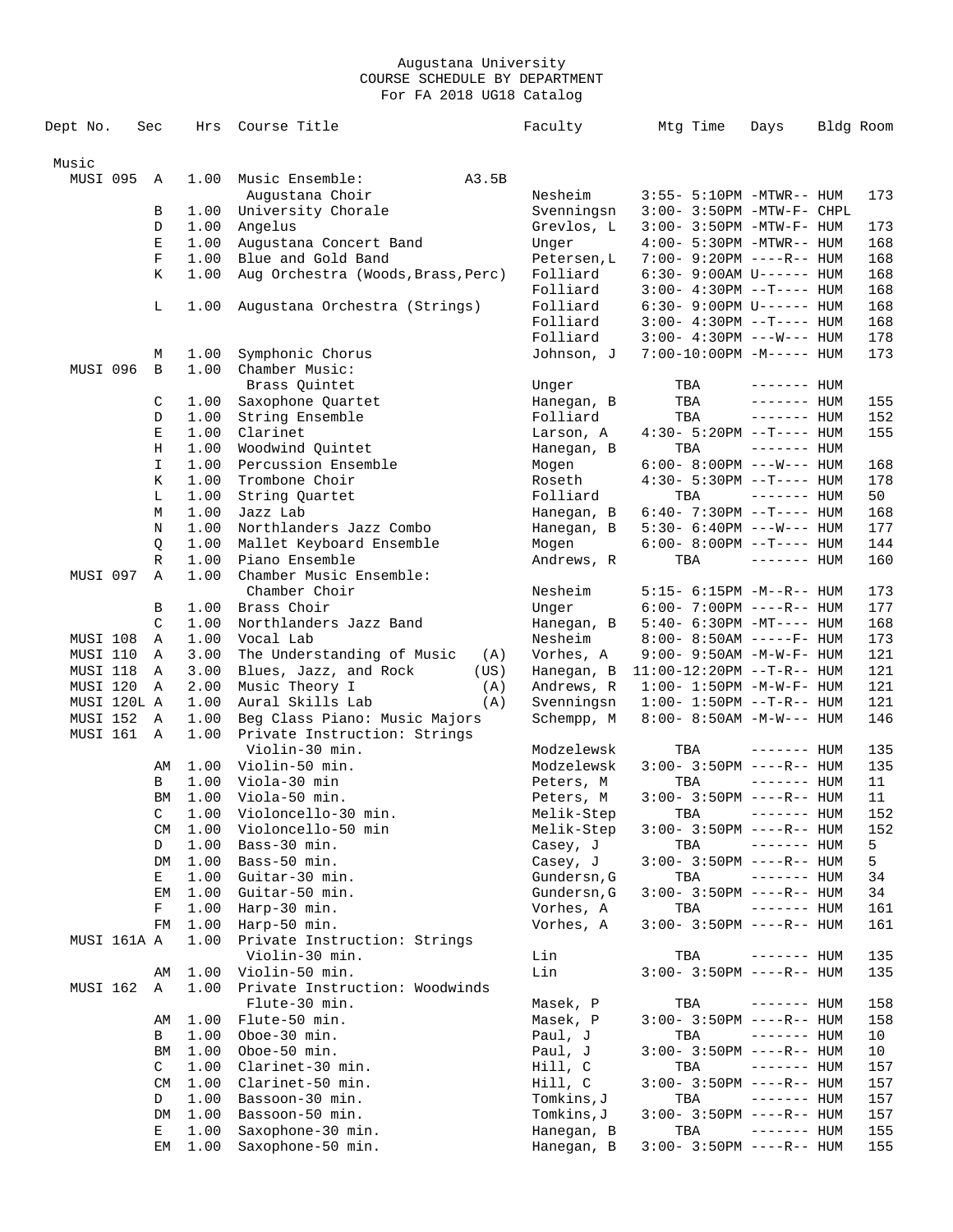| Dept No.    | Sec          | Hrs          | Course Title                          | Faculty                 | Mtg Time                                                 | Days         | Bldg Room  |
|-------------|--------------|--------------|---------------------------------------|-------------------------|----------------------------------------------------------|--------------|------------|
|             |              |              |                                       |                         |                                                          |              |            |
| Music       |              |              |                                       |                         |                                                          |              |            |
| MUSI 095    | Α            | 1.00         | Music Ensemble:<br>A3.5B              |                         |                                                          |              |            |
|             | В            | 1.00         | Augustana Choir<br>University Chorale | Nesheim<br>Svenningsn   | 3:55- 5:10PM -MTWR-- HUM<br>3:00- 3:50PM -MTW-F- CHPL    |              | 173        |
|             | D            | 1.00         | Angelus                               | Grevlos, L              | 3:00- 3:50PM -MTW-F- HUM                                 |              | 173        |
|             | $\mathbf E$  | 1.00         | Augustana Concert Band                | Unger                   | 4:00- 5:30PM -MTWR-- HUM                                 |              | 168        |
|             | F            | 1.00         | Blue and Gold Band                    | Petersen, L             | 7:00- 9:20PM ----R-- HUM                                 |              | 168        |
|             | Κ            | 1.00         | Aug Orchestra (Woods, Brass, Perc)    | Folliard                | $6:30 - 9:00AM$ U------ HUM                              |              | 168        |
|             |              |              |                                       | Folliard                | $3:00-4:30PM -T--- HUM$                                  |              | 168        |
|             | L            | 1.00         | Augustana Orchestra (Strings)         | Folliard                | 6:30- 9:00PM U------ HUM                                 |              | 168        |
|             |              |              |                                       | Folliard                | $3:00-4:30PM -T--- HUM$                                  |              | 168        |
|             |              |              |                                       | Folliard                | $3:00-4:30PM$ ---W--- HUM                                |              | 178        |
|             | М            | 1.00         | Symphonic Chorus                      | Johnson, J              | 7:00-10:00PM -M----- HUM                                 |              | 173        |
| MUSI 096    | B            | 1.00         | Chamber Music:                        |                         |                                                          |              |            |
|             |              |              | Brass Quintet                         | Unger                   | TBA                                                      | $------$ HUM |            |
|             | C            | 1.00         | Saxophone Quartet                     | Hanegan, B              | TBA                                                      | $------$ HUM | 155        |
|             | D            | 1.00         | String Ensemble                       | Folliard                | TBA                                                      | $------HH$   | 152        |
|             | Е            | 1.00         | Clarinet                              | Larson, A               | $4:30 - 5:20PM -T--- HUM$                                |              | 155        |
|             | Η            | 1.00         | Woodwind Quintet                      | Hanegan, B              | TBA                                                      | $------$ HUM |            |
|             | I            | 1.00         | Percussion Ensemble<br>Trombone Choir | Mogen                   | $6:00 - 8:00PM$ ---W--- HUM<br>$4:30 - 5:30PM -T--- HUM$ |              | 168        |
|             | Κ<br>L       | 1.00<br>1.00 | String Ouartet                        | Roseth<br>Folliard      | TBA                                                      | $------$ HUM | 178<br>50  |
|             | М            | 1.00         | Jazz Lab                              | Hanegan, B              | $6:40-7:30PM -T--- HUM$                                  |              | 168        |
|             | Ν            | 1.00         | Northlanders Jazz Combo               | Hanegan, B              | 5:30- 6:40PM ---W--- HUM                                 |              | 177        |
|             | Q            | 1.00         | Mallet Keyboard Ensemble              | Mogen                   | $6:00-8:00PM$ --T---- HUM                                |              | 144        |
|             | R            | 1.00         | Piano Ensemble                        | Andrews, R              | TBA                                                      | $------$ HUM | 160        |
| MUSI 097    | Α            | 1.00         | Chamber Music Ensemble:               |                         |                                                          |              |            |
|             |              |              | Chamber Choir                         | Nesheim                 | 5:15- 6:15PM -M--R-- HUM                                 |              | 173        |
|             | В            | 1.00         | Brass Choir                           | Unger                   | $6:00 - 7:00PM$ ----R-- HUM                              |              | 177        |
|             | C            | 1.00         | Northlanders Jazz Band                | Hanegan, B              | $5:40-6:30PM -MT--- HUM$                                 |              | 168        |
| MUSI 108    | Α            | 1.00         | Vocal Lab                             | Nesheim                 | $8:00 - 8:50AM$ -----F- HUM                              |              | 173        |
| MUSI 110    | Α            | 3.00         | The Understanding of Music<br>(A)     | Vorhes, A               | $9:00 - 9:50AM - M - W - F - HUM$                        |              | 121        |
| MUSI 118    | Α            | 3.00         | Blues, Jazz, and Rock<br>(US)         | Hanegan, B              | $11:00-12:20PM$ --T-R-- HUM                              |              | 121        |
| MUSI 120    | Α            | 2.00         | Music Theory I<br>(A)                 | Andrews, R              | $1:00 - 1:50PM - M - W - F - HUM$                        |              | 121        |
| MUSI 120L A |              | 1.00         | Aural Skills Lab<br>(A)               | Svenningsn              | $1:00 - 1:50PM -T-R-- HUM$                               |              | 121        |
| MUSI 152    | Α            | 1.00         | Beg Class Piano: Music Majors         | Schempp, M              | $8:00 - 8:50AM - M-W--- HUM$                             |              | 146        |
| MUSI 161    | $\mathbb A$  | 1.00         | Private Instruction: Strings          |                         |                                                          |              |            |
|             |              |              | Violin-30 min.                        | Modzelewsk              | TBA                                                      | $------$ HUM | 135        |
|             | AΜ<br>B      | 1.00<br>1.00 | Violin-50 min.<br>Viola-30 min        | Modzelewsk<br>Peters, M | $3:00 - 3:50PM$ ----R-- HUM                              | $------HUM$  | 135<br>11  |
|             | BM           | 1.00         | Viola-50 min.                         | Peters, M               | TBA<br>$3:00 - 3:50PM$ ----R-- HUM                       |              | 11         |
|             | $\mathsf{C}$ |              | 1.00 Violoncello-30 min.              | Melik-Step              | TBA ------- HUM                                          |              | 152        |
|             | CM           | 1.00         | Violoncello-50 min                    | Melik-Step              | $3:00 - 3:50PM$ ----R-- HUM                              |              | 152        |
|             | D            | 1.00         | Bass-30 min.                          | Casey, J                | TBA                                                      | $------$ HUM | 5          |
|             | DM           | 1.00         | Bass-50 min.                          | Casey, J                | $3:00 - 3:50PM$ ----R-- HUM                              |              | 5          |
|             | Е            | 1.00         | Guitar-30 min.                        | Gundersn, G             | TBA                                                      | $------$ HUM | 34         |
|             | EМ           | 1.00         | Guitar-50 min.                        | Gundersn, G             | $3:00 - 3:50PM$ ----R-- HUM                              |              | 34         |
|             | F            | 1.00         | Harp-30 min.                          | Vorhes, A               | TBA                                                      | ------- HUM  | 161        |
|             | FM           | 1.00         | Harp-50 min.                          | Vorhes, A               | $3:00 - 3:50PM$ ----R-- HUM                              |              | 161        |
| MUSI 161A A |              | 1.00         | Private Instruction: Strings          |                         |                                                          |              |            |
|             |              |              | Violin-30 min.                        | Lin                     | TBA                                                      | $------$ HUM | 135        |
|             | AΜ           | 1.00         | Violin-50 min.                        | Lin                     | 3:00- 3:50PM ----R-- HUM                                 |              | 135        |
| MUSI 162    | A            | 1.00         | Private Instruction: Woodwinds        |                         |                                                          |              |            |
|             |              |              | Flute-30 min.                         | Masek, P                | TBA                                                      | $------$ HUM | 158        |
|             | AΜ           | 1.00         | Flute-50 min.                         | Masek, P                | $3:00 - 3:50PM$ ----R-- HUM                              |              | 158        |
|             | В            | 1.00         | Oboe-30 min.                          | Paul, J                 | TBA                                                      | $------$ HUM | 10         |
|             | ΒM           | 1.00         | Oboe-50 min.                          | Paul, J                 | $3:00 - 3:50PM$ ----R-- HUM                              |              | 10         |
|             | C            | 1.00         | Clarinet-30 min.                      | Hill, C                 | TBA                                                      | $------$ HUM | 157        |
|             | <b>CM</b>    | 1.00         | Clarinet-50 min.                      | Hill, C                 | $3:00-3:50PM$ ----R-- HUM                                |              | 157        |
|             | D<br>DM      | 1.00<br>1.00 | Bassoon-30 min.<br>Bassoon-50 min.    | Tomkins,J<br>Tomkins, J | TBA<br>$3:00-3:50PM$ ----R-- HUM                         | $------$ HUM | 157<br>157 |
|             | Е            | 1.00         | Saxophone-30 min.                     | Hanegan, B              | TBA                                                      | ------- HUM  | 155        |
|             | EМ           | 1.00         | Saxophone-50 min.                     | Hanegan, B              | $3:00 - 3:50PM$ ----R-- HUM                              |              | 155        |
|             |              |              |                                       |                         |                                                          |              |            |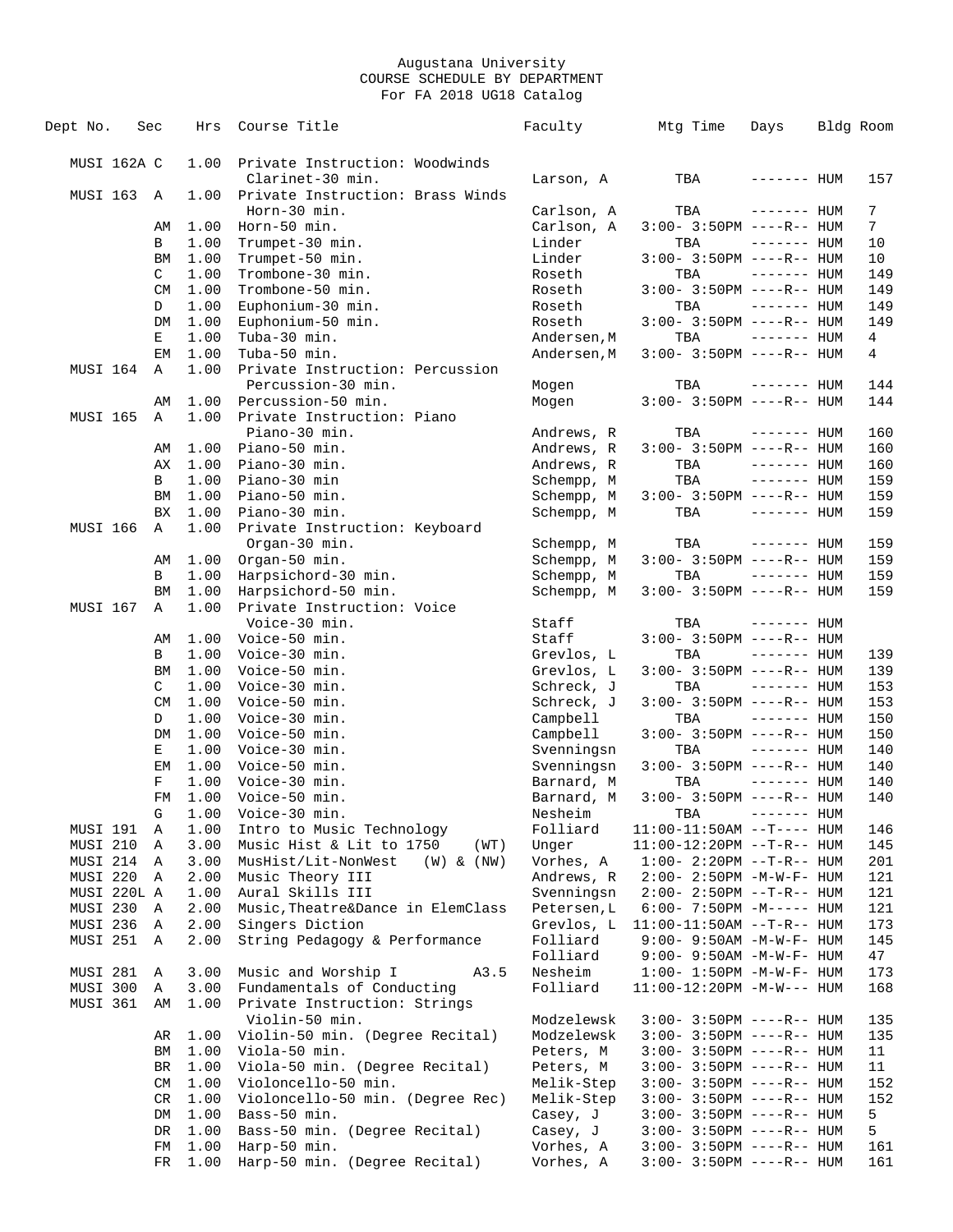| Dept No.             | Sec |           | Hrs          | Course Title                                                  | Faculty                  | Mtg Time                                                   | Days         | Bldg Room           |
|----------------------|-----|-----------|--------------|---------------------------------------------------------------|--------------------------|------------------------------------------------------------|--------------|---------------------|
|                      |     |           |              |                                                               |                          |                                                            |              |                     |
| MUSI 162A C          |     |           | 1.00         | Private Instruction: Woodwinds                                |                          |                                                            |              |                     |
|                      |     |           |              | Clarinet-30 min.                                              | Larson, A                | TBA                                                        | ------- HUM  | 157                 |
| MUSI 163             |     | A         | 1.00         | Private Instruction: Brass Winds                              |                          |                                                            |              |                     |
|                      |     |           | 1.00         | Horn-30 min.<br>Horn-50 min.                                  | Carlson, A<br>Carlson, A | TBA<br>$3:00 - 3:50PM$ ----R-- HUM                         | $------$ HUM | 7<br>$7\phantom{.}$ |
|                      |     | AΜ<br>В   | 1.00         | Trumpet-30 min.                                               | Linder                   | TBA                                                        | $------$ HUM | 10                  |
|                      |     | <b>BM</b> | 1.00         | Trumpet-50 min.                                               | Linder                   | $3:00 - 3:50PM$ ----R-- HUM                                |              | 10                  |
|                      |     | C         | 1.00         | Trombone-30 min.                                              | Roseth                   | TBA                                                        | $------$ HUM | 149                 |
|                      |     | <b>CM</b> | 1.00         | Trombone-50 min.                                              | Roseth                   | $3:00-3:50PM$ ----R-- HUM                                  |              | 149                 |
|                      |     | D         | 1.00         | Euphonium-30 min.                                             | Roseth                   | TBA                                                        | $------$ HUM | 149                 |
|                      |     | DM        | 1.00         | Euphonium-50 min.                                             | Roseth                   | $3:00 - 3:50PM$ ----R-- HUM                                |              | 149                 |
|                      |     | Е         | 1.00         | Tuba-30 min.                                                  | Andersen, M              | TBA                                                        | $------$ HUM | 4                   |
|                      |     | EМ        | 1.00         | Tuba-50 min.                                                  | Andersen, M              | $3:00 - 3:50PM$ ----R-- HUM                                |              | 4                   |
| MUSI 164             |     | Α         | 1.00         | Private Instruction: Percussion                               |                          |                                                            |              |                     |
|                      |     |           |              | Percussion-30 min.                                            | Mogen                    | TBA                                                        | $------$ HUM | 144                 |
|                      |     | AΜ        | 1.00         | Percussion-50 min.                                            | Mogen                    | $3:00 - 3:50PM$ ----R-- HUM                                |              | 144                 |
| MUSI 165             |     | Α         | 1.00         | Private Instruction: Piano<br>Piano-30 min.                   | Andrews, R               | TBA                                                        | $------$ HUM | 160                 |
|                      |     | AΜ        | 1.00         | Piano-50 min.                                                 | Andrews, R               | $3:00-3:50PM$ ----R-- HUM                                  |              | 160                 |
|                      |     | АX        | 1.00         | Piano-30 min.                                                 | Andrews, R               | TBA                                                        | $------$ HUM | 160                 |
|                      |     | В         | 1.00         | Piano-30 min                                                  | Schempp, M               | TBA                                                        | $------$ HUM | 159                 |
|                      |     | <b>BM</b> | 1.00         | Piano-50 min.                                                 | Schempp, M               | $3:00-3:50PM$ ----R-- HUM                                  |              | 159                 |
|                      |     | <b>BX</b> | 1.00         | Piano-30 min.                                                 | Schempp, M               | TBA                                                        | $------$ HUM | 159                 |
| MUSI 166             |     | Α         | 1.00         | Private Instruction: Keyboard                                 |                          |                                                            |              |                     |
|                      |     |           |              | Organ-30 min.                                                 | Schempp, M               | TBA                                                        | $------$ HUM | 159                 |
|                      |     | AΜ        | 1.00         | Organ-50 min.                                                 | Schempp, M               | $3:00 - 3:50PM$ ----R-- HUM                                |              | 159                 |
|                      |     | B         | 1.00         | Harpsichord-30 min.                                           | Schempp, M               | TBA                                                        | $------$ HUM | 159                 |
|                      |     | BM        | 1.00         | Harpsichord-50 min.                                           | Schempp, M               | 3:00- 3:50PM ----R-- HUM                                   |              | 159                 |
| MUSI 167             |     | Α         | 1.00         | Private Instruction: Voice                                    |                          |                                                            |              |                     |
|                      |     | AΜ        | 1.00         | Voice-30 min.<br>Voice-50 min.                                | Staff<br>Staff           | TBA<br>$3:00-3:50PM$ ----R-- HUM                           | $------$ HUM |                     |
|                      |     | B         | 1.00         | Voice-30 min.                                                 | Grevlos, L               | TBA                                                        | $------$ HUM | 139                 |
|                      |     | BM        | 1.00         | Voice-50 min.                                                 | Grevlos, L               | $3:00-3:50PM$ ----R-- HUM                                  |              | 139                 |
|                      |     | C         | 1.00         | Voice-30 min.                                                 | Schreck, J               | TBA                                                        | $------$ HUM | 153                 |
|                      |     | <b>CM</b> | 1.00         | Voice-50 min.                                                 | Schreck, J               | $3:00 - 3:50PM$ ----R-- HUM                                |              | 153                 |
|                      |     | D         | 1.00         | Voice-30 min.                                                 | Campbell                 | TBA                                                        | $------$ HUM | 150                 |
|                      |     | DM        | 1.00         | Voice-50 min.                                                 | Campbell                 | $3:00 - 3:50PM$ ----R-- HUM                                |              | 150                 |
|                      |     | Е         | 1.00         | Voice-30 min.                                                 | Svenningsn               | TBA                                                        | $------$ HUM | 140                 |
|                      |     | ΕM        | 1.00         | Voice-50 min.                                                 | Svenningsn               | $3:00-3:50PM$ ----R-- HUM                                  |              | 140                 |
|                      |     | F         | 1.00         | Voice-30 min.                                                 | Barnard, M               | TBA                                                        | $------$ HUM | 140                 |
|                      |     | FM        | 1.00         | Voice-50 min.                                                 | Barnard, M               | 3:00- 3:50PM ----R-- HUM                                   |              | 140                 |
|                      |     | G         |              | 1.00 Voice-30 min.                                            | Nesheim                  | TBA                                                        | $------HH$   |                     |
| MUSI 191<br>MUSI 210 |     | A<br>Α    | 1.00<br>3.00 | Intro to Music Technology<br>Music Hist & Lit to 1750<br>(WT) | Folliard<br>Unger        | $11:00-11:50AM$ --T---- HUM<br>$11:00-12:20PM -T-R--HUM$   |              | 146<br>145          |
| MUSI 214             |     | A         | 3.00         | MusHist/Lit-NonWest<br>$(W)$ & $(NW)$                         | Vorhes, A                | $1:00 - 2:20PM -T-R--HUM$                                  |              | 201                 |
| MUSI 220             |     | Α         | 2.00         | Music Theory III                                              | Andrews, R               | $2:00 - 2:50PM -M-W-F - HUM$                               |              | 121                 |
| MUSI 220L A          |     |           | 1.00         | Aural Skills III                                              | Svenningsn               | $2:00 - 2:50PM -T-R--HUM$                                  |              | 121                 |
| MUSI 230             |     | Α         | 2.00         | Music, Theatre&Dance in ElemClass                             | Petersen, L              | $6:00 - 7:50PM -M--- HUM$                                  |              | 121                 |
| MUSI 236             |     | Α         | 2.00         | Singers Diction                                               | Grevlos, L               | $11:00-11:50AM$ --T-R-- HUM                                |              | 173                 |
| MUSI 251             |     | Α         | 2.00         | String Pedagogy & Performance                                 | Folliard                 | $9:00 - 9:50AM - M - W - F - HUM$                          |              | 145                 |
|                      |     |           |              |                                                               | Folliard                 | $9:00 - 9:50AM - M - W - F - HUM$                          |              | 47                  |
| MUSI 281             |     | Α         | 3.00         | Music and Worship I<br>A3.5                                   | Nesheim                  | $1:00 - 1:50PM - M - W - F - HUM$                          |              | 173                 |
| MUSI 300             |     | Α         | 3.00         | Fundamentals of Conducting                                    | Folliard                 | $11:00-12:20PM -M-W---$ HUM                                |              | 168                 |
| MUSI 361             |     | AΜ        | 1.00         | Private Instruction: Strings                                  |                          |                                                            |              |                     |
|                      |     |           | 1.00         | Violin-50 min.<br>Violin-50 min. (Degree Recital)             | Modzelewsk<br>Modzelewsk | $3:00 - 3:50PM$ ----R-- HUM<br>$3:00 - 3:50PM$ ----R-- HUM |              | 135<br>135          |
|                      |     | AR<br>ΒM  | 1.00         | Viola-50 min.                                                 | Peters, M                | $3:00 - 3:50PM$ ----R-- HUM                                |              | 11                  |
|                      |     | BR        | 1.00         | Viola-50 min. (Degree Recital)                                | Peters, M                | 3:00- 3:50PM ----R-- HUM                                   |              | 11                  |
|                      |     | CM        | 1.00         | Violoncello-50 min.                                           | Melik-Step               | 3:00- 3:50PM ----R-- HUM                                   |              | 152                 |
|                      |     | CR        | 1.00         | Violoncello-50 min. (Degree Rec)                              | Melik-Step               | $3:00-3:50PM$ ----R-- HUM                                  |              | 152                 |
|                      |     | DM        | 1.00         | Bass-50 min.                                                  | Casey, J                 | 3:00- 3:50PM ----R-- HUM                                   |              | 5                   |
|                      |     | DR        | 1.00         | Bass-50 min. (Degree Recital)                                 | Casey, J                 | $3:00-3:50PM$ ----R-- HUM                                  |              | 5                   |
|                      |     | FM        | 1.00         | Harp-50 min.                                                  | Vorhes, A                | 3:00- 3:50PM ----R-- HUM                                   |              | 161                 |
|                      |     | FR        | 1.00         | Harp-50 min. (Degree Recital)                                 | Vorhes, A                | $3:00 - 3:50PM$ ----R-- HUM                                |              | 161                 |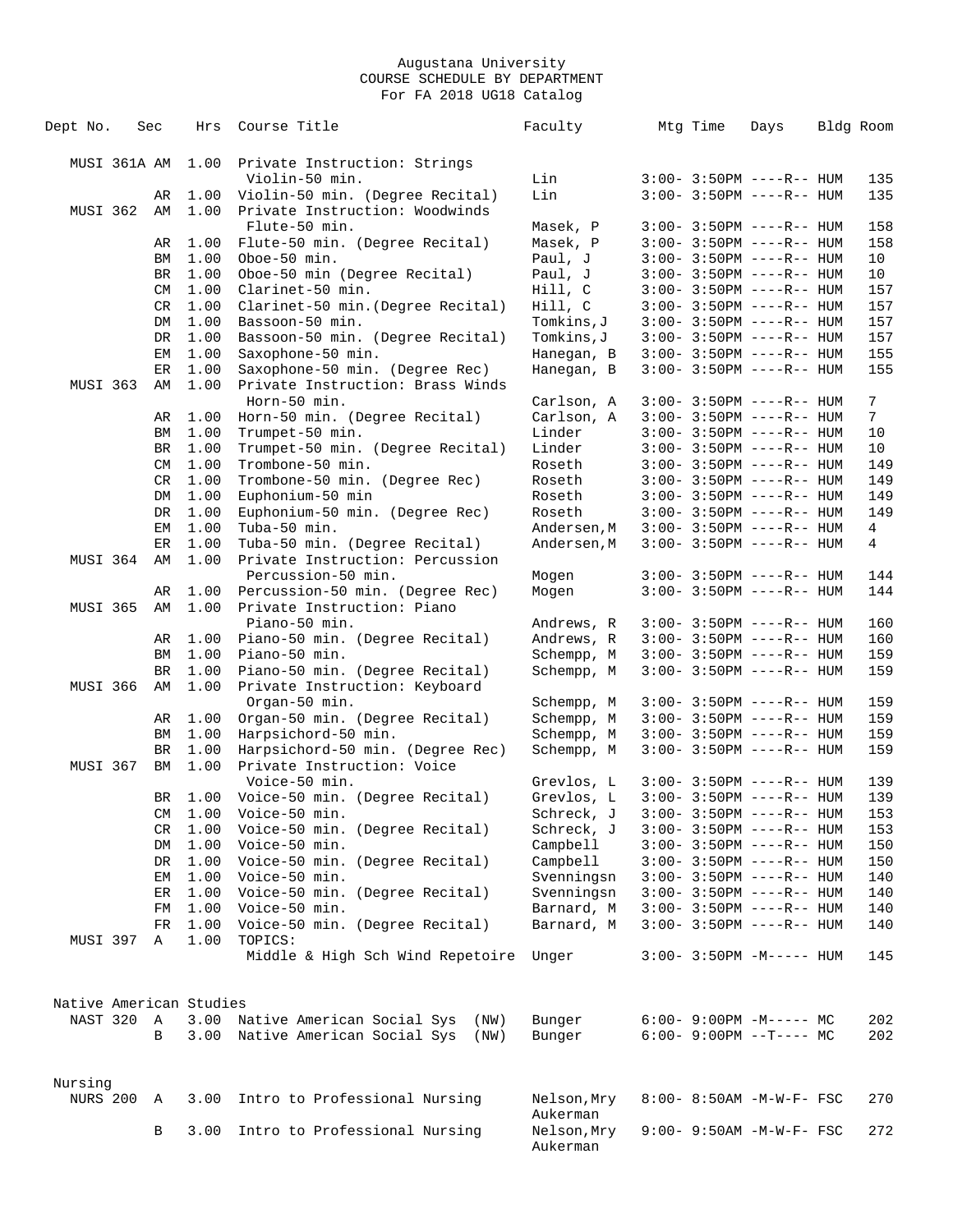| Dept No.                | Sec          | Hrs          | Course Title                                   | Faculty                  | Mtg Time | Days                        | Bldg Room |
|-------------------------|--------------|--------------|------------------------------------------------|--------------------------|----------|-----------------------------|-----------|
| MUSI 361A AM            |              | 1.00         | Private Instruction: Strings                   |                          |          |                             |           |
|                         |              |              | Violin-50 min.                                 | Lin                      |          | $3:00-3:50PM$ ----R-- HUM   | 135       |
|                         | AR           | 1.00         | Violin-50 min. (Degree Recital)                | Lin                      |          | $3:00 - 3:50PM$ ----R-- HUM | 135       |
| MUSI 362                | AM           | 1.00         | Private Instruction: Woodwinds                 |                          |          |                             |           |
|                         |              |              | Flute-50 min.                                  | Masek, P                 |          | $3:00 - 3:50PM$ ----R-- HUM | 158       |
|                         | AR           | 1.00         | Flute-50 min. (Degree Recital)                 | Masek, P                 |          | $3:00-3:50PM$ ----R-- HUM   | 158       |
|                         | BM           | 1.00         | Oboe-50 min.                                   | Paul, J                  |          | $3:00 - 3:50PM$ ----R-- HUM | 10        |
|                         | BR           | 1.00         | Oboe-50 min (Degree Recital)                   | Paul, J                  |          | $3:00 - 3:50PM$ ----R-- HUM | 10        |
|                         | CM           | 1.00         | Clarinet-50 min.                               | Hill, C                  |          | $3:00 - 3:50PM$ ----R-- HUM | 157       |
|                         | CR           | 1.00         | Clarinet-50 min. (Degree Recital)              | Hill, C                  |          | $3:00 - 3:50PM$ ----R-- HUM | 157       |
|                         | DM           | 1.00         | Bassoon-50 min.                                | Tomkins, J               |          | $3:00 - 3:50PM$ ----R-- HUM | 157       |
|                         | DR           | 1.00         | Bassoon-50 min. (Degree Recital)               | Tomkins, J               |          | $3:00 - 3:50PM$ ----R-- HUM | 157       |
|                         | EМ           | 1.00         | Saxophone-50 min.                              | Hanegan, B               |          | $3:00 - 3:50PM$ ----R-- HUM | 155       |
|                         | ER           | 1.00         | Saxophone-50 min. (Degree Rec)                 | Hanegan, B               |          | $3:00 - 3:50PM$ ----R-- HUM | 155       |
| MUSI 363                | AΜ           | 1.00         | Private Instruction: Brass Winds               |                          |          |                             |           |
|                         |              |              | Horn-50 min.                                   | Carlson, A               |          | $3:00 - 3:50PM$ ----R-- HUM | 7         |
|                         | AR           | 1.00         | Horn-50 min. (Degree Recital)                  | Carlson, A               |          | $3:00 - 3:50PM$ ----R-- HUM | 7         |
|                         | ΒM           | 1.00         | Trumpet-50 min.                                | Linder                   |          | $3:00 - 3:50PM$ ----R-- HUM | 10        |
|                         | BR           | 1.00         | Trumpet-50 min. (Degree Recital)               | Linder                   |          | $3:00 - 3:50PM$ ----R-- HUM | 10        |
|                         | CM           | 1.00         | Trombone-50 min.                               | Roseth                   |          | $3:00 - 3:50PM$ ----R-- HUM | 149       |
|                         | CR           | 1.00         | Trombone-50 min. (Degree Rec)                  | Roseth                   |          | $3:00 - 3:50PM$ ----R-- HUM | 149       |
|                         | DM           | 1.00         | Euphonium-50 min                               | Roseth                   |          | $3:00 - 3:50PM$ ----R-- HUM | 149       |
|                         | DR           | 1.00         | Euphonium-50 min. (Degree Rec)                 | Roseth                   |          | $3:00 - 3:50PM$ ----R-- HUM | 149       |
|                         | EМ           | 1.00         | Tuba-50 min.                                   | Andersen, M              |          | $3:00 - 3:50PM$ ----R-- HUM | 4         |
|                         | ER           | 1.00         | Tuba-50 min. (Degree Recital)                  | Andersen, M              |          | $3:00 - 3:50PM$ ----R-- HUM | 4         |
| MUSI 364                | AΜ           | 1.00         | Private Instruction: Percussion                |                          |          |                             |           |
|                         |              |              | Percussion-50 min.                             | Mogen                    |          | $3:00 - 3:50PM$ ----R-- HUM | 144       |
|                         | AR           | 1.00         | Percussion-50 min. (Degree Rec)                | Mogen                    |          | $3:00-3:50PM$ ----R-- HUM   | 144       |
| <b>MUSI 365</b>         | AM           | 1.00         | Private Instruction: Piano                     |                          |          |                             |           |
|                         |              |              | Piano-50 min.                                  | Andrews, R               |          | $3:00 - 3:50PM$ ----R-- HUM | 160       |
|                         | AR           | 1.00         | Piano-50 min. (Degree Recital)                 | Andrews, R               |          | $3:00 - 3:50PM$ ----R-- HUM | 160       |
|                         | ΒM           | 1.00         | Piano-50 min.                                  | Schempp, M               |          | $3:00 - 3:50PM$ ----R-- HUM | 159       |
|                         | BR<br>AΜ     | 1.00<br>1.00 | Piano-50 min. (Degree Recital)                 | Schempp, M               |          | $3:00 - 3:50PM$ ----R-- HUM | 159       |
| MUSI 366                |              |              | Private Instruction: Keyboard<br>Organ-50 min. |                          |          | $3:00 - 3:50PM$ ----R-- HUM | 159       |
|                         | AR           | 1.00         | Organ-50 min. (Degree Recital)                 | Schempp, M<br>Schempp, M |          | $3:00 - 3:50PM$ ----R-- HUM | 159       |
|                         | BM           | 1.00         | Harpsichord-50 min.                            | Schempp, M               |          | $3:00-3:50PM$ ----R-- HUM   | 159       |
|                         | BR           | 1.00         | Harpsichord-50 min. (Degree Rec)               | Schempp, M               |          | $3:00 - 3:50PM$ ----R-- HUM | 159       |
| MUSI 367                | ΒM           | 1.00         | Private Instruction: Voice                     |                          |          |                             |           |
|                         |              |              | Voice-50 min.                                  | Grevlos, L               |          | $3:00 - 3:50PM$ ----R-- HUM | 139       |
|                         | BR           | 1.00         | Voice-50 min. (Degree Recital)                 | Grevlos, L               |          | $3:00-3:50PM$ ----R-- HUM   | 139       |
|                         |              |              | CM 1.00 Voice-50 min.                          | Schreck, J               |          | $3:00 - 3:50PM$ ----R-- HUM | 153       |
|                         | CR.          | 1.00         | Voice-50 min. (Degree Recital)                 | Schreck, J               |          | $3:00-3:50PM$ ----R-- HUM   | 153       |
|                         | DM           | 1.00         | Voice-50 min.                                  | Campbell                 |          | $3:00-3:50PM$ ----R-- HUM   | 150       |
|                         | DR           | 1.00         | Voice-50 min. (Degree Recital)                 | Campbell                 |          | $3:00-3:50PM$ ----R-- HUM   | 150       |
|                         | EМ           | 1.00         | Voice-50 min.                                  | Svenningsn               |          | $3:00 - 3:50PM$ ----R-- HUM | 140       |
|                         | ER           | 1.00         | Voice-50 min. (Degree Recital)                 | Svenningsn               |          | $3:00 - 3:50PM$ ----R-- HUM | 140       |
|                         | FМ           | 1.00         | Voice-50 min.                                  | Barnard, M               |          | $3:00-3:50PM$ ----R-- HUM   | 140       |
|                         | FR           | 1.00         | Voice-50 min. (Degree Recital)                 | Barnard, M               |          | $3:00-3:50PM$ ----R-- HUM   | 140       |
| MUSI 397                | Α            | 1.00         | TOPICS:                                        |                          |          |                             |           |
|                         |              |              | Middle & High Sch Wind Repetoire               | Unger                    |          | $3:00-3:50PM -M-----$ HUM   | 145       |
| Native American Studies |              |              |                                                |                          |          |                             |           |
| NAST 320                | $\mathbb{A}$ |              | 3.00 Native American Social Sys<br>(NW)        | Bunger                   |          | $6:00 - 9:00PM -M--- MC$    | 202       |
|                         | B            |              | 3.00 Native American Social Sys<br>(NW)        | Bunger                   |          | $6:00-9:00PM --T---MC$      | 202       |
|                         |              |              |                                                |                          |          |                             |           |
| Nursing                 |              |              |                                                |                          |          |                             |           |
| NURS 200 A              |              |              | 3.00 Intro to Professional Nursing             | Nelson, Mry              |          | 8:00- 8:50AM -M-W-F- FSC    | 270       |
|                         |              |              |                                                | Aukerman                 |          |                             |           |
|                         | B            | 3.00         | Intro to Professional Nursing                  | Nelson, Mry              |          | 9:00- 9:50AM -M-W-F- FSC    | 272       |
|                         |              |              |                                                | Aukerman                 |          |                             |           |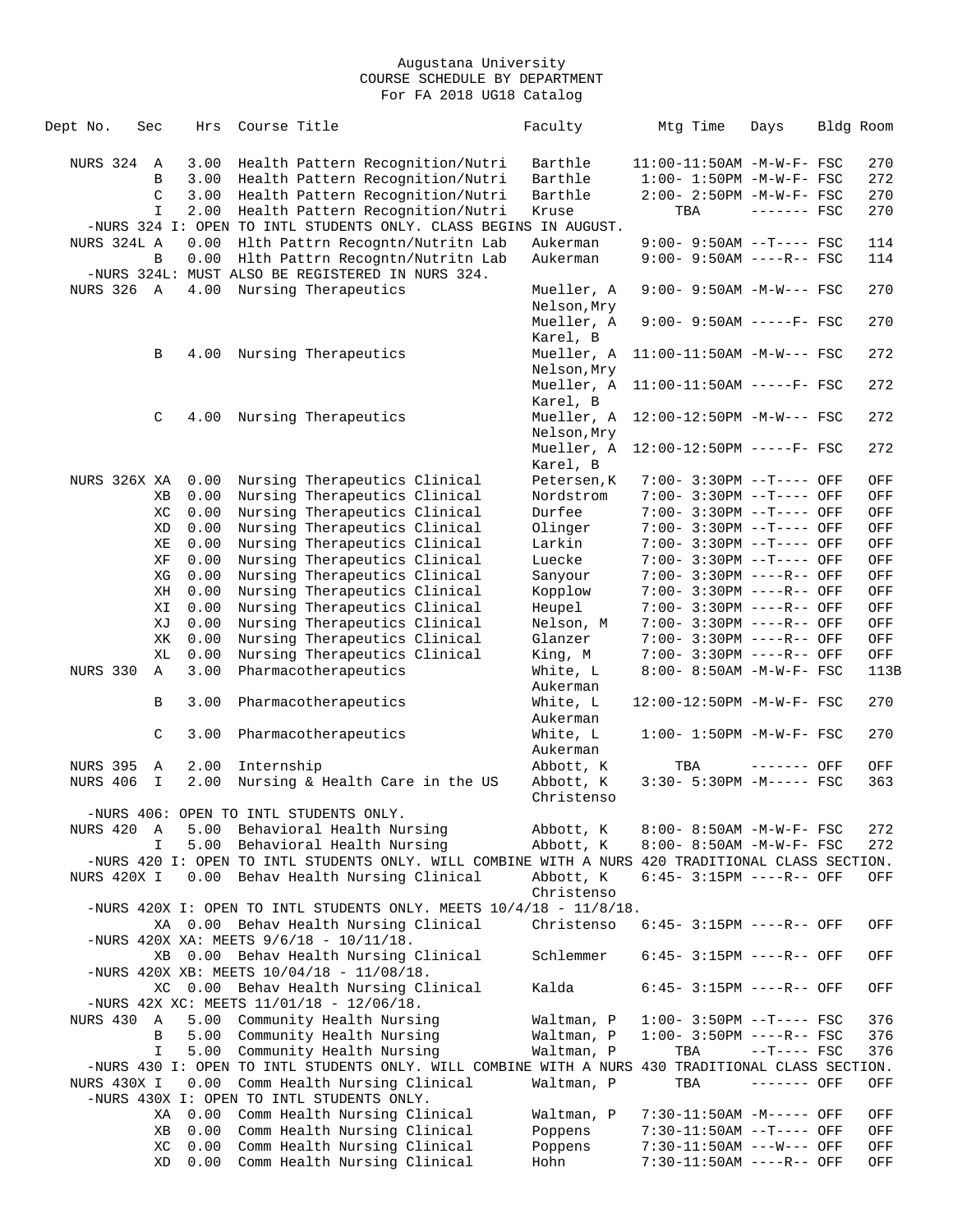| Dept No.          | Sec          | Hrs  | Course Title                                                                                     | Faculty             | Mtg Time                          | Days         | Bldg Room |      |
|-------------------|--------------|------|--------------------------------------------------------------------------------------------------|---------------------|-----------------------------------|--------------|-----------|------|
| NURS 324          | $\mathbb{A}$ | 3.00 | Health Pattern Recognition/Nutri                                                                 | Barthle             | 11:00-11:50AM -M-W-F- FSC         |              |           | 270  |
|                   | B            | 3.00 | Health Pattern Recognition/Nutri                                                                 | Barthle             | $1:00 - 1:50PM -M-W-F - FSC$      |              |           | 272  |
|                   | C            | 3.00 | Health Pattern Recognition/Nutri                                                                 | Barthle             | 2:00- 2:50PM -M-W-F- FSC          |              |           | 270  |
|                   | $\mathbf I$  | 2.00 | Health Pattern Recognition/Nutri                                                                 | Kruse               | TBA                               | $-----$ FSC  |           | 270  |
|                   |              |      | -NURS 324 I: OPEN TO INTL STUDENTS ONLY. CLASS BEGINS IN AUGUST.                                 |                     |                                   |              |           |      |
| NURS 324L A       |              | 0.00 | Hlth Pattrn Recogntn/Nutritn Lab                                                                 | Aukerman            | $9:00 - 9:50AM -T--- FSC$         |              |           | 114  |
|                   | B            | 0.00 | Hlth Pattrn Recogntn/Nutritn Lab                                                                 | Aukerman            | 9:00- 9:50AM ----R-- FSC          |              |           | 114  |
|                   |              |      | -NURS 324L: MUST ALSO BE REGISTERED IN NURS 324.                                                 |                     |                                   |              |           |      |
| <b>NURS 326 A</b> |              | 4.00 | Nursing Therapeutics                                                                             | Mueller, A          | $9:00 - 9:50AM - M-W--- FSC$      |              |           | 270  |
|                   |              |      |                                                                                                  | Nelson, Mry         |                                   |              |           |      |
|                   |              |      |                                                                                                  | Mueller, A          | $9:00 - 9:50AM$ -----F- FSC       |              |           | 270  |
|                   |              |      |                                                                                                  | Karel, B            |                                   |              |           |      |
|                   | В            | 4.00 | Nursing Therapeutics                                                                             | Mueller, A          | $11:00-11:50AM$ -M-W--- FSC       |              |           | 272  |
|                   |              |      |                                                                                                  | Nelson, Mry         |                                   |              |           |      |
|                   |              |      |                                                                                                  | Mueller, A          | $11:00-11:50AM$ -----F- FSC       |              |           | 272  |
|                   |              |      |                                                                                                  | Karel, B            |                                   |              |           |      |
|                   | C            | 4.00 | Nursing Therapeutics                                                                             | Mueller, A          | 12:00-12:50PM -M-W--- FSC         |              |           | 272  |
|                   |              |      |                                                                                                  | Nelson, Mry         |                                   |              |           |      |
|                   |              |      |                                                                                                  | Mueller, A          | 12:00-12:50PM -----F- FSC         |              |           | 272  |
|                   |              |      |                                                                                                  | Karel, B            |                                   |              |           |      |
| NURS 326X XA      |              | 0.00 | Nursing Therapeutics Clinical                                                                    | Petersen, K         | 7:00- 3:30PM --T---- OFF          |              |           |      |
|                   |              |      | Nursing Therapeutics Clinical                                                                    |                     | $7:00 - 3:30PM -T---$ OFF         |              |           | OFF  |
|                   | XВ           | 0.00 |                                                                                                  | Nordstrom<br>Durfee | $7:00 - 3:30PM -T---$ OFF         |              |           | OFF  |
|                   | ХC           | 0.00 | Nursing Therapeutics Clinical                                                                    |                     |                                   |              |           | OFF  |
|                   | XD           | 0.00 | Nursing Therapeutics Clinical                                                                    | Olinger             | 7:00- 3:30PM --T---- OFF          |              |           | OFF  |
|                   | ΧE           | 0.00 | Nursing Therapeutics Clinical                                                                    | Larkin              | 7:00- 3:30PM --T---- OFF          |              |           | OFF  |
|                   | ΧF           | 0.00 | Nursing Therapeutics Clinical                                                                    | Luecke              | 7:00- 3:30PM --T---- OFF          |              |           | OFF  |
|                   | ΧG           | 0.00 | Nursing Therapeutics Clinical                                                                    | Sanyour             | 7:00- 3:30PM ----R-- OFF          |              |           | OFF  |
|                   | ΧH           | 0.00 | Nursing Therapeutics Clinical                                                                    | Kopplow             | 7:00- 3:30PM ----R-- OFF          |              |           | OFF  |
|                   | ΧI           | 0.00 | Nursing Therapeutics Clinical                                                                    | Heupel              | 7:00- 3:30PM ----R-- OFF          |              |           | OFF  |
|                   | XJ           | 0.00 | Nursing Therapeutics Clinical                                                                    | Nelson, M           | 7:00- 3:30PM ----R-- OFF          |              |           | OFF  |
|                   | ΧK           | 0.00 | Nursing Therapeutics Clinical                                                                    | Glanzer             | 7:00- 3:30PM ----R-- OFF          |              |           | OFF  |
|                   | XL           | 0.00 | Nursing Therapeutics Clinical                                                                    | King, M             | 7:00- 3:30PM ----R-- OFF          |              |           | OFF  |
| <b>NURS 330</b>   | Α            | 3.00 | Pharmacotherapeutics                                                                             | White, L            | 8:00- 8:50AM -M-W-F- FSC          |              |           | 113B |
|                   |              |      |                                                                                                  | Aukerman            |                                   |              |           |      |
|                   | В            | 3.00 | Pharmacotherapeutics                                                                             | White, L            | 12:00-12:50PM -M-W-F- FSC         |              |           | 270  |
|                   |              |      |                                                                                                  | Aukerman            |                                   |              |           |      |
|                   | $\mathsf C$  | 3.00 | Pharmacotherapeutics                                                                             | White, L            | $1:00 - 1:50PM - M - W - F - FSC$ |              |           | 270  |
|                   |              |      |                                                                                                  | Aukerman            |                                   |              |           |      |
| <b>NURS 395</b>   | Α            | 2.00 | Internship                                                                                       | Abbott, K           | TBA                               | ------- OFF  |           | OFF  |
| NURS 406          | $\mathbf I$  | 2.00 | Nursing & Health Care in the US                                                                  | Abbott, K           | 3:30- 5:30PM -M----- FSC          |              |           | 363  |
|                   |              |      |                                                                                                  | Christenso          |                                   |              |           |      |
|                   |              |      | -NURS 406: OPEN TO INTL STUDENTS ONLY.                                                           |                     |                                   |              |           |      |
| NURS 420          | A            | 5.00 | Behavioral Health Nursing                                                                        | Abbott, K           | 8:00- 8:50AM -M-W-F- FSC          |              |           | 272  |
|                   | I.           | 5.00 | Behavioral Health Nursing                                                                        | Abbott, K           | 8:00- 8:50AM -M-W-F- FSC          |              |           | 272  |
|                   |              |      | -NURS 420 I: OPEN TO INTL STUDENTS ONLY. WILL COMBINE WITH A NURS 420 TRADITIONAL CLASS SECTION. |                     |                                   |              |           |      |
| NURS 420X I       |              | 0.00 | Behav Health Nursing Clinical                                                                    | Abbott, K           | $6:45-3:15PM$ ----R-- OFF         |              |           | OFF  |
|                   |              |      |                                                                                                  | Christenso          |                                   |              |           |      |
|                   |              |      | -NURS 420X I: OPEN TO INTL STUDENTS ONLY. MEETS $10/4/18$ - $11/8/18$ .                          |                     |                                   |              |           |      |
|                   |              |      | XA 0.00 Behav Health Nursing Clinical                                                            | Christenso          | 6:45- 3:15PM ----R-- OFF          |              |           | OFF  |
|                   |              |      | -NURS 420X XA: MEETS $9/6/18$ - $10/11/18$ .                                                     |                     |                                   |              |           |      |
|                   | XB           |      | 0.00 Behav Health Nursing Clinical                                                               | Schlemmer           | $6:45-3:15PM$ ----R-- OFF         |              |           | OFF  |
|                   |              |      | -NURS 420X XB: MEETS $10/04/18$ - $11/08/18$ .                                                   |                     |                                   |              |           |      |
|                   | XC.          |      | 0.00 Behav Health Nursing Clinical                                                               | Kalda               | $6:45-3:15PM$ ----R-- OFF         |              |           | OFF  |
|                   |              |      | -NURS 42X XC: MEETS $11/01/18$ - $12/06/18$ .                                                    |                     |                                   |              |           |      |
| NURS 430          | A            | 5.00 | Community Health Nursing                                                                         | Waltman, P          | $1:00-3:50PM -T---FSC$            |              |           | 376  |
|                   | В            | 5.00 | Community Health Nursing                                                                         | Waltman, P          | $1:00-3:50PM$ ----R-- FSC         |              |           | 376  |
|                   | I            | 5.00 | Community Health Nursing                                                                         | Waltman, P          | TBA                               | $--T---$ FSC |           | 376  |
|                   |              |      | -NURS 430 I: OPEN TO INTL STUDENTS ONLY. WILL COMBINE WITH A NURS 430 TRADITIONAL CLASS SECTION. |                     |                                   |              |           |      |
| NURS 430X I       |              | 0.00 | Comm Health Nursing Clinical                                                                     | Waltman, P          | TBA                               | ------- OFF  |           | OFF  |
|                   |              |      | -NURS 430X I: OPEN TO INTL STUDENTS ONLY.                                                        |                     |                                   |              |           |      |
|                   |              | 0.00 | Comm Health Nursing Clinical                                                                     |                     |                                   |              |           |      |
|                   | ΧA           |      |                                                                                                  | Waltman, P          | 7:30-11:50AM -M----- OFF          |              |           | OFF  |
|                   | ΧB           | 0.00 | Comm Health Nursing Clinical                                                                     | Poppens             | 7:30-11:50AM --T---- OFF          |              |           | OFF  |
|                   | ХC           | 0.00 | Comm Health Nursing Clinical                                                                     | Poppens             | 7:30-11:50AM ---W--- OFF          |              |           | OFF  |
|                   | XD           | 0.00 | Comm Health Nursing Clinical                                                                     | Hohn                | 7:30-11:50AM ----R-- OFF          |              |           | OFF  |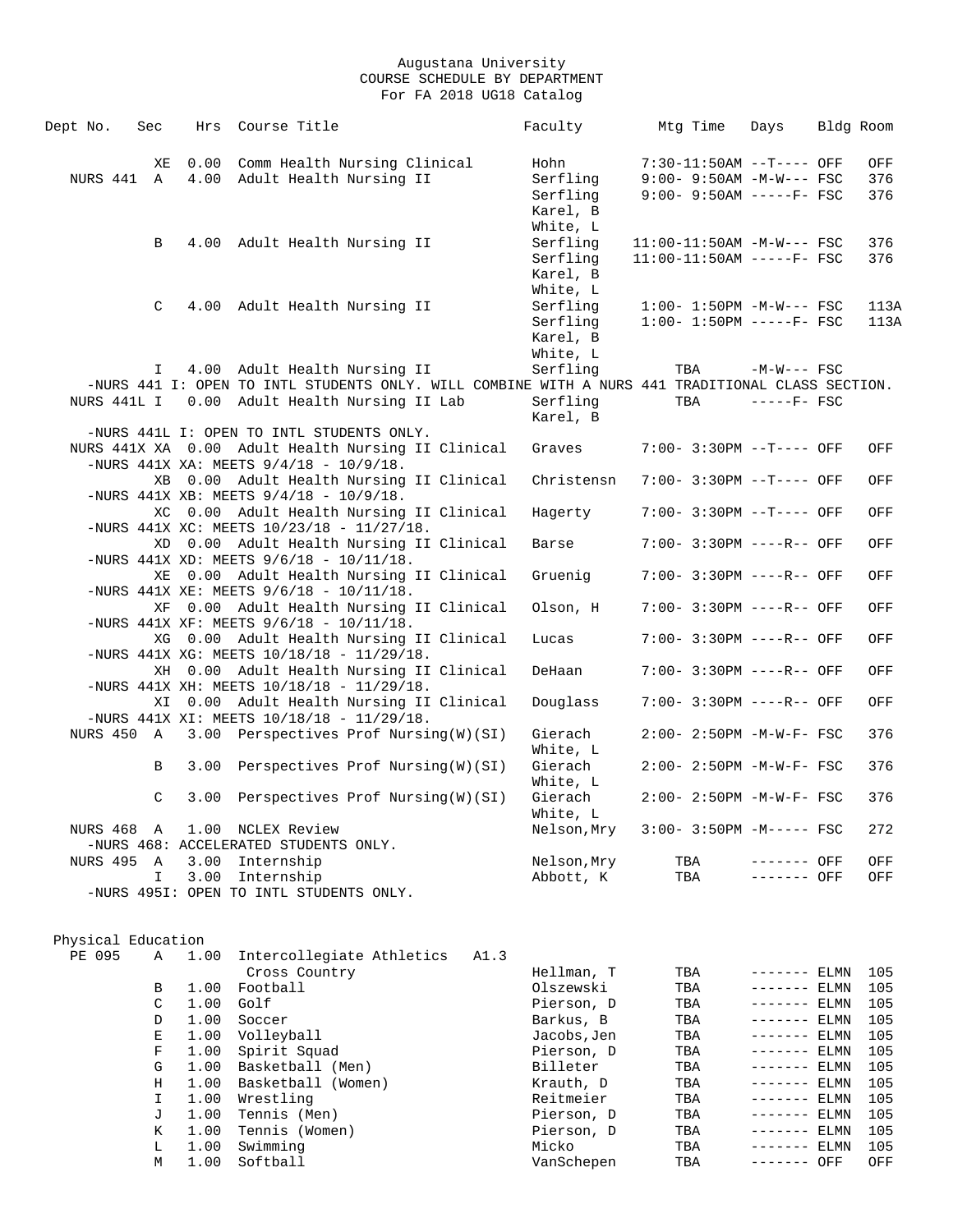| Dept No.           | Sec         |      | Hrs Course Title                             |                                                                                                  | Faculty     | Mtg Time | Days                         | Bldg Room |      |
|--------------------|-------------|------|----------------------------------------------|--------------------------------------------------------------------------------------------------|-------------|----------|------------------------------|-----------|------|
|                    | ΧE          |      |                                              | 0.00 Comm Health Nursing Clinical                                                                | Hohn        |          | 7:30-11:50AM --T---- OFF     |           | OFF  |
| NURS 441 A         |             |      | 4.00 Adult Health Nursing II                 |                                                                                                  | Serfling    |          | $9:00 - 9:50AM - M-W--- FSC$ |           | 376  |
|                    |             |      |                                              |                                                                                                  | Serfling    |          | $9:00 - 9:50AM$ -----F- FSC  |           | 376  |
|                    |             |      |                                              |                                                                                                  | Karel, B    |          |                              |           |      |
|                    |             |      |                                              |                                                                                                  |             |          |                              |           |      |
|                    |             |      |                                              |                                                                                                  | White, L    |          |                              |           |      |
|                    | B           |      | 4.00 Adult Health Nursing II                 |                                                                                                  | Serfling    |          | 11:00-11:50AM -M-W--- FSC    |           | 376  |
|                    |             |      |                                              |                                                                                                  | Serfling    |          | $11:00-11:50AM$ -----F- FSC  |           | 376  |
|                    |             |      |                                              |                                                                                                  | Karel, B    |          |                              |           |      |
|                    |             |      |                                              |                                                                                                  | White, L    |          |                              |           |      |
|                    | C           |      | 4.00 Adult Health Nursing II                 |                                                                                                  | Serfling    |          | $1:00 - 1:50PM - M-W--- FSC$ |           | 113A |
|                    |             |      |                                              |                                                                                                  | Serfling    |          | $1:00-1:50PM$ -----F- FSC    |           | 113A |
|                    |             |      |                                              |                                                                                                  | Karel, B    |          |                              |           |      |
|                    |             |      |                                              |                                                                                                  | White, L    |          |                              |           |      |
|                    | I.          |      | 4.00 Adult Health Nursing II                 |                                                                                                  | Serfling    | TBA      | $-M-W---$ FSC                |           |      |
|                    |             |      |                                              | -NURS 441 I: OPEN TO INTL STUDENTS ONLY. WILL COMBINE WITH A NURS 441 TRADITIONAL CLASS SECTION. |             |          |                              |           |      |
| NURS 441L I        |             |      |                                              | 0.00 Adult Health Nursing II Lab                                                                 | Serfling    | TBA      | $---FF-$ FSC                 |           |      |
|                    |             |      |                                              |                                                                                                  | Karel, B    |          |                              |           |      |
|                    |             |      | -NURS 441L I: OPEN TO INTL STUDENTS ONLY.    |                                                                                                  |             |          |                              |           |      |
|                    |             |      |                                              | NURS 441X XA 0.00 Adult Health Nursing II Clinical                                               | Graves      |          | 7:00- 3:30PM --T---- OFF     |           | OFF  |
|                    |             |      | -NURS 441X XA: MEETS $9/4/18$ - $10/9/18$ .  |                                                                                                  |             |          |                              |           |      |
|                    |             |      |                                              | XB 0.00 Adult Health Nursing II Clinical                                                         | Christensn  |          | 7:00- 3:30PM --T---- OFF     |           | OFF  |
|                    |             |      | -NURS 441X XB: MEETS $9/4/18$ - $10/9/18$ .  |                                                                                                  |             |          |                              |           |      |
|                    |             |      |                                              | XC 0.00 Adult Health Nursing II Clinical                                                         | Hagerty     |          | 7:00- 3:30PM --T---- OFF     |           | OFF  |
|                    |             |      | -NURS 441X XC: MEETS $10/23/18 - 11/27/18$ . |                                                                                                  |             |          |                              |           |      |
|                    |             |      |                                              | XD 0.00 Adult Health Nursing II Clinical                                                         | Barse       |          | 7:00- 3:30PM ----R-- OFF     |           | OFF  |
|                    |             |      | -NURS 441X XD: MEETS $9/6/18$ - $10/11/18$ . |                                                                                                  |             |          |                              |           |      |
|                    |             |      |                                              | XE 0.00 Adult Health Nursing II Clinical                                                         | Gruenig     |          | 7:00- 3:30PM ----R-- OFF     |           | OFF  |
|                    |             |      | -NURS 441X XE: MEETS $9/6/18$ - $10/11/18$ . |                                                                                                  |             |          |                              |           |      |
|                    |             |      |                                              | XF 0.00 Adult Health Nursing II Clinical                                                         | Olson, H    |          | 7:00- 3:30PM ----R-- OFF     |           | OFF  |
|                    |             |      | -NURS 441X XF: MEETS $9/6/18$ - $10/11/18$ . |                                                                                                  |             |          |                              |           |      |
|                    |             |      |                                              | XG 0.00 Adult Health Nursing II Clinical                                                         | Lucas       |          | 7:00- 3:30PM ----R-- OFF     |           | OFF  |
|                    |             |      | -NURS 441X XG: MEETS $10/18/18 - 11/29/18$ . |                                                                                                  |             |          |                              |           |      |
|                    |             |      |                                              | XH 0.00 Adult Health Nursing II Clinical                                                         | DeHaan      |          | 7:00- 3:30PM ----R-- OFF     |           | OFF  |
|                    |             |      | -NURS 441X XH: MEETS $10/18/18 - 11/29/18$ . |                                                                                                  |             |          |                              |           |      |
|                    |             |      |                                              | XI 0.00 Adult Health Nursing II Clinical                                                         | Douglass    |          | 7:00- 3:30PM ----R-- OFF     |           | OFF  |
|                    |             |      | -NURS 441X XI: MEETS $10/18/18 - 11/29/18$ . |                                                                                                  |             |          |                              |           |      |
|                    |             |      |                                              | NURS 450 A 3.00 Perspectives Prof Nursing(W)(SI)                                                 | Gierach     |          | $2:00 - 2:50PM -M-W-F - FSC$ |           | 376  |
|                    |             |      |                                              |                                                                                                  | White, L    |          |                              |           |      |
|                    | В           | 3.00 |                                              | Perspectives Prof Nursing(W)(SI)                                                                 | Gierach     |          | 2:00- 2:50PM -M-W-F- FSC     |           | 376  |
|                    |             |      |                                              |                                                                                                  | White, L    |          |                              |           |      |
|                    | C           | 3.00 |                                              | Perspectives Prof Nursing(W)(SI)                                                                 | Gierach     |          | $2:00 - 2:50PM -M-W-F - FSC$ |           | 376  |
|                    |             |      |                                              |                                                                                                  | White, L    |          |                              |           |      |
| NURS 468 A         |             |      | 1.00 NCLEX Review                            |                                                                                                  | Nelson, Mry |          | $3:00 - 3:50PM -M--- FSC$    |           | 272  |
|                    |             |      | -NURS 468: ACCELERATED STUDENTS ONLY.        |                                                                                                  |             |          |                              |           |      |
| NURS 495 A         |             | 3.00 | Internship                                   |                                                                                                  | Nelson, Mry | TBA      | ------- OFF                  |           | OFF  |
|                    | I.          | 3.00 | Internship                                   |                                                                                                  | Abbott, K   | TBA      | ------- OFF                  |           | OFF  |
|                    |             |      | -NURS 495I: OPEN TO INTL STUDENTS ONLY.      |                                                                                                  |             |          |                              |           |      |
|                    |             |      |                                              |                                                                                                  |             |          |                              |           |      |
|                    |             |      |                                              |                                                                                                  |             |          |                              |           |      |
| Physical Education |             |      |                                              |                                                                                                  |             |          |                              |           |      |
| PE 095             | Α           | 1.00 | Intercollegiate Athletics                    | A1.3                                                                                             |             |          |                              |           |      |
|                    |             |      | Cross Country                                |                                                                                                  | Hellman, T  | TBA      | $-----ELMN$                  |           | 105  |
|                    | В           | 1.00 | Football                                     |                                                                                                  | Olszewski   | TBA      | $------ELMN$                 |           | 105  |
|                    | $\mathsf C$ | 1.00 | Golf                                         |                                                                                                  | Pierson, D  | TBA      | ------- ELMN                 |           | 105  |
|                    | D           | 1.00 | Soccer                                       |                                                                                                  | Barkus, B   | TBA      | $------ELMN$                 |           | 105  |
|                    | Е           | 1.00 | Volleyball                                   |                                                                                                  | Jacobs, Jen | TBA      | $------ELMN$                 |           | 105  |
|                    | F           | 1.00 | Spirit Squad                                 |                                                                                                  | Pierson, D  | TBA      | $------ELMN$                 |           | 105  |
|                    | G           | 1.00 |                                              |                                                                                                  |             |          |                              |           |      |
|                    |             |      | Basketball (Men)                             |                                                                                                  | Billeter    | TBA      | $------ELMN$                 |           | 105  |
|                    | Η           | 1.00 | Basketball (Women)                           |                                                                                                  | Krauth, D   | TBA      | $------ELMN$                 |           | 105  |
|                    | I           | 1.00 | Wrestling                                    |                                                                                                  | Reitmeier   | TBA      | $------ELMN$                 |           | 105  |
|                    | J           | 1.00 | Tennis (Men)                                 |                                                                                                  | Pierson, D  | TBA      | $------$ ELMN                |           | 105  |
|                    | К           | 1.00 | Tennis (Women)                               |                                                                                                  | Pierson, D  | TBA      | ------- ELMN                 |           | 105  |
|                    | L           | 1.00 | Swimming                                     |                                                                                                  | Micko       | TBA      | ------- ELMN                 |           | 105  |
|                    | M           | 1.00 | Softball                                     |                                                                                                  | VanSchepen  | TBA      | ------- OFF                  |           | OFF  |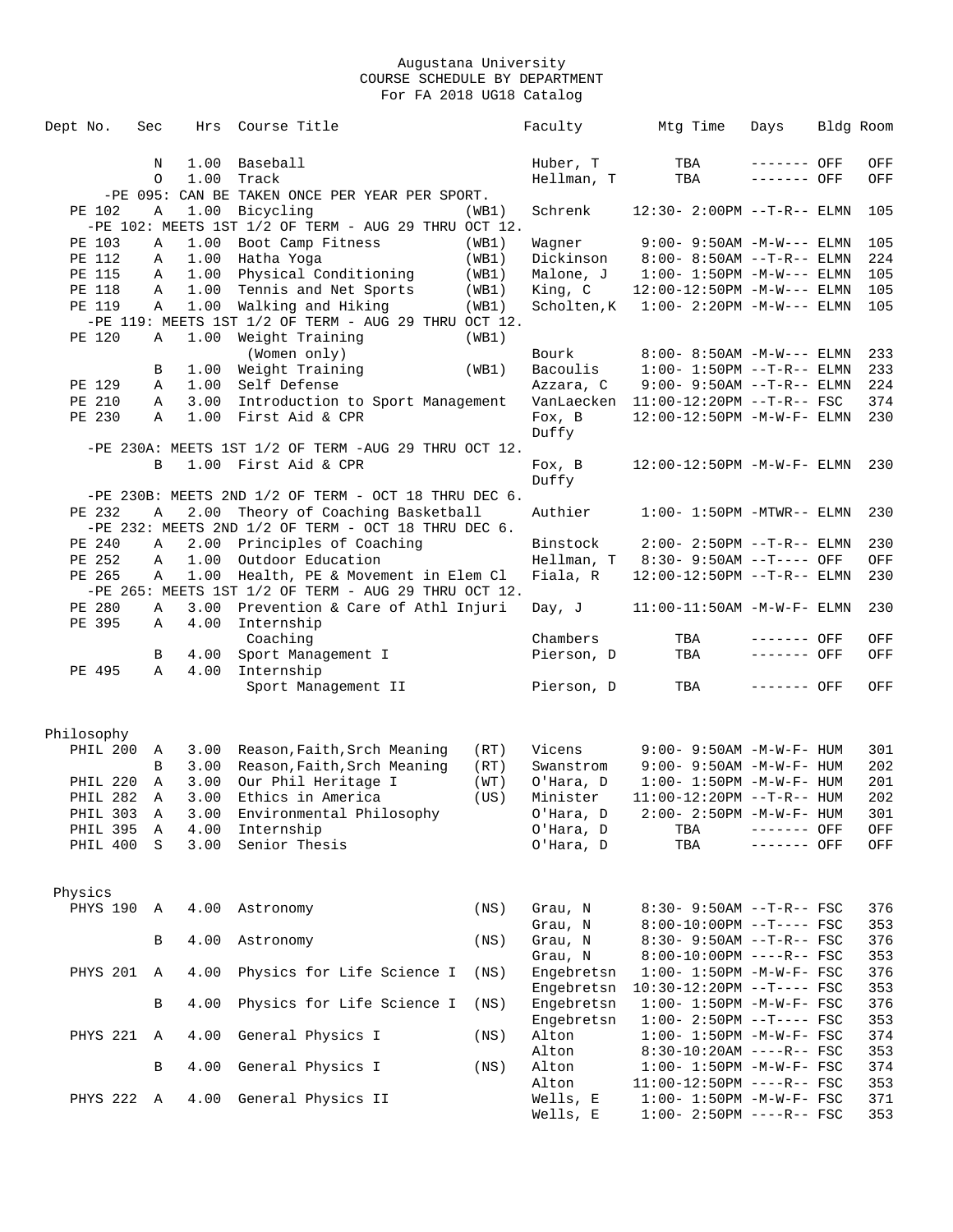| Dept No.        | Sec          | Hrs  | Course Title                                             |       | Faculty              | Mtg Time                                                       | Days        | Bldg Room  |
|-----------------|--------------|------|----------------------------------------------------------|-------|----------------------|----------------------------------------------------------------|-------------|------------|
|                 | N            | 1.00 | Baseball                                                 |       | Huber, T             | TBA                                                            | ------- OFF | OFF        |
|                 | $\circ$      | 1.00 | Track                                                    |       | Hellman, T           | TBA                                                            | ------- OFF | OFF        |
|                 |              |      | -PE 095: CAN BE TAKEN ONCE PER YEAR PER SPORT.           |       |                      |                                                                |             |            |
| PE 102          | Α            | 1.00 | Bicycling                                                | (WB1) | Schrenk              | 12:30- 2:00PM --T-R-- ELMN                                     |             | 105        |
|                 |              |      | $-PE$ 102: MEETS 1ST 1/2 OF TERM - AUG 29 THRU OCT 12.   |       |                      |                                                                |             |            |
| PE 103          | Α            | 1.00 | Boot Camp Fitness                                        | (WB1) | Waqner               | $9:00 - 9:50AM -M-W---$ ELMN                                   |             | 105        |
| PE 112          | Α            | 1.00 | Hatha Yoga                                               | (WB1) | Dickinson            | 8:00- 8:50AM --T-R-- ELMN                                      |             | 224        |
| PE 115          | Α            | 1.00 | Physical Conditioning                                    | (WB1) | Malone, J            | $1:00 - 1:50PM -M-W---$ ELMN                                   |             | 105        |
| PE 118          | Α            | 1.00 | Tennis and Net Sports                                    | (WB1) | King, C              | 12:00-12:50PM -M-W--- ELMN                                     |             | 105        |
| PE 119          | Α            | 1.00 | Walking and Hiking                                       | (WB1) | Scholten, K          | $1:00 - 2:20PM -M-W---$ ELMN                                   |             | 105        |
|                 |              |      | -PE 119: MEETS 1ST 1/2 OF TERM - AUG 29 THRU OCT 12.     |       |                      |                                                                |             |            |
| PE 120          | Α            | 1.00 | Weight Training                                          | (WB1) |                      |                                                                |             |            |
|                 |              |      | (Women only)                                             |       | Bourk                | $8:00 - 8:50AM - M-W---$ ELMN                                  |             | 233        |
|                 | В            | 1.00 | Weight Training                                          | (WB1) | Bacoulis             | $1:00 - 1:50PM -T-R-- ELMN$                                    |             | 233        |
| PE 129          | Α            | 1.00 | Self Defense                                             |       | Azzara, C            | $9:00 - 9:50AM -T-R--ELMN$                                     |             | 224        |
| PE 210          | Α            | 3.00 | Introduction to Sport Management                         |       |                      | VanLaecken  11:00-12:20PM --T-R-- FSC                          |             | 374        |
| PE 230          | Α            | 1.00 | First Aid & CPR                                          |       | Fox, B               | 12:00-12:50PM -M-W-F- ELMN                                     |             | 230        |
|                 |              |      |                                                          |       | Duffy                |                                                                |             |            |
|                 |              |      | -PE 230A: MEETS 1ST 1/2 OF TERM -AUG 29 THRU OCT 12.     |       |                      |                                                                |             |            |
|                 | B            |      | 1.00 First Aid & CPR                                     |       | Fox, B               | $12:00-12:50PM -M-W-F- ELMN$                                   |             | 230        |
|                 |              |      |                                                          |       | Duffy                |                                                                |             |            |
|                 |              |      | $-PE$ 230B: MEETS 2ND 1/2 OF TERM - OCT 18 THRU DEC 6.   |       |                      |                                                                |             |            |
| PE 232          | Α            | 2.00 | Theory of Coaching Basketball                            |       | Authier              | $1:00-1:50PM -MTWR--ELMN$                                      |             | 230        |
|                 |              |      | $-PE$ 232: MEETS 2ND 1/2 OF TERM - OCT 18 THRU DEC 6.    |       |                      |                                                                |             |            |
| PE 240          | Α            | 2.00 | Principles of Coaching                                   |       | Binstock             | $2:00 - 2:50PM -T-R-- ELMN$                                    |             | 230        |
| PE 252          | Α            | 1.00 | Outdoor Education                                        |       | Hellman, T           | $8:30 - 9:50AM -T---$ OFF                                      |             | OFF        |
| PE 265          | $\mathbb{A}$ | 1.00 | Health, PE & Movement in Elem Cl                         |       | Fiala, R             | $12:00-12:50PM -T-R--ELMN$                                     |             | 230        |
|                 |              |      | $-PE$ 265: MEETS 1ST $1/2$ OF TERM - AUG 29 THRU OCT 12. |       |                      |                                                                |             |            |
| PE 280          | Α            | 3.00 | Prevention & Care of Athl Injuri                         |       | Day, J               | $11:00-11:50AM$ -M-W-F- ELMN                                   |             | 230        |
|                 |              |      |                                                          |       |                      |                                                                |             |            |
|                 |              |      |                                                          |       |                      |                                                                |             |            |
| PE 395          | Α            |      | 4.00 Internship                                          |       |                      |                                                                |             |            |
|                 |              |      | Coaching                                                 |       | Chambers             | TBA                                                            | ------- OFF | OFF        |
|                 | B            | 4.00 | Sport Management I                                       |       | Pierson, D           | TBA                                                            | ------- OFF | OFF        |
| PE 495          | Α            | 4.00 | Internship                                               |       |                      |                                                                |             |            |
|                 |              |      | Sport Management II                                      |       | Pierson, D           | TBA                                                            | ------- OFF | OFF        |
|                 |              |      |                                                          |       |                      |                                                                |             |            |
| Philosophy      |              |      |                                                          |       |                      |                                                                |             |            |
| PHIL 200        | A            | 3.00 | Reason,Faith,Srch Meaning                                | (RT)  | Vicens               | $9:00 - 9:50AM - M - W - F - HUM$                              |             | 301        |
|                 | B            | 3.00 | Reason, Faith, Srch Meaning                              | (RT)  | Swanstrom            | $9:00 - 9:50AM - M - W - F - HUM$                              |             | 202        |
| PHIL 220        | A            | 3.00 | Our Phil Heritage I                                      | (WT)  | O'Hara, D            | $1:00 - 1:50PM - M - W - F - HUM$                              |             | 201        |
| <b>PHIL 282</b> | Α            | 3.00 | Ethics in America                                        | (US)  | Minister             | $11:00-12:20PM$ --T-R-- HUM                                    |             | 202        |
| PHIL 303        | $\mathsf{A}$ | 3.00 | Environmental Philosophy                                 |       | O'Hara, D            | 2:00- 2:50PM -M-W-F- HUM                                       |             | 301        |
| PHIL 395        | Α            | 4.00 | Internship                                               |       | O'Hara, D            | TBA                                                            | ------- OFF | OFF        |
| PHIL 400        | S            | 3.00 | Senior Thesis                                            |       | O'Hara, D            | TBA                                                            | ------- OFF | OFF        |
|                 |              |      |                                                          |       |                      |                                                                |             |            |
|                 |              |      |                                                          |       |                      |                                                                |             |            |
| Physics         |              |      |                                                          |       |                      |                                                                |             |            |
| PHYS 190        | Α            | 4.00 | Astronomy                                                | (NS)  | Grau, N              | 8:30- 9:50AM --T-R-- FSC                                       |             | 376        |
|                 |              |      |                                                          |       | Grau, N              | 8:00-10:00PM --T---- FSC                                       |             | 353        |
|                 | В            | 4.00 | Astronomy                                                | (NS)  | Grau, N              | $8:30 - 9:50AM -T-R--FSC$                                      |             | 376        |
|                 |              |      |                                                          |       | Grau, N              | $8:00-10:00PM$ ----R-- FSC                                     |             | 353        |
| <b>PHYS 201</b> | Α            | 4.00 | Physics for Life Science I                               | (NS)  | Engebretsn           | $1:00 - 1:50PM - M - W - F - FSC$                              |             | 376        |
|                 |              |      |                                                          |       | Engebretsn           | 10:30-12:20PM --T---- FSC                                      |             | 353        |
|                 | В            | 4.00 | Physics for Life Science I                               | (NS)  | Engebretsn           | $1:00 - 1:50PM - M - W - F - FSC$                              |             | 376        |
|                 |              |      |                                                          |       | Engebretsn           | $1:00-2:50PM -T---FSC$                                         |             | 353        |
| PHYS 221        | Α            | 4.00 | General Physics I                                        | (NS)  | Alton                | $1:00 - 1:50PM - M - W - F - FSC$                              |             | 374        |
|                 |              |      |                                                          |       | Alton                | $8:30-10:20AM$ ----R-- FSC                                     |             | 353        |
|                 | В            | 4.00 | General Physics I                                        | (NS)  | Alton                | $1:00 - 1:50PM - M - W - F - FSC$                              |             | 374        |
|                 |              |      |                                                          |       | Alton                | $11:00-12:50PM$ ----R-- FSC                                    |             | 353        |
| PHYS 222        | $\mathbb{A}$ | 4.00 | General Physics II                                       |       | Wells, E<br>Wells, E | $1:00 - 1:50PM - M - W - F - FSC$<br>$1:00-2:50PM$ ----R-- FSC |             | 371<br>353 |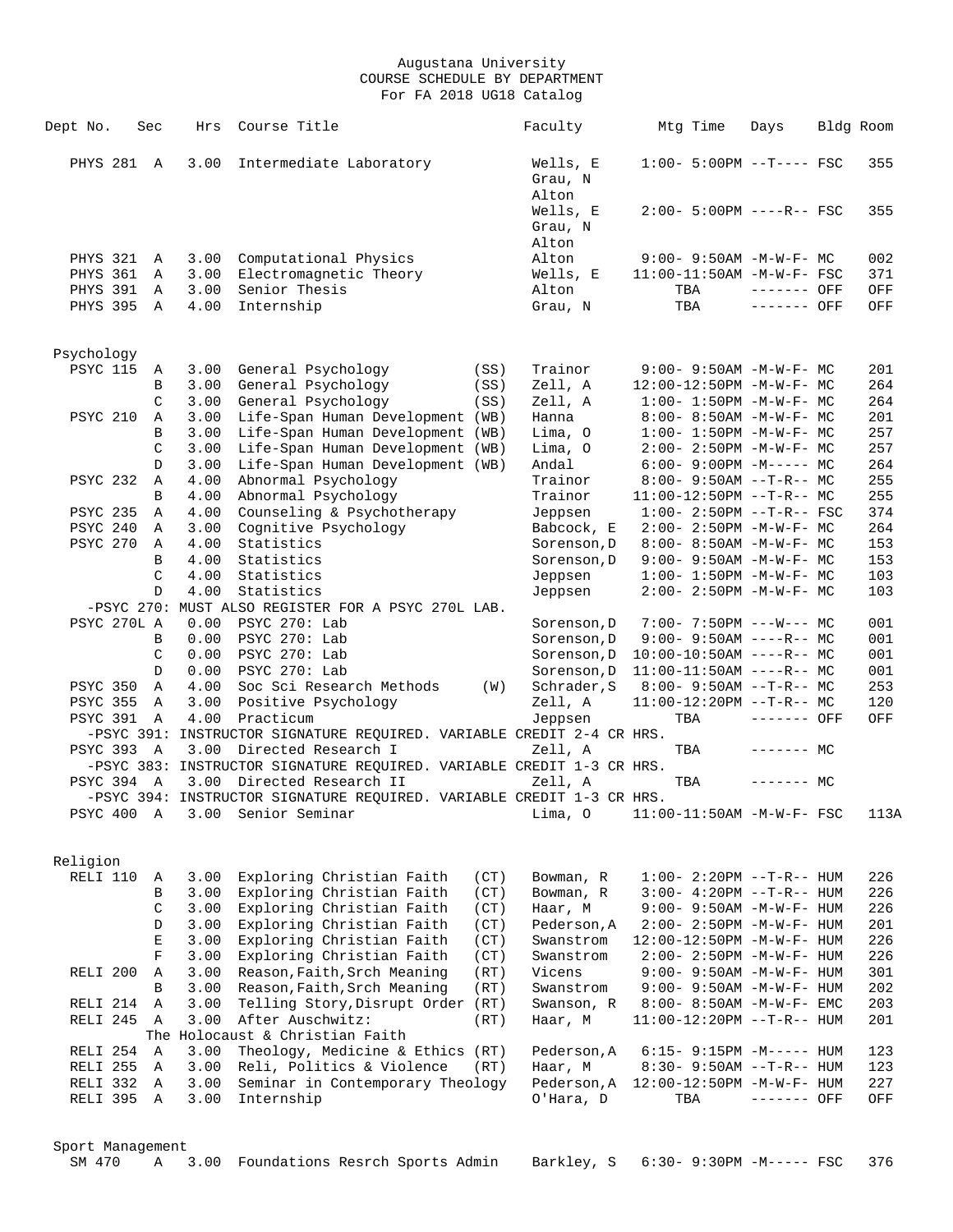| Dept No.            | Sec           | Hrs  | Course Title                                                          | Faculty                      | Mtg Time                         | Days        | Bldg Room |
|---------------------|---------------|------|-----------------------------------------------------------------------|------------------------------|----------------------------------|-------------|-----------|
| PHYS 281 A          |               | 3.00 | Intermediate Laboratory                                               | Wells, E<br>Grau, N<br>Alton | $1:00-5:00PM$ --T---- FSC        |             | 355       |
|                     |               |      |                                                                       | Wells, E<br>Grau, N<br>Alton | $2:00 - 5:00PM$ ----R-- FSC      |             | 355       |
| PHYS 321            | A             | 3.00 | Computational Physics                                                 | Alton                        | $9:00 - 9:50AM - M - W - F - MC$ |             | 002       |
| PHYS 361            | A             | 3.00 | Electromagnetic Theory                                                | Wells, E                     | 11:00-11:50AM -M-W-F- FSC        |             | 371       |
| PHYS 391            | A             | 3.00 | Senior Thesis                                                         | Alton                        | TBA                              | ------- OFF | OFF       |
| PHYS 395            | A             | 4.00 | Internship                                                            | Grau, N                      | TBA                              | ------- OFF | OFF       |
| Psychology          |               |      |                                                                       |                              |                                  |             |           |
| <b>PSYC 115</b>     | A             | 3.00 | General Psychology<br>(SS)                                            | Trainor                      | $9:00 - 9:50AM - M-W-F - MC$     |             | 201       |
|                     | В             | 3.00 | General Psychology<br>(SS)                                            | Zell, A                      | 12:00-12:50PM -M-W-F- MC         |             | 264       |
|                     | $\mathcal{C}$ | 3.00 | General Psychology<br>(SS)                                            | Zell, A                      | $1:00 - 1:50PM - M - W - F - MC$ |             | 264       |
| <b>PSYC 210</b>     | Α             | 3.00 | Life-Span Human Development (WB)                                      | Hanna                        | $8:00 - 8:50AM - M - W - F - MC$ |             | 201       |
|                     | B             | 3.00 | Life-Span Human Development (WB)                                      | Lima, O                      | $1:00 - 1:50PM - M - W - F - MC$ |             | 257       |
|                     | $\mathcal{C}$ | 3.00 | Life-Span Human Development (WB)                                      | Lima, O                      | $2:00 - 2:50PM -M-W-F - MC$      |             | 257       |
|                     | D             | 3.00 | Life-Span Human Development (WB)                                      | Andal                        | $6:00-9:00PM -M--- MC$           |             | 264       |
| PSYC 232            | Α             | 4.00 | Abnormal Psychology                                                   | Trainor                      | $8:00 - 9:50AM -T-R-- MC$        |             | 255       |
|                     | В             | 4.00 | Abnormal Psychology                                                   | Trainor                      | $11:00-12:50PM$ --T-R-- MC       |             | 255       |
| <b>PSYC 235</b>     | Α             | 4.00 | Counseling & Psychotherapy                                            | Jeppsen                      | $1:00 - 2:50PM -T-R--FSC$        |             | 374       |
| PSYC 240            | Α             | 3.00 | Cognitive Psychology                                                  | Babcock, E                   | $2:00 - 2:50PM -M-W-F - MC$      |             | 264       |
| <b>PSYC 270</b>     | Α             | 4.00 | Statistics                                                            | Sorenson, D                  | $8:00 - 8:50AM - M - W - F - MC$ |             | 153       |
|                     | B             | 4.00 | Statistics                                                            | Sorenson, D                  | $9:00 - 9:50AM - M - W - F - MC$ |             | 153       |
|                     | C             | 4.00 | Statistics                                                            | Jeppsen                      | $1:00 - 1:50PM - M - W - F - MC$ |             | 103       |
|                     | D             | 4.00 | Statistics                                                            | Jeppsen                      | $2:00 - 2:50PM -M-W-F - MC$      |             | 103       |
|                     |               |      | -PSYC 270: MUST ALSO REGISTER FOR A PSYC 270L LAB.                    |                              |                                  |             |           |
| PSYC 270L A         |               | 0.00 | PSYC 270: Lab                                                         | Sorenson, D                  | $7:00 - 7:50PM$ ---W--- MC       |             | 001       |
|                     | B             | 0.00 | PSYC 270: Lab                                                         | Sorenson, D                  | $9:00 - 9:50AM$ ----R-- MC       |             | 001       |
|                     | C             | 0.00 | PSYC 270: Lab                                                         | Sorenson, D                  | $10:00-10:50AM$ ----R-- MC       |             | 001       |
|                     | D             | 0.00 | PSYC 270: Lab                                                         | Sorenson, D                  | $11:00-11:50AM$ ----R-- MC       |             | 001       |
| PSYC 350            | $\mathbb{A}$  | 4.00 | Soc Sci Research Methods<br>(W)                                       | Schrader, S                  | $8:00 - 9:50AM -T-R-- MC$        |             | 253       |
| <b>PSYC 355</b>     | Α             | 3.00 | Positive Psychology                                                   | Zell, A                      | $11:00-12:20PM --T-R--MC$        |             | 120       |
| <b>PSYC 391</b>     | A             | 4.00 | Practicum                                                             | Jeppsen                      | TBA                              | ------- OFF | OFF       |
|                     |               |      | -PSYC 391: INSTRUCTOR SIGNATURE REQUIRED. VARIABLE CREDIT 2-4 CR HRS. |                              |                                  |             |           |
| PSYC 393 A          |               | 3.00 | Directed Research I                                                   | Zell, A                      | TBA                              | $------$ MC |           |
|                     |               |      | -PSYC 383: INSTRUCTOR SIGNATURE REQUIRED. VARIABLE CREDIT 1-3 CR HRS. |                              |                                  |             |           |
| PSYC 394 A          |               |      | 3.00 Directed Research II                                             | Zell, A                      | TBA                              | $------$ MC |           |
|                     |               |      | -PSYC 394: INSTRUCTOR SIGNATURE REQUIRED. VARIABLE CREDIT 1-3 CR HRS. |                              |                                  |             |           |
| PSYC 400 A          |               |      | 3.00 Senior Seminar                                                   | Lima, O                      | 11:00-11:50AM -M-W-F- FSC        |             | 113A      |
| Religion            |               |      |                                                                       |                              |                                  |             |           |
| RELI 110            | Α             | 3.00 | Exploring Christian Faith<br>(CT)                                     | Bowman, R                    | $1:00 - 2:20PM -T-R--HUM$        |             | 226       |
|                     | В             | 3.00 | Exploring Christian Faith<br>(CT)                                     | Bowman, R                    | $3:00-4:20PM -T-R--HUM$          |             | 226       |
|                     | C             | 3.00 | Exploring Christian Faith<br>(CT)                                     | Haar, M                      | 9:00- 9:50AM -M-W-F- HUM         |             | 226       |
|                     | D             | 3.00 | Exploring Christian Faith<br>(CT)                                     | Pederson, A                  | 2:00- 2:50PM -M-W-F- HUM         |             | 201       |
|                     | Е             | 3.00 | Exploring Christian Faith<br>(CT)                                     | Swanstrom                    | 12:00-12:50PM -M-W-F- HUM        |             | 226       |
|                     | $\mathbf F$   | 3.00 | Exploring Christian Faith<br>(CT)                                     | Swanstrom                    | 2:00- 2:50PM -M-W-F- HUM         |             | 226       |
| RELI <sub>200</sub> | Α             | 3.00 | Reason, Faith, Srch Meaning<br>(RT)                                   | Vicens                       | 9:00- 9:50AM -M-W-F- HUM         |             | 301       |
|                     | B             | 3.00 | Reason, Faith, Srch Meaning<br>(RT)                                   | Swanstrom                    | 9:00- 9:50AM -M-W-F- HUM         |             | 202       |
| RELI 214            | Α             | 3.00 | Telling Story, Disrupt Order (RT)                                     | Swanson, R                   | 8:00- 8:50AM -M-W-F- EMC         |             | 203       |
| RELI <sub>245</sub> | Α             | 3.00 | After Auschwitz:<br>(RT)                                              | Haar, M                      | 11:00-12:20PM --T-R-- HUM        |             | 201       |
|                     |               |      | The Holocaust & Christian Faith                                       |                              |                                  |             |           |
| RELI 254            | A             | 3.00 | Theology, Medicine & Ethics (RT)                                      | Pederson, A                  | $6:15-9:15PM -M---HUM$           |             | 123       |
| RELI 255            | Α             | 3.00 | Reli, Politics & Violence<br>(RT)                                     | Haar, M                      | $8:30 - 9:50AM -T-R-- HUM$       |             | 123       |
| RELI 332            | Α             | 3.00 | Seminar in Contemporary Theology                                      | Pederson, A                  | 12:00-12:50PM -M-W-F- HUM        |             | 227       |
| RELI 395            | $\mathbb{A}$  | 3.00 | Internship                                                            | O'Hara, D                    | TBA                              | ------- OFF | OFF       |
|                     |               |      |                                                                       |                              |                                  |             |           |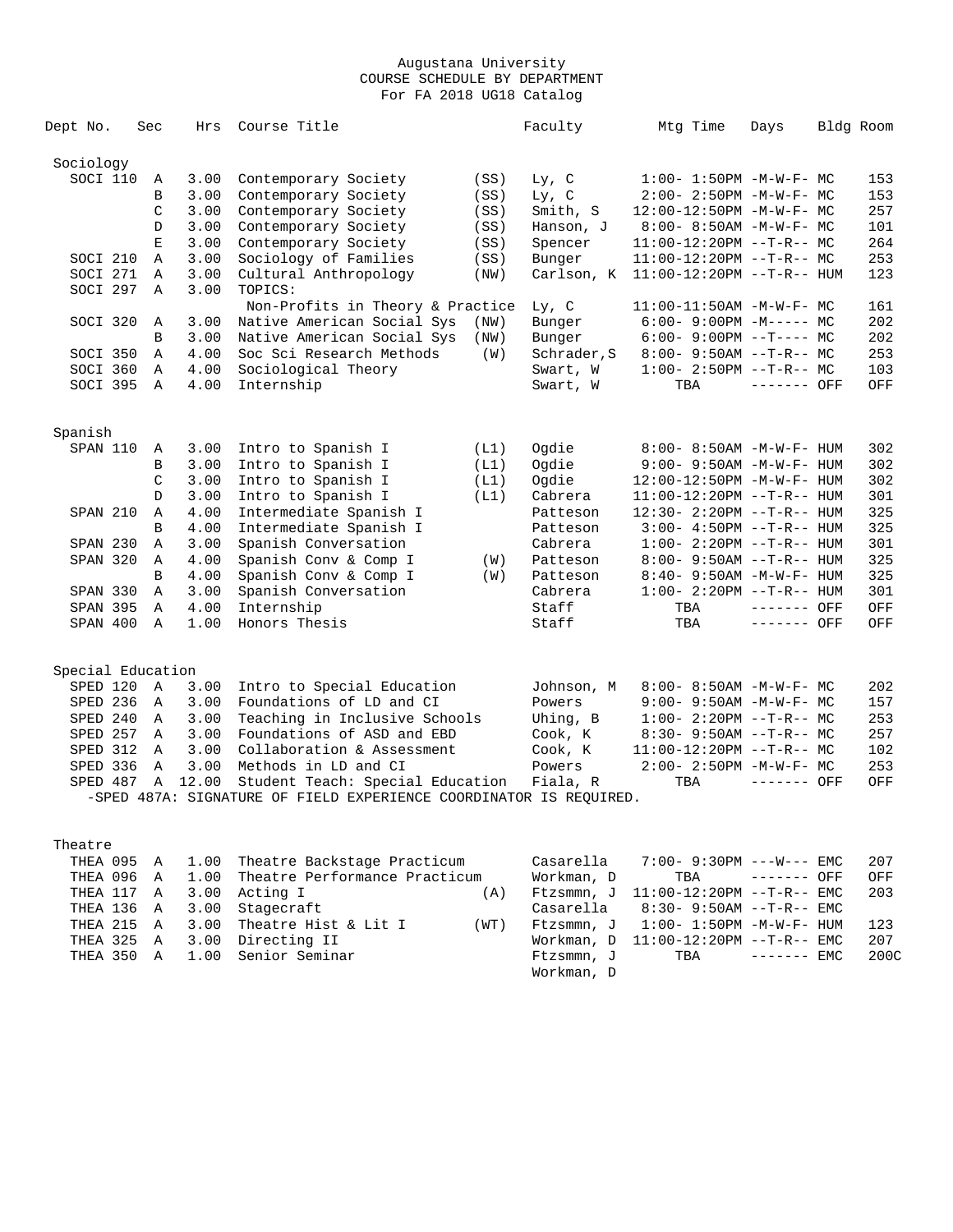| Dept No.          | Sec           | Hrs   | Course Title                                                       |      | Faculty     | Mtg Time                          | Days        | Bldg Room |
|-------------------|---------------|-------|--------------------------------------------------------------------|------|-------------|-----------------------------------|-------------|-----------|
| Sociology         |               |       |                                                                    |      |             |                                   |             |           |
| SOCI 110          | Α             | 3.00  | Contemporary Society                                               | (SS) | Ly, C       | $1:00 - 1:50PM - M - W - F - MC$  |             | 153       |
|                   | $\, {\bf B}$  | 3.00  | Contemporary Society                                               | (SS) | Ly, C       | 2:00- 2:50PM -M-W-F- MC           |             | 153       |
|                   | C             | 3.00  | Contemporary Society                                               | (SS) | Smith, S    | $12:00-12:50PM -M-W-F-MC$         |             | 257       |
|                   | D             | 3.00  | Contemporary Society                                               | (SS) | Hanson, J   | $8:00 - 8:50AM - M - W - F - MC$  |             | 101       |
|                   | E             | 3.00  | Contemporary Society                                               | (SS) | Spencer     | $11:00-12:20PM --T-R--MC$         |             | 264       |
| SOCI 210          | Α             | 3.00  | Sociology of Families                                              | (SS) | Bunger      | 11:00-12:20PM --T-R-- MC          |             | 253       |
| SOCI 271          | Α             | 3.00  | Cultural Anthropology                                              | (NW) | Carlson, K  | 11:00-12:20PM --T-R-- HUM         |             | 123       |
| SOCI 297          | Α             | 3.00  | TOPICS:                                                            |      |             |                                   |             |           |
|                   |               |       | Non-Profits in Theory & Practice                                   |      | Ly, C       | 11:00-11:50AM -M-W-F- MC          |             | 161       |
| SOCI 320          | Α             | 3.00  | Native American Social Sys                                         | (NW) | Bunger      | $6:00-9:00PM -M--- - M$           |             | 202       |
|                   | B             | 3.00  | Native American Social Sys                                         | (NW) | Bunger      | $6:00-9:00PM$ --T---- MC          |             | 202       |
|                   |               |       |                                                                    |      |             |                                   |             | 253       |
| SOCI 350          | Α             | 4.00  | Soc Sci Research Methods                                           | (W)  | Schrader, S | $8:00 - 9:50AM -T-R-- MC$         |             |           |
| SOCI 360          | Α             | 4.00  | Sociological Theory                                                |      | Swart, W    | $1:00-2:50PM -T-R--MC$            |             | 103       |
| SOCI 395          | $\mathbb{A}$  | 4.00  | Internship                                                         |      | Swart, W    | TBA                               | ------- OFF | OFF       |
| Spanish           |               |       |                                                                    |      |             |                                   |             |           |
| SPAN 110          | Α             | 3.00  | Intro to Spanish I                                                 | (L1) | Oqdie       | $8:00 - 8:50AM - M - W - F - HUM$ |             | 302       |
|                   | B             | 3.00  | Intro to Spanish I                                                 | (L1) | Ogdie       | 9:00- 9:50AM -M-W-F- HUM          |             | 302       |
|                   | $\mathcal{C}$ | 3.00  | Intro to Spanish I                                                 | (L1) | Oqdie       | 12:00-12:50PM -M-W-F- HUM         |             | 302       |
|                   | $\mathbb{D}$  | 3.00  | Intro to Spanish I                                                 | (L1) | Cabrera     | 11:00-12:20PM --T-R-- HUM         |             | 301       |
| SPAN 210          | Α             | 4.00  | Intermediate Spanish I                                             |      | Patteson    | 12:30- 2:20PM --T-R-- HUM         |             | 325       |
|                   | B             | 4.00  | Intermediate Spanish I                                             |      | Patteson    | $3:00-4:50PM -T-R--HUM$           |             | 325       |
| SPAN 230          | Α             | 3.00  | Spanish Conversation                                               |      | Cabrera     | $1:00-2:20PM -T-R--HUM$           |             | 301       |
| SPAN 320          | Α             | 4.00  | Spanish Conv & Comp I                                              | (W)  | Patteson    | $8:00 - 9:50AM -T-R--HUM$         |             | 325       |
|                   | $\mathbf{B}$  | 4.00  | Spanish Conv & Comp I                                              | (W)  | Patteson    | 8:40- 9:50AM -M-W-F- HUM          |             | 325       |
| SPAN 330          | Α             | 3.00  | Spanish Conversation                                               |      | Cabrera     | $1:00 - 2:20PM -T-R--HUM$         |             | 301       |
| <b>SPAN 395</b>   | Α             | 4.00  | Internship                                                         |      | Staff       | TBA                               | ------- OFF | OFF       |
| SPAN 400          | $\mathbb{A}$  | 1.00  | Honors Thesis                                                      |      | Staff       | TBA                               | ------- OFF | OFF       |
|                   |               |       |                                                                    |      |             |                                   |             |           |
| Special Education |               |       |                                                                    |      |             |                                   |             |           |
| SPED 120          | A             | 3.00  | Intro to Special Education                                         |      | Johnson, M  | 8:00- 8:50AM -M-W-F- MC           |             | 202       |
| SPED 236          | Α             | 3.00  | Foundations of LD and CI                                           |      | Powers      | 9:00- 9:50AM -M-W-F- MC           |             | 157       |
| SPED 240          | $\mathbb A$   | 3.00  | Teaching in Inclusive Schools                                      |      | Uhing, B    | $1:00-2:20PM -T-R--MC$            |             | 253       |
| SPED 257          | $\mathbb{A}$  | 3.00  | Foundations of ASD and EBD                                         |      | Cook, K     | $8:30 - 9:50AM -T-R--MC$          |             | 257       |
| SPED 312          | $\mathbb A$   | 3.00  | Collaboration & Assessment                                         |      | Cook, K     | $11:00-12:20PM$ --T-R-- MC        |             | 102       |
| SPED 336          | Α             | 3.00  | Methods in LD and CI                                               |      | Powers      | $2:00 - 2:50PM -M-W-F - MC$       |             | 253       |
| SPED 487          | $\mathbb A$   | 12.00 | Student Teach: Special Education                                   |      | Fiala, R    | TBA                               | ------- OFF | OFF       |
|                   |               |       | -SPED 487A: SIGNATURE OF FIELD EXPERIENCE COORDINATOR IS REOUIRED. |      |             |                                   |             |           |

# Theatre

|  |  | THEA 095 A 1.00 Theatre Backstage Practicum   |      |            | $Casarella$ 7:00- 9:30PM ---W--- EMC      |  | 207  |
|--|--|-----------------------------------------------|------|------------|-------------------------------------------|--|------|
|  |  | THEA 096 A 1.00 Theatre Performance Practicum |      | Workman, D | $\text{TBA}$ ------- OFF                  |  | OFF  |
|  |  | THEA 117 A 3.00 Acting I                      | (A)  |            | Ftzsmmn, J 11:00-12:20PM --T-R-- EMC      |  | 203  |
|  |  | THEA 136 A 3.00 Stagecraft                    |      |            | $Casarella$ $8:30-9:50AM$ --T-R-- EMC     |  |      |
|  |  | THEA 215 A 3.00 Theatre Hist & Lit I          | (WT) |            | $F$ tzsmmn, J $1:00-1:50$ PM $-M-W-F-HUM$ |  | 123  |
|  |  | THEA 325 A 3.00 Directing II                  |      |            | Workman, $D = 11:00-12:20PM -T-R--EMC$    |  | 207  |
|  |  | THEA 350 A 1.00 Senior Seminar                |      |            | Ftzsmmn, J TBA ------ EMC                 |  | 200C |
|  |  |                                               |      | Workman, D |                                           |  |      |
|  |  |                                               |      |            |                                           |  |      |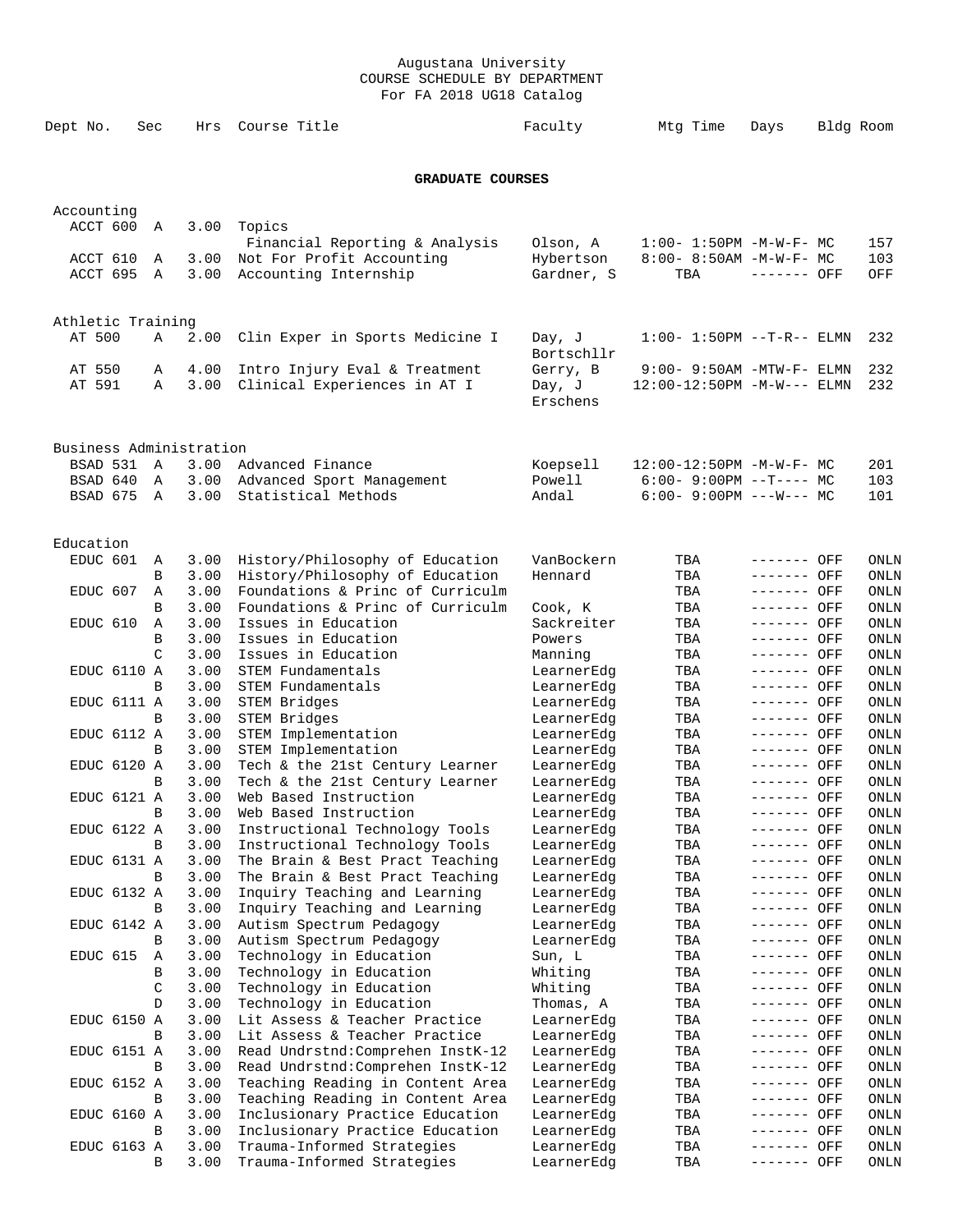| Dept No.                | Sec               | Hrs          | Course Title                                                         | Faculty                  | Mtg Time                                                    | Days                       | Bldg Room |              |
|-------------------------|-------------------|--------------|----------------------------------------------------------------------|--------------------------|-------------------------------------------------------------|----------------------------|-----------|--------------|
|                         |                   |              | <b>GRADUATE COURSES</b>                                              |                          |                                                             |                            |           |              |
| Accounting              |                   |              |                                                                      |                          |                                                             |                            |           |              |
| ACCT 600                | A                 | 3.00         | Topics                                                               |                          |                                                             |                            |           |              |
| ACCT 610                | A                 | 3.00         | Financial Reporting & Analysis<br>Not For Profit Accounting          | Olson, A<br>Hybertson    | $1:00 - 1:50PM - M - W - F - MC$<br>8:00- 8:50AM -M-W-F- MC |                            |           | 157<br>103   |
| ACCT 695                | A                 | 3.00         | Accounting Internship                                                | Gardner, S               | TBA                                                         | ------- OFF                |           | OFF          |
| Athletic Training       |                   |              |                                                                      |                          |                                                             |                            |           |              |
| AT 500                  | Α                 | 2.00         | Clin Exper in Sports Medicine I                                      | Day, J<br>Bortschllr     | $1:00 - 1:50PM -T-R-- ELMN$                                 |                            |           | 232          |
| AT 550                  | Α                 | 4.00         | Intro Injury Eval & Treatment                                        | Gerry, B                 | $9:00 - 9:50$ AM -MTW-F- ELMN                               |                            |           | 232          |
| AT 591                  | Α                 | 3.00         | Clinical Experiences in AT I                                         | Day, J<br>Erschens       | 12:00-12:50PM -M-W--- ELMN                                  |                            |           | 232          |
| Business Administration |                   |              |                                                                      |                          |                                                             |                            |           |              |
| BSAD 531                | $\overline{A}$    | 3.00         | Advanced Finance                                                     | Koepsell                 | $12:00-12:50PM -M-W-F-MC$                                   |                            |           | 201          |
| BSAD 640<br>BSAD 675    | Α<br>A            | 3.00<br>3.00 | Advanced Sport Management<br>Statistical Methods                     | Powell<br>Andal          | $6:00-9:00PM$ --T---- MC<br>$6:00 - 9:00PM$ ---W--- MC      |                            |           | 103<br>101   |
| Education               |                   |              |                                                                      |                          |                                                             |                            |           |              |
| EDUC 601                | A                 | 3.00         | History/Philosophy of Education                                      | VanBockern               | TBA                                                         | ------- OFF                |           | ONLN         |
|                         | B<br>$\mathbb{A}$ | 3.00         | History/Philosophy of Education                                      | Hennard                  | TBA                                                         | ------- OFF                |           | ONLN         |
| EDUC 607                | В                 | 3.00<br>3.00 | Foundations & Princ of Curriculm<br>Foundations & Princ of Curriculm | Cook, K                  | TBA<br>TBA                                                  | ------- OFF<br>------- OFF |           | ONLN<br>ONLN |
| EDUC 610                | Α                 | 3.00         | Issues in Education                                                  | Sackreiter               | TBA                                                         | ------- OFF                |           | ONLN         |
|                         | B                 | 3.00         | Issues in Education                                                  | Powers                   | TBA                                                         | ------- OFF                |           | ONLN         |
|                         | C                 | 3.00         | Issues in Education                                                  | Manning                  | TBA                                                         | ------- OFF                |           | ONLN         |
| EDUC 6110 A             | B                 | 3.00<br>3.00 | STEM Fundamentals<br>STEM Fundamentals                               | LearnerEdg<br>LearnerEdg | TBA<br>TBA                                                  | ------- OFF<br>------- OFF |           | ONLN<br>ONLN |
| EDUC 6111 A             |                   | 3.00         | STEM Bridges                                                         | LearnerEdg               | TBA                                                         | ------- OFF                |           | ONLN         |
|                         | B                 | 3.00         | STEM Bridges                                                         | LearnerEdg               | TBA                                                         | ------- OFF                |           | ONLN         |
| EDUC 6112 A             |                   | 3.00         | STEM Implementation                                                  | LearnerEdg               | TBA                                                         | ------- OFF                |           | ONLN         |
| EDUC 6120 A             | B                 | 3.00<br>3.00 | STEM Implementation<br>Tech & the 21st Century Learner               | LearnerEdg<br>LearnerEdg | TBA<br>TBA                                                  | ------- OFF<br>------- OFF |           | ONLN<br>ONLN |
|                         | В                 | 3.00         | Tech & the 21st Century Learner                                      | LearnerEdg               | TBA                                                         | ------- OFF                |           | ONLN         |
| EDUC 6121 A             |                   | 3.00         | Web Based Instruction                                                | LearnerEdg               | TBA                                                         | ------- OFF                |           | ONLN         |
|                         | В                 | 3.00         | Web Based Instruction                                                | LearnerEdg               | TBA                                                         | ------- OFF                |           | ONLN         |
| EDUC 6122 A             | В                 | 3.00<br>3.00 | Instructional Technology Tools<br>Instructional Technology Tools     | LearnerEdg               | TBA                                                         | ------- OFF<br>------- OFF |           | ONLN         |
| EDUC 6131 A             |                   | 3.00         | The Brain & Best Pract Teaching                                      | LearnerEdg<br>LearnerEdg | TBA<br>TBA                                                  | ------- OFF                |           | ONLN<br>ONLN |
|                         | B                 | 3.00         | The Brain & Best Pract Teaching                                      | LearnerEdg               | TBA                                                         | ------- OFF                |           | ONLN         |
| EDUC 6132 A             |                   | 3.00         | Inquiry Teaching and Learning                                        | LearnerEdg               | TBA                                                         | ------- OFF                |           | ONLN         |
|                         | В                 | 3.00         | Inquiry Teaching and Learning                                        | LearnerEdg               | TBA                                                         | ------- OFF                |           | ONLN         |
| EDUC 6142 A             | В                 | 3.00<br>3.00 | Autism Spectrum Pedagogy<br>Autism Spectrum Pedagogy                 | LearnerEdg<br>LearnerEdg | TBA<br>TBA                                                  | ------- OFF<br>------- OFF |           | ONLN<br>ONLN |
| EDUC 615                | Α                 | 3.00         | Technology in Education                                              | Sun, L                   | TBA                                                         | ------- OFF                |           | ONLN         |
|                         | В                 | 3.00         | Technology in Education                                              | Whiting                  | TBA                                                         | ------- OFF                |           | ONLN         |
|                         | C                 | 3.00         | Technology in Education                                              | Whiting                  | TBA                                                         | ------- OFF                |           | ONLN         |
|                         | D                 | 3.00         | Technology in Education                                              | Thomas, A                | TBA                                                         | ------- OFF                |           | ONLN         |
| EDUC 6150 A             | B                 | 3.00<br>3.00 | Lit Assess & Teacher Practice<br>Lit Assess & Teacher Practice       | LearnerEdg<br>LearnerEdg | TBA<br>TBA                                                  | ------- OFF<br>------- OFF |           | ONLN<br>ONLN |
| EDUC 6151 A             |                   | 3.00         | Read Undrstnd: Comprehen InstK-12                                    | LearnerEdg               | TBA                                                         | ------- OFF                |           | ONLN         |
|                         | B                 | 3.00         | Read Undrstnd: Comprehen InstK-12                                    | LearnerEdg               | TBA                                                         | ------- OFF                |           | ONLN         |
| EDUC 6152 A             |                   | 3.00         | Teaching Reading in Content Area                                     | LearnerEdg               | TBA                                                         | ------- OFF                |           | ONLN         |
|                         | B                 | 3.00         | Teaching Reading in Content Area                                     | LearnerEdg               | TBA                                                         | ------- OFF                |           | ONLN         |
| <b>EDUC 6160 A</b>      |                   | 3.00         | Inclusionary Practice Education                                      | LearnerEdg               | TBA                                                         | ------- OFF                |           | ONLN         |
| EDUC 6163 A             | B                 | 3.00<br>3.00 | Inclusionary Practice Education<br>Trauma-Informed Strategies        | LearnerEdg<br>LearnerEdg | TBA<br>TBA                                                  | ------- OFF<br>------- OFF |           | ONLN<br>ONLN |
|                         | B                 | 3.00         | Trauma-Informed Strategies                                           | LearnerEdg               | TBA                                                         | ------- OFF                |           | ONLN         |
|                         |                   |              |                                                                      |                          |                                                             |                            |           |              |